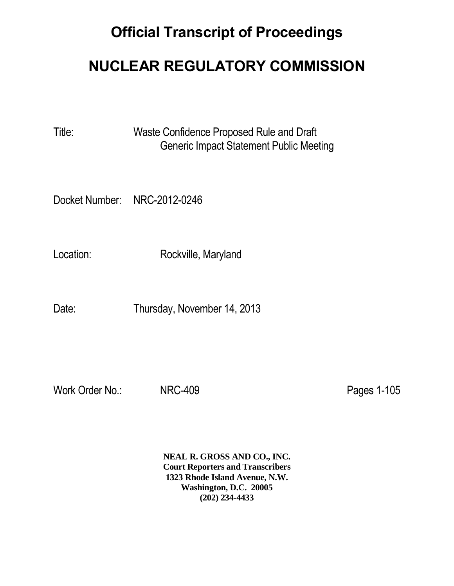## **Official Transcript of Proceedings**

## **NUCLEAR REGULATORY COMMISSION**

Title: Waste Confidence Proposed Rule and Draft Generic Impact Statement Public Meeting

Docket Number: NRC-2012-0246

Location: Rockville, Maryland

Date: Thursday, November 14, 2013

Work Order No.: NRC-409 **Pages 1-105** 

**NEAL R. GROSS AND CO., INC. Court Reporters and Transcribers 1323 Rhode Island Avenue, N.W. Washington, D.C. 20005 (202) 234-4433**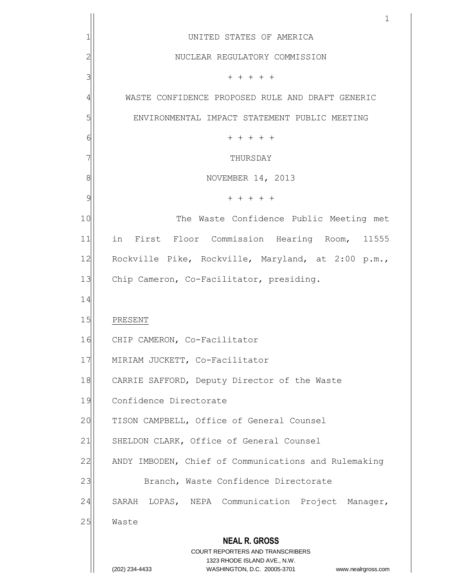|                | 1                                                                       |  |  |  |  |
|----------------|-------------------------------------------------------------------------|--|--|--|--|
| 1              | UNITED STATES OF AMERICA                                                |  |  |  |  |
| $\overline{c}$ | NUCLEAR REGULATORY COMMISSION                                           |  |  |  |  |
| 3              | $+ + + + + +$                                                           |  |  |  |  |
| 4              | WASTE CONFIDENCE PROPOSED RULE AND DRAFT GENERIC                        |  |  |  |  |
| 5              | ENVIRONMENTAL IMPACT STATEMENT PUBLIC MEETING                           |  |  |  |  |
| 6              | $+ + + + + +$                                                           |  |  |  |  |
| 7              | THURSDAY                                                                |  |  |  |  |
| 8              | NOVEMBER 14, 2013                                                       |  |  |  |  |
| 9              | $+ + + + + +$                                                           |  |  |  |  |
| 10             | The Waste Confidence Public Meeting met                                 |  |  |  |  |
| 11             | in First Floor Commission Hearing Room, 11555                           |  |  |  |  |
| 12             | Rockville Pike, Rockville, Maryland, at 2:00 p.m.,                      |  |  |  |  |
| 13             | Chip Cameron, Co-Facilitator, presiding.                                |  |  |  |  |
| 14             |                                                                         |  |  |  |  |
| 15             | PRESENT                                                                 |  |  |  |  |
| 16             | CHIP CAMERON, Co-Facilitator                                            |  |  |  |  |
| 17             | MIRIAM JUCKETT, Co-Facilitator                                          |  |  |  |  |
| 18             | CARRIE SAFFORD, Deputy Director of the Waste                            |  |  |  |  |
| 19             | Confidence Directorate                                                  |  |  |  |  |
| 20             | TISON CAMPBELL, Office of General Counsel                               |  |  |  |  |
| 21             | SHELDON CLARK, Office of General Counsel                                |  |  |  |  |
| 22             | ANDY IMBODEN, Chief of Communications and Rulemaking                    |  |  |  |  |
| 23             | Branch, Waste Confidence Directorate                                    |  |  |  |  |
| 24             | SARAH LOPAS, NEPA Communication Project Manager,                        |  |  |  |  |
| 25             | Waste                                                                   |  |  |  |  |
|                | <b>NEAL R. GROSS</b>                                                    |  |  |  |  |
|                | <b>COURT REPORTERS AND TRANSCRIBERS</b><br>1323 RHODE ISLAND AVE., N.W. |  |  |  |  |
|                | (202) 234-4433<br>WASHINGTON, D.C. 20005-3701<br>www.nealrgross.com     |  |  |  |  |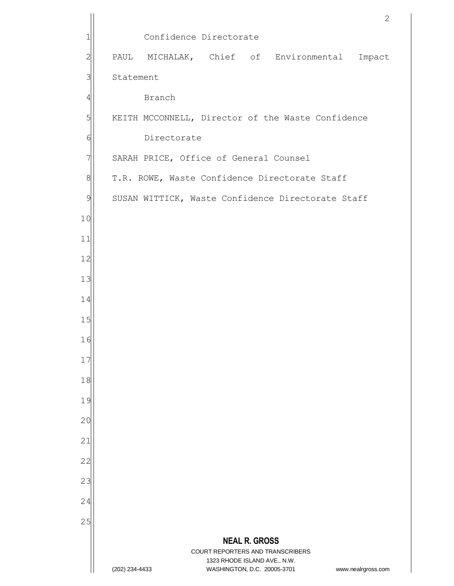|                |                |                                        |                                                             |                      |                                                   | 2                  |
|----------------|----------------|----------------------------------------|-------------------------------------------------------------|----------------------|---------------------------------------------------|--------------------|
| 1              |                | Confidence Directorate                 |                                                             |                      |                                                   |                    |
| $\overline{c}$ | PAUL           |                                        |                                                             |                      | MICHALAK, Chief of Environmental                  | Impact             |
| 3              | Statement      |                                        |                                                             |                      |                                                   |                    |
| 4              |                | Branch                                 |                                                             |                      |                                                   |                    |
| 5              |                |                                        |                                                             |                      | KEITH MCCONNELL, Director of the Waste Confidence |                    |
| 6              |                | Directorate                            |                                                             |                      |                                                   |                    |
| 7              |                | SARAH PRICE, Office of General Counsel |                                                             |                      |                                                   |                    |
| 8              |                |                                        |                                                             |                      | T.R. ROWE, Waste Confidence Directorate Staff     |                    |
| 9              |                |                                        |                                                             |                      | SUSAN WITTICK, Waste Confidence Directorate Staff |                    |
| 10             |                |                                        |                                                             |                      |                                                   |                    |
| 11             |                |                                        |                                                             |                      |                                                   |                    |
| 12             |                |                                        |                                                             |                      |                                                   |                    |
| 13             |                |                                        |                                                             |                      |                                                   |                    |
| 14             |                |                                        |                                                             |                      |                                                   |                    |
| 15             |                |                                        |                                                             |                      |                                                   |                    |
| 16             |                |                                        |                                                             |                      |                                                   |                    |
| 17             |                |                                        |                                                             |                      |                                                   |                    |
| 18             |                |                                        |                                                             |                      |                                                   |                    |
| 19             |                |                                        |                                                             |                      |                                                   |                    |
| 20             |                |                                        |                                                             |                      |                                                   |                    |
| 21             |                |                                        |                                                             |                      |                                                   |                    |
| 22             |                |                                        |                                                             |                      |                                                   |                    |
| 23             |                |                                        |                                                             |                      |                                                   |                    |
| 24             |                |                                        |                                                             |                      |                                                   |                    |
| 25             |                |                                        |                                                             |                      |                                                   |                    |
|                |                |                                        | COURT REPORTERS AND TRANSCRIBERS                            | <b>NEAL R. GROSS</b> |                                                   |                    |
|                | (202) 234-4433 |                                        | 1323 RHODE ISLAND AVE., N.W.<br>WASHINGTON, D.C. 20005-3701 |                      |                                                   | www.nealrgross.com |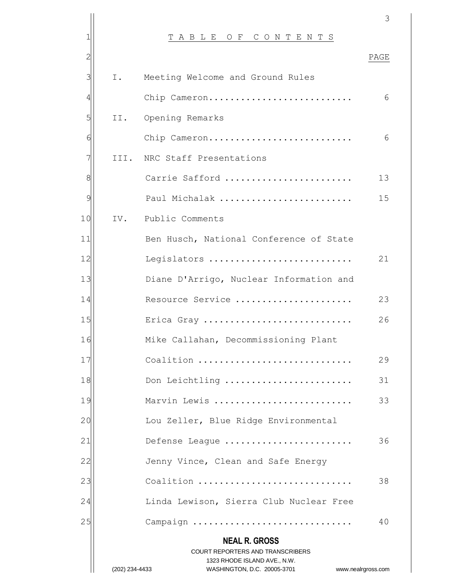|                |                |                                                             | 3                  |
|----------------|----------------|-------------------------------------------------------------|--------------------|
| 1              |                | TABLE OF CONTENTS                                           |                    |
| $\overline{2}$ |                |                                                             | PAGE               |
| 3              | Ι.             | Meeting Welcome and Ground Rules                            |                    |
| 4              |                | Chip Cameron                                                | 6                  |
| 5              | II.            | Opening Remarks                                             |                    |
| 6              |                | Chip Cameron                                                | 6                  |
| 7              |                | III. NRC Staff Presentations                                |                    |
| 8              |                | Carrie Safford                                              | 13                 |
| $\overline{9}$ |                | Paul Michalak                                               | 15                 |
| 10             | IV.            | Public Comments                                             |                    |
| 11             |                | Ben Husch, National Conference of State                     |                    |
| 12             |                | Legislators                                                 | 21                 |
| 13             |                | Diane D'Arrigo, Nuclear Information and                     |                    |
| 14             |                | Resource Service                                            | 23                 |
| 15             |                | Erica Gray                                                  | 26                 |
| 16             |                | Mike Callahan, Decommissioning Plant                        |                    |
| 17             |                | Coalition                                                   | 29                 |
| 18             |                | Don Leichtling                                              | 31                 |
| 19             |                | Marvin Lewis                                                | 33                 |
| 20             |                | Lou Zeller, Blue Ridge Environmental                        |                    |
| 21             |                | Defense League                                              | 36                 |
| 22             |                | Jenny Vince, Clean and Safe Energy                          |                    |
| 23             |                | Coalition                                                   | 38                 |
| 24             |                | Linda Lewison, Sierra Club Nuclear Free                     |                    |
| 25             |                | Campaign                                                    | 40                 |
|                |                | <b>NEAL R. GROSS</b>                                        |                    |
|                |                | <b>COURT REPORTERS AND TRANSCRIBERS</b>                     |                    |
|                | (202) 234-4433 | 1323 RHODE ISLAND AVE., N.W.<br>WASHINGTON, D.C. 20005-3701 | www.nealrgross.com |
|                |                |                                                             |                    |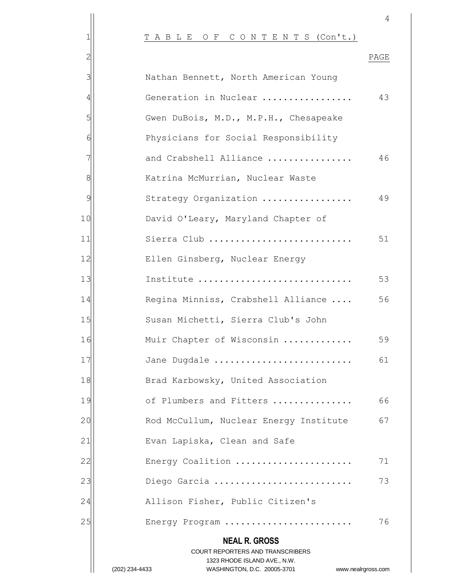|               |                                                                                                     | 4    |
|---------------|-----------------------------------------------------------------------------------------------------|------|
|               | TABLE OF CONTENTS (Con't.)                                                                          |      |
|               |                                                                                                     | PAGE |
|               | Nathan Bennett, North American Young                                                                |      |
|               | Generation in Nuclear                                                                               | 43   |
| 5             | Gwen DuBois, M.D., M.P.H., Chesapeake                                                               |      |
|               | Physicians for Social Responsibility                                                                |      |
|               | and Crabshell Alliance                                                                              | 46   |
| 8             | Katrina McMurrian, Nuclear Waste                                                                    |      |
| $\mathcal{Q}$ | Strategy Organization                                                                               | 49   |
| 10            | David O'Leary, Maryland Chapter of                                                                  |      |
| 11            | Sierra Club                                                                                         | 51   |
| 12            | Ellen Ginsberg, Nuclear Energy                                                                      |      |
| 13            | Institute                                                                                           | 53   |
| 14            | Regina Minniss, Crabshell Alliance                                                                  | 56   |
| 15            | Susan Michetti, Sierra Club's John                                                                  |      |
| 16            | Muir Chapter of Wisconsin                                                                           | 59   |
| 17            | Jane Dugdale                                                                                        | 61   |
| 18            | Brad Karbowsky, United Association                                                                  |      |
| 19            | of Plumbers and Fitters                                                                             | 66   |
| 20            | Rod McCullum, Nuclear Energy Institute                                                              | 67   |
| 21            | Evan Lapiska, Clean and Safe                                                                        |      |
| 22            | Energy Coalition                                                                                    | 71   |
| 23            | Diego Garcia                                                                                        | 73   |
| 24            | Allison Fisher, Public Citizen's                                                                    |      |
| 25            | Energy Program                                                                                      | 76   |
|               | <b>NEAL R. GROSS</b>                                                                                |      |
|               | COURT REPORTERS AND TRANSCRIBERS                                                                    |      |
|               | 1323 RHODE ISLAND AVE., N.W.<br>WASHINGTON, D.C. 20005-3701<br>(202) 234-4433<br>www.nealrgross.com |      |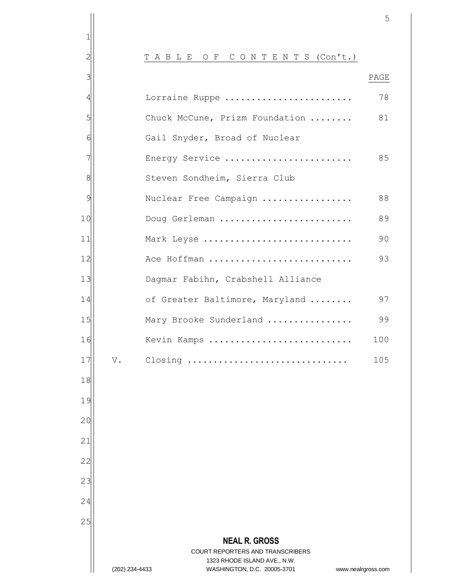**NEAL R. GROSS** 2 | TABLE OF CONTENTS (Con't.) 3 PAGE Lorraine Ruppe ........................ 78 5 | Chuck McCune, Prizm Foundation ........ 81 6 Gail Snyder, Broad of Nuclear Energy Service ........................ 85 8 Steven Sondheim, Sierra Club Nuclear Free Campaign ................. 88 Doug Gerleman ......................... 89 Mark Leyse ............................ 90 Ace Hoffman ........................... 93 13 Dagmar Fabihn, Crabshell Alliance 14 of Greater Baltimore, Maryland ........ 97 Mary Brooke Sunderland ................ 99 Kevin Kamps ........................... 100 V. Closing ............................... 105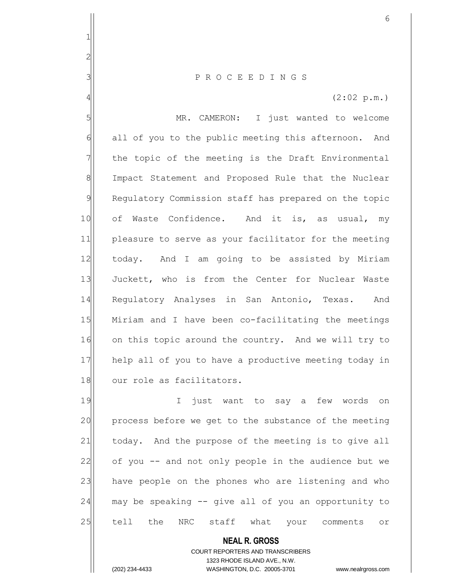3 P R O C E E D I N G S

 $4 \mid$  (2:02 p.m.)

5 | MR. CAMERON: I just wanted to welcome 6 all of you to the public meeting this afternoon. And  $7$  the topic of the meeting is the Draft Environmental 8 Impact Statement and Proposed Rule that the Nuclear 9 Requlatory Commission staff has prepared on the topic 10 of Waste Confidence. And it is, as usual, my 11 pleasure to serve as your facilitator for the meeting 12| today. And I am going to be assisted by Miriam 13 Juckett, who is from the Center for Nuclear Waste 14 Regulatory Analyses in San Antonio, Texas. And 15 Miriam and I have been co-facilitating the meetings 16 on this topic around the country. And we will try to 17 help all of you to have a productive meeting today in 18 our role as facilitators.

19 I just want to say a few words on 20 process before we get to the substance of the meeting 21 today. And the purpose of the meeting is to give all 22 of you -- and not only people in the audience but we 23 have people on the phones who are listening and who  $24$  may be speaking  $-$  give all of you an opportunity to 25 tell the NRC staff what your comments or

> **NEAL R. GROSS** COURT REPORTERS AND TRANSCRIBERS 1323 RHODE ISLAND AVE., N.W. (202) 234-4433 WASHINGTON, D.C. 20005-3701 www.nealrgross.com

1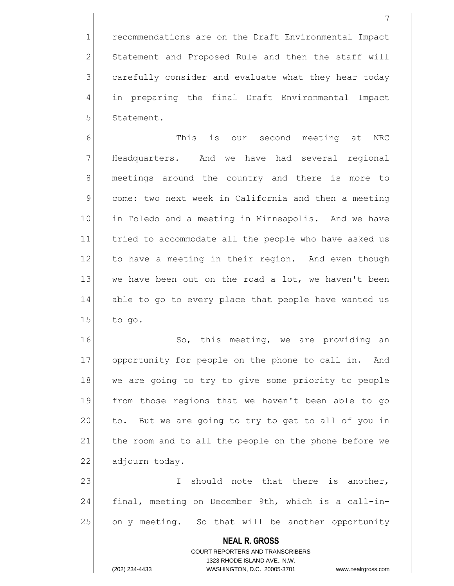1 recommendations are on the Draft Environmental Impact 2 Statement and Proposed Rule and then the staff will  $3$  carefully consider and evaluate what they hear today 4 in preparing the final Draft Environmental Impact 5 Statement.

6 6 This is our second meeting at NRC 7 Headquarters. And we have had several regional 8 meetings around the country and there is more to 9 come: two next week in California and then a meeting 10 in Toledo and a meeting in Minneapolis. And we have 11 tried to accommodate all the people who have asked us 12 to have a meeting in their region. And even though 13 $|$  we have been out on the road a lot, we haven't been 14 able to go to every place that people have wanted us  $15$  to go.

16 So, this meeting, we are providing an 17 opportunity for people on the phone to call in. And 18 we are going to try to give some priority to people 19 from those regions that we haven't been able to go 20 to. But we are going to try to get to all of you in 21 the room and to all the people on the phone before we 22 adjourn today.

23 I should note that there is another, 24 final, meeting on December 9th, which is a call-in-25 only meeting. So that will be another opportunity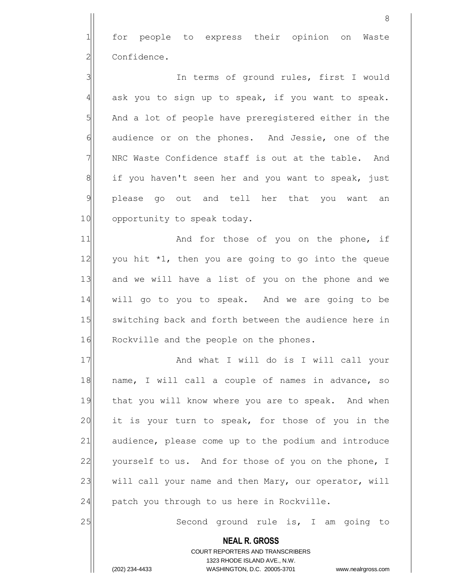1| for people to express their opinion on Waste 2 Confidence.

3 3 3 In terms of ground rules, first I would  $4$  ask you to sign up to speak, if you want to speak.  $5$  And a lot of people have preregistered either in the 6 6 audience or on the phones. And Jessie, one of the 7 NRC Waste Confidence staff is out at the table. And  $8$  if you haven't seen her and you want to speak, just 9 please go out and tell her that you want an 10 opportunity to speak today.

11 and for those of you on the phone, if  $12$  you hit  $*1$ , then you are going to go into the queue 13 and we will have a list of you on the phone and we 14 will go to you to speak. And we are going to be 15 Switching back and forth between the audience here in 16 Rockville and the people on the phones.

17 and what I will do is I will call your 18 | name, I will call a couple of names in advance, so 19 that you will know where you are to speak. And when 20 it is your turn to speak, for those of you in the 21 audience, please come up to the podium and introduce 22 yourself to us. And for those of you on the phone, I 23 will call your name and then Mary, our operator, will  $24$  patch you through to us here in Rockville.

25 Second ground rule is, I am going to

**NEAL R. GROSS** COURT REPORTERS AND TRANSCRIBERS

1323 RHODE ISLAND AVE., N.W.

(202) 234-4433 WASHINGTON, D.C. 20005-3701 www.nealrgross.com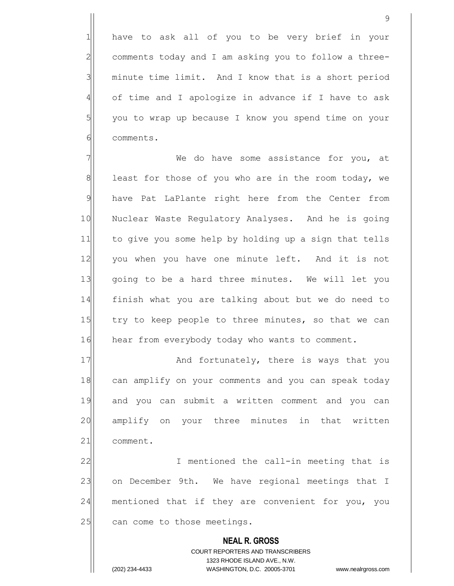1 have to ask all of you to be very brief in your  $2$  comments today and I am asking you to follow a three- $3$  minute time limit. And I know that is a short period 4 of time and I apologize in advance if I have to ask 5 you to wrap up because I know you spend time on your 6 comments.

 $7$   $\vert$  we do have some assistance for you, at  $8$  least for those of you who are in the room today, we 9 have Pat LaPlante right here from the Center from 10 Nuclear Waste Regulatory Analyses. And he is going 11 to give you some help by holding up a sign that tells 12 you when you have one minute left. And it is not 13 qoing to be a hard three minutes. We will let you 14 finish what you are talking about but we do need to 15 try to keep people to three minutes, so that we can 16 hear from everybody today who wants to comment.

17 And fortunately, there is ways that you 18 can amplify on your comments and you can speak today 19 and you can submit a written comment and you can 20 amplify on your three minutes in that written 21 comment.

22 I mentioned the call-in meeting that is 23 on December 9th. We have regional meetings that I 24 | mentioned that if they are convenient for you, you 25 can come to those meetings.

> **NEAL R. GROSS** COURT REPORTERS AND TRANSCRIBERS 1323 RHODE ISLAND AVE., N.W. (202) 234-4433 WASHINGTON, D.C. 20005-3701 www.nealrgross.com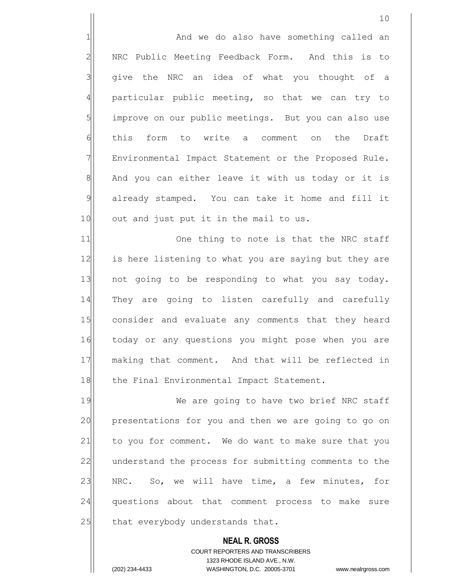1 and we do also have something called an 2 NRC Public Meeting Feedback Form. And this is to 3 | give the NRC an idea of what you thought of a  $4$  particular public meeting, so that we can try to 5 improve on our public meetings. But you can also use 6 form to write a comment on the Draft  $7$  Environmental Impact Statement or the Proposed Rule. 8 And you can either leave it with us today or it is 9 already stamped. You can take it home and fill it 10 out and just put it in the mail to us.

11 One thing to note is that the NRC staff 12 is here listening to what you are saying but they are 13 not going to be responding to what you say today. 14 They are going to listen carefully and carefully 15 consider and evaluate any comments that they heard 16 today or any questions you might pose when you are 17 making that comment. And that will be reflected in 18 | the Final Environmental Impact Statement.

19 We are going to have two brief NRC staff 20 presentations for you and then we are going to go on 21 to you for comment. We do want to make sure that you 22 understand the process for submitting comments to the 23 NRC. So, we will have time, a few minutes, for 24 | questions about that comment process to make sure  $25$  that everybody understands that.

> **NEAL R. GROSS** COURT REPORTERS AND TRANSCRIBERS 1323 RHODE ISLAND AVE., N.W. (202) 234-4433 WASHINGTON, D.C. 20005-3701 www.nealrgross.com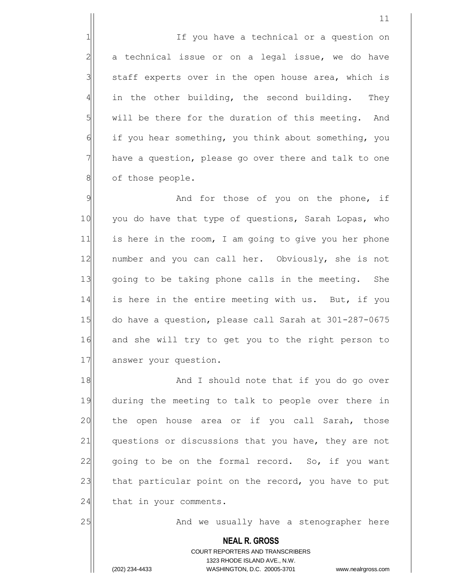1 1 1 If you have a technical or a question on  $2$  a technical issue or on a legal issue, we do have  $3$  staff experts over in the open house area, which is  $4$  in the other building, the second building. They  $5$  will be there for the duration of this meeting. And 6 if you hear something, you think about something, you 7 have a question, please go over there and talk to one 8 | of those people.

9 9 And for those of you on the phone, if 10 you do have that type of questions, Sarah Lopas, who 11 is here in the room, I am going to give you her phone 12 | number and you can call her. Obviously, she is not 13 qoing to be taking phone calls in the meeting. She 14 is here in the entire meeting with us. But, if you 15 do have a question, please call Sarah at 301-287-0675 16 and she will try to get you to the right person to 17 answer your question.

18 And I should note that if you do go over 19 during the meeting to talk to people over there in 20 the open house area or if you call Sarah, those 21 questions or discussions that you have, they are not  $22$  going to be on the formal record. So, if you want 23 that particular point on the record, you have to put  $24$  that in your comments.

25 And we usually have a stenographer here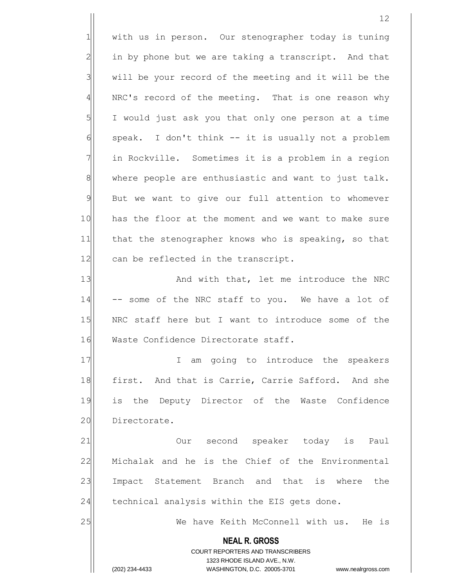**NEAL R. GROSS** 12 1 with us in person. Our stenographer today is tuning  $2$  in by phone but we are taking a transcript. And that  $3$  will be your record of the meeting and it will be the 4 | NRC's record of the meeting. That is one reason why 5 I would just ask you that only one person at a time  $6$  speak. I don't think  $-$  it is usually not a problem 7 | in Rockville. Sometimes it is a problem in a region  $8$  where people are enthusiastic and want to just talk. 9 But we want to give our full attention to whomever 10 has the floor at the moment and we want to make sure 11 that the stenographer knows who is speaking, so that 12 can be reflected in the transcript. 13 And with that, let me introduce the NRC 14 -- some of the NRC staff to you. We have a lot of 15 NRC staff here but I want to introduce some of the 16 Waste Confidence Directorate staff. 17 I am going to introduce the speakers 18 | first. And that is Carrie, Carrie Safford. And she 19 is the Deputy Director of the Waste Confidence 20 Directorate. 21 **Our** second speaker today is Paul 22 | Michalak and he is the Chief of the Environmental 23 Impact Statement Branch and that is where the  $24$  technical analysis within the EIS gets done. 25 We have Keith McConnell with us. He is

> COURT REPORTERS AND TRANSCRIBERS 1323 RHODE ISLAND AVE., N.W.

(202) 234-4433 WASHINGTON, D.C. 20005-3701 www.nealrgross.com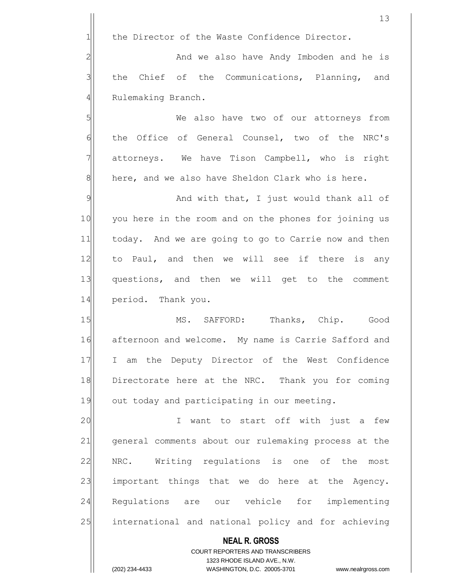**NEAL R. GROSS** COURT REPORTERS AND TRANSCRIBERS 13  $1$  the Director of the Waste Confidence Director. 2 and we also have Andy Imboden and he is  $3$  the Chief of the Communications, Planning, and 4 Rulemaking Branch. 5 | We also have two of our attorneys from 6 the Office of General Counsel, two of the NRC's 7 attorneys. We have Tison Campbell, who is right  $8$  here, and we also have Sheldon Clark who is here. 9 And with that, I just would thank all of 10 you here in the room and on the phones for joining us 11 today. And we are going to go to Carrie now and then 12| to Paul, and then we will see if there is any 13 questions, and then we will get to the comment 14 period. Thank you. 15 MS. SAFFORD: Thanks, Chip. Good 16 afternoon and welcome. My name is Carrie Safford and 17 I am the Deputy Director of the West Confidence 18 Directorate here at the NRC. Thank you for coming 19 out today and participating in our meeting. 20 | I want to start off with just a few 21 general comments about our rulemaking process at the 22 NRC. Writing regulations is one of the most 23 important things that we do here at the Agency. 24 Regulations are our vehicle for implementing 25 international and national policy and for achieving

1323 RHODE ISLAND AVE., N.W.

(202) 234-4433 WASHINGTON, D.C. 20005-3701 www.nealrgross.com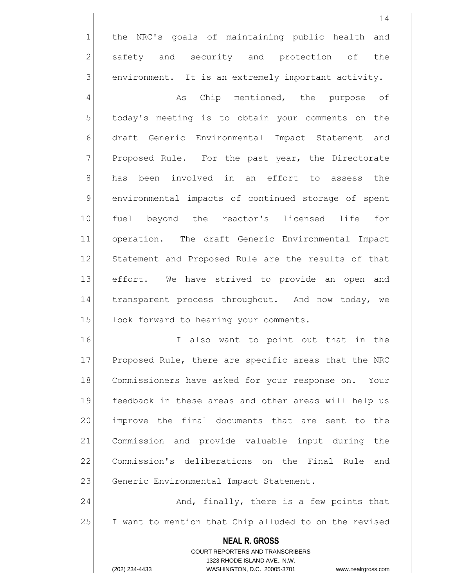1 the NRC's goals of maintaining public health and 2 safety and security and protection of the  $3$  environment. It is an extremely important activity.

4 As Chip mentioned, the purpose of  $5$  today's meeting is to obtain your comments on the 6 draft Generic Environmental Impact Statement and 7 Proposed Rule. For the past year, the Directorate 8 has been involved in an effort to assess the 9 environmental impacts of continued storage of spent 10 fuel beyond the reactor's licensed life for 11 operation. The draft Generic Environmental Impact 12 Statement and Proposed Rule are the results of that 13 effort. We have strived to provide an open and 14 transparent process throughout. And now today, we 15 look forward to hearing your comments.

16 I also want to point out that in the 17 Proposed Rule, there are specific areas that the NRC 18 Commissioners have asked for your response on. Your 19 feedback in these areas and other areas will help us 20 improve the final documents that are sent to the 21 Commission and provide valuable input during the 22 Commission's deliberations on the Final Rule and 23 Generic Environmental Impact Statement.

24 And, finally, there is a few points that 25 I want to mention that Chip alluded to on the revised

> **NEAL R. GROSS** COURT REPORTERS AND TRANSCRIBERS 1323 RHODE ISLAND AVE., N.W. (202) 234-4433 WASHINGTON, D.C. 20005-3701 www.nealrgross.com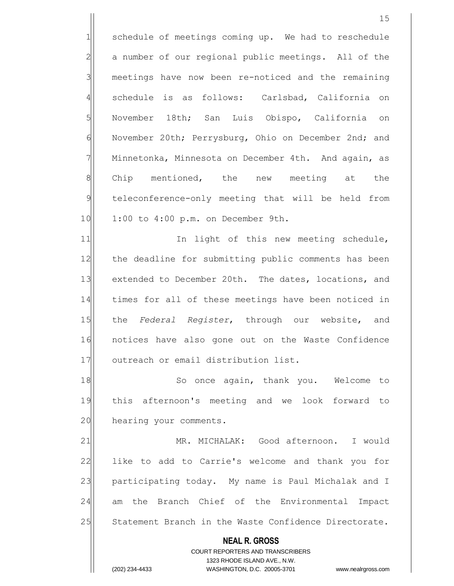1 schedule of meetings coming up. We had to reschedule 2 a number of our regional public meetings. All of the 3 meetings have now been re-noticed and the remaining 4 schedule is as follows: Carlsbad, California on 5 November 18th; San Luis Obispo, California on 6 November 20th; Perrysburg, Ohio on December 2nd; and  $7$  Minnetonka, Minnesota on December 4th. And again, as 8 Chip mentioned, the new meeting at the 9 teleconference-only meeting that will be held from 10 1:00 to 4:00 p.m. on December 9th.

11 11 In light of this new meeting schedule, 12 the deadline for submitting public comments has been 13 extended to December 20th. The dates, locations, and 14 times for all of these meetings have been noticed in 15 the *Federal Register*, through our website, and 16 notices have also gone out on the Waste Confidence 17 outreach or email distribution list.

18 So once again, thank you. Welcome to 19 this afternoon's meeting and we look forward to 20 hearing your comments.

21 MR. MICHALAK: Good afternoon. I would 22 like to add to Carrie's welcome and thank you for 23 participating today. My name is Paul Michalak and I 24 am the Branch Chief of the Environmental Impact 25 Statement Branch in the Waste Confidence Directorate.

> **NEAL R. GROSS** COURT REPORTERS AND TRANSCRIBERS 1323 RHODE ISLAND AVE., N.W. (202) 234-4433 WASHINGTON, D.C. 20005-3701 www.nealrgross.com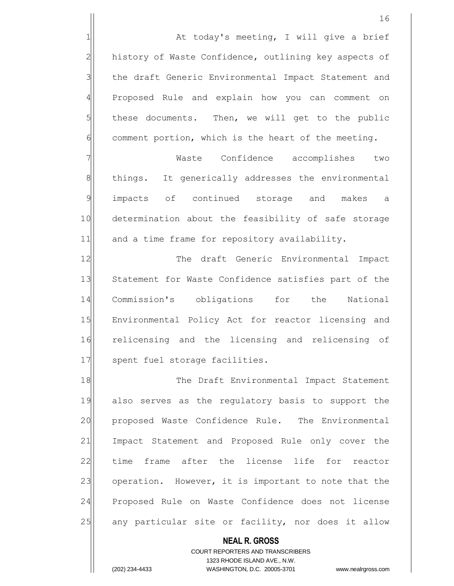1 at today's meeting, I will give a brief 2 history of Waste Confidence, outlining key aspects of 3 the draft Generic Environmental Impact Statement and 4 Proposed Rule and explain how you can comment on 5 these documents. Then, we will get to the public  $6$  comment portion, which is the heart of the meeting.

7 | Waste Confidence accomplishes two 8 8 8 things. It generically addresses the environmental 9 impacts of continued storage and makes a 10 determination about the feasibility of safe storage 11 and a time frame for repository availability.

12 The draft Generic Environmental Impact 13 Statement for Waste Confidence satisfies part of the 14 Commission's obligations for the National 15 Environmental Policy Act for reactor licensing and 16 relicensing and the licensing and relicensing of 17 Spent fuel storage facilities.

18 || The Draft Environmental Impact Statement 19 also serves as the regulatory basis to support the 20 proposed Waste Confidence Rule. The Environmental 21 Impact Statement and Proposed Rule only cover the 22 time frame after the license life for reactor 23 operation. However, it is important to note that the 24 Proposed Rule on Waste Confidence does not license 25 any particular site or facility, nor does it allow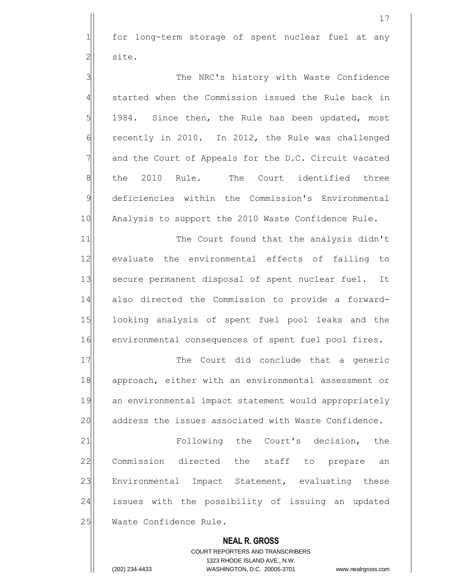1 for long-term storage of spent nuclear fuel at any 2<sup>1</sup> site.

3 3 The NRC's history with Waste Confidence 4 started when the Commission issued the Rule back in 5 1984. Since then, the Rule has been updated, most  $\delta$  recently in 2010. In 2012, the Rule was challenged 7 and the Court of Appeals for the D.C. Circuit vacated 8 the 2010 Rule. The Court identified three 9 deficiencies within the Commission's Environmental 10 Analysis to support the 2010 Waste Confidence Rule.

11 The Court found that the analysis didn't 12 evaluate the environmental effects of failing to 13 Secure permanent disposal of spent nuclear fuel. It 14 also directed the Commission to provide a forward-15 looking analysis of spent fuel pool leaks and the 16 environmental consequences of spent fuel pool fires.

17 The Court did conclude that a generic 18 approach, either with an environmental assessment or 19 an environmental impact statement would appropriately 20 address the issues associated with Waste Confidence.

21 **Produce** Following the Court's decision, the 22 Commission directed the staff to prepare an 23 Environmental Impact Statement, evaluating these 24 issues with the possibility of issuing an updated 25 Waste Confidence Rule.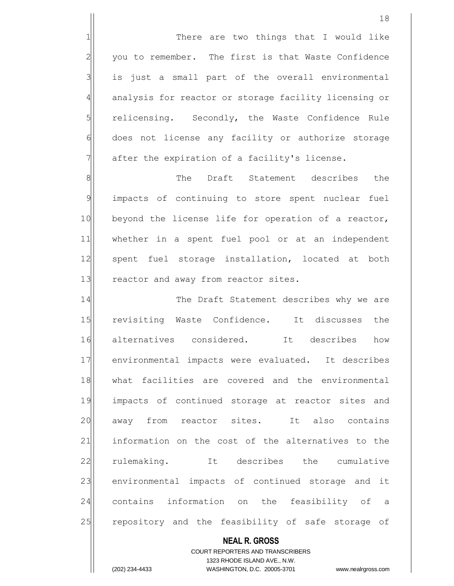1 1 There are two things that I would like  $2$  you to remember. The first is that Waste Confidence  $3$  is just a small part of the overall environmental 4 analysis for reactor or storage facility licensing or 5 5 relicensing. Secondly, the Waste Confidence Rule 6 does not license any facility or authorize storage  $7$  after the expiration of a facility's license.

8 8 Richmond Charles The Draft Statement describes the 9 impacts of continuing to store spent nuclear fuel 10 beyond the license life for operation of a reactor, 11 whether in a spent fuel pool or at an independent 12 spent fuel storage installation, located at both 13 reactor and away from reactor sites.

14 The Draft Statement describes why we are 15 revisiting Waste Confidence. It discusses the 16 alternatives considered. It describes how 17 environmental impacts were evaluated. It describes 18 what facilities are covered and the environmental 19 impacts of continued storage at reactor sites and 20 away from reactor sites. It also contains 21 information on the cost of the alternatives to the 22 rulemaking. It describes the cumulative 23 environmental impacts of continued storage and it 24 contains information on the feasibility of a 25 repository and the feasibility of safe storage of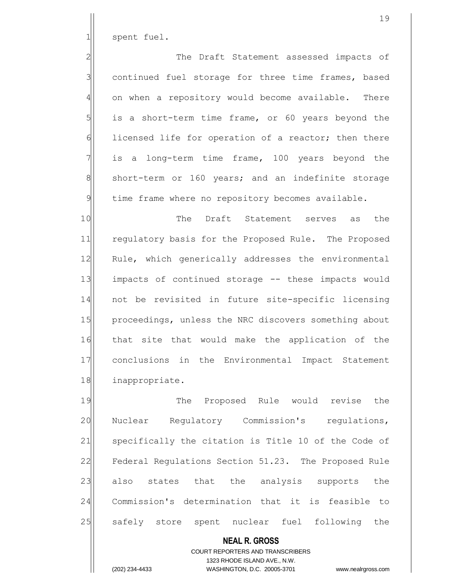1 spent fuel.

2 2 The Draft Statement assessed impacts of  $3$  continued fuel storage for three time frames, based  $4$  on when a repository would become available. There  $5$  is a short-term time frame, or 60 years beyond the 6 1icensed life for operation of a reactor; then there  $7$  is a long-term time frame, 100 years beyond the 8 short-term or 160 years; and an indefinite storage 9 time frame where no repository becomes available.

10 The Draft Statement serves as the 11 regulatory basis for the Proposed Rule. The Proposed 12 Rule, which generically addresses the environmental 13 impacts of continued storage -- these impacts would 14 not be revisited in future site-specific licensing 15 proceedings, unless the NRC discovers something about 16 that site that would make the application of the 17 conclusions in the Environmental Impact Statement 18 inappropriate.

19 The Proposed Rule would revise the 20 Nuclear Requiatory Commission's requiations, 21 specifically the citation is Title 10 of the Code of 22 Federal Regulations Section 51.23. The Proposed Rule 23 also states that the analysis supports the 24 Commission's determination that it is feasible to 25 safely store spent nuclear fuel following the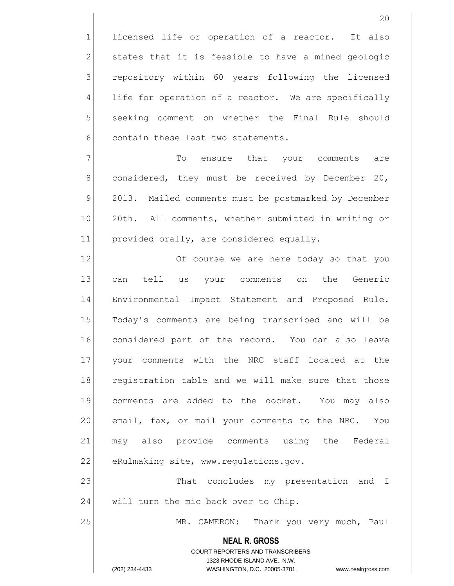1 licensed life or operation of a reactor. It also  $2$  states that it is feasible to have a mined geologic 3 repository within 60 years following the licensed  $4$  life for operation of a reactor. We are specifically 5 seeking comment on whether the Final Rule should 6 contain these last two statements.

7 To ensure that your comments are  $8$  considered, they must be received by December 20, 9 2013. Mailed comments must be postmarked by December 10 20th. All comments, whether submitted in writing or 11 provided orally, are considered equally.

12 Of course we are here today so that you 13 can tell us your comments on the Generic 14 Environmental Impact Statement and Proposed Rule. 15 Today's comments are being transcribed and will be 16 considered part of the record. You can also leave 17 your comments with the NRC staff located at the 18 registration table and we will make sure that those 19 comments are added to the docket. You may also 20 email, fax, or mail your comments to the NRC. You 21 may also provide comments using the Federal 22 eRulmaking site, www.regulations.gov. 23 That concludes my presentation and I

 $24$  will turn the mic back over to Chip.

25 MR. CAMERON: Thank you very much, Paul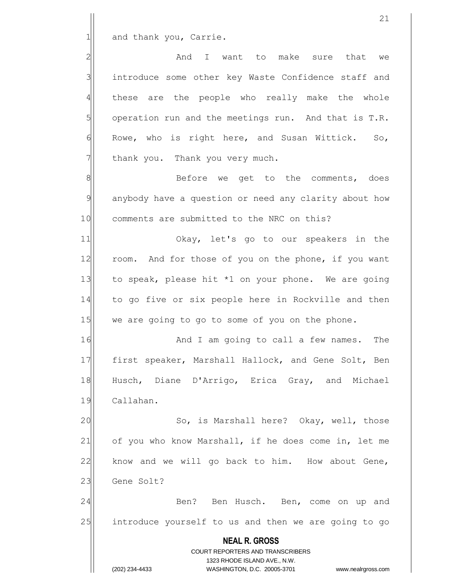1 and thank you, Carrie.

2 and I want to make sure that we 3 introduce some other key Waste Confidence staff and these are the people who really make the whole operation run and the meetings run. And that is T.R. Rowe, who is right here, and Susan Wittick. So, thank you. Thank you very much.

8 8 Before we get to the comments, does 9 anybody have a question or need any clarity about how 10 comments are submitted to the NRC on this?

11 Okay, let's go to our speakers in the 12 room. And for those of you on the phone, if you want 13 to speak, please hit  $*1$  on your phone. We are going 14 to go five or six people here in Rockville and then  $15$  we are going to go to some of you on the phone.

16 and I am going to call a few names. The 17 | first speaker, Marshall Hallock, and Gene Solt, Ben 18 Husch, Diane D'Arrigo, Erica Gray, and Michael 19 Callahan.

20 So, is Marshall here? Okay, well, those 21 of you who know Marshall, if he does come in, let me  $22$  know and we will go back to him. How about Gene, 23 Gene Solt?

24 Ben? Ben Husch. Ben, come on up and 25 introduce yourself to us and then we are going to go

> **NEAL R. GROSS** COURT REPORTERS AND TRANSCRIBERS 1323 RHODE ISLAND AVE., N.W. (202) 234-4433 WASHINGTON, D.C. 20005-3701 www.nealrgross.com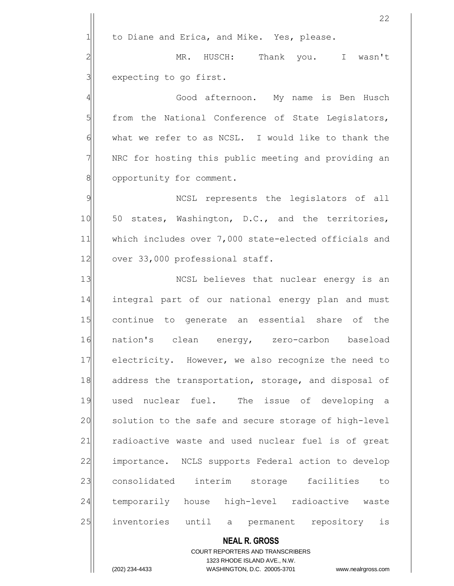$1$  to Diane and Erica, and Mike. Yes, please.

2 MR. HUSCH: Thank you. I wasn't  $3$  expecting to go first.

4 Good afternoon. My name is Ben Husch  $5$  from the National Conference of State Legislators,  $6$  what we refer to as NCSL. I would like to thank the 7 NRC for hosting this public meeting and providing an 8 opportunity for comment.

9 MCSL represents the legislators of all 10 50 states, Washington, D.C., and the territories, 11 which includes over 7,000 state-elected officials and 12 over 33,000 professional staff.

13 NCSL believes that nuclear energy is an 14 integral part of our national energy plan and must 15 continue to generate an essential share of the 16 nation's clean energy, zero-carbon baseload 17 electricity. However, we also recognize the need to 18 address the transportation, storage, and disposal of 19 used nuclear fuel. The issue of developing a 20 solution to the safe and secure storage of high-level 21 radioactive waste and used nuclear fuel is of great 22 importance. NCLS supports Federal action to develop 23 consolidated interim storage facilities to 24 temporarily house high-level radioactive waste 25 inventories until a permanent repository is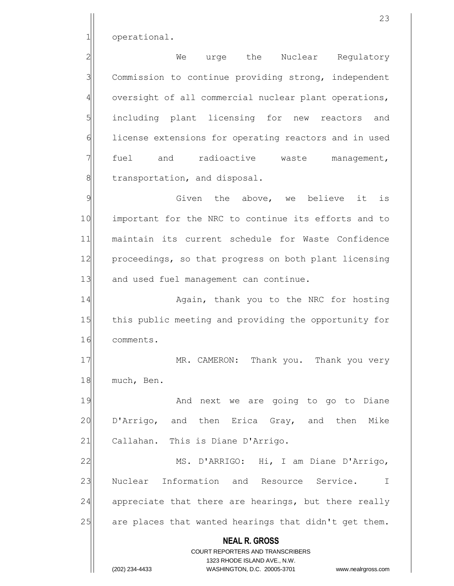1 operational.

2 We urge the Nuclear Regulatory 3 Commission to continue providing strong, independent 4 oversight of all commercial nuclear plant operations, 5 including plant licensing for new reactors and 6 6 license extensions for operating reactors and in used  $7$  fuel and radioactive waste management, 8 SI transportation, and disposal.

9 9 Given the above, we believe it is 10 important for the NRC to continue its efforts and to 11 maintain its current schedule for Waste Confidence 12 proceedings, so that progress on both plant licensing 13 and used fuel management can continue.

14 Again, thank you to the NRC for hosting 15 this public meeting and providing the opportunity for 16 comments.

17 MR. CAMERON: Thank you. Thank you very 18 much, Ben.

19 and next we are going to go to Diane 20 D'Arrigo, and then Erica Gray, and then Mike 21 Callahan. This is Diane D'Arrigo.

22 MS. D'ARRIGO: Hi, I am Diane D'Arrigo, 23 Nuclear Information and Resource Service. I 24 appreciate that there are hearings, but there really 25 are places that wanted hearings that didn't get them.

> **NEAL R. GROSS** COURT REPORTERS AND TRANSCRIBERS

1323 RHODE ISLAND AVE., N.W. (202) 234-4433 WASHINGTON, D.C. 20005-3701 www.nealrgross.com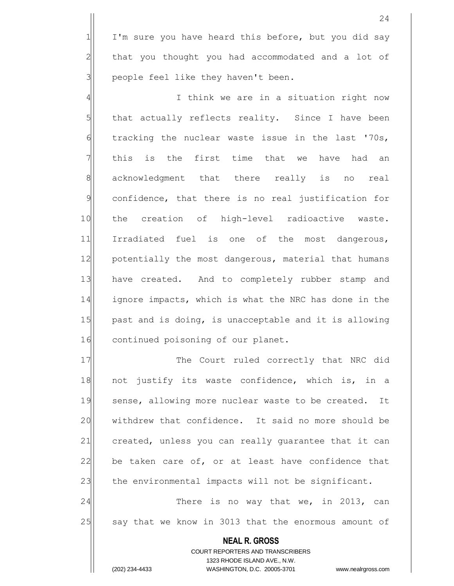$1$  I'm sure you have heard this before, but you did say  $2$  that you thought you had accommodated and a lot of  $3$  people feel like they haven't been.

4 all interval think we are in a situation right now  $5$  that actually reflects reality. Since I have been  $6$  tracking the nuclear waste issue in the last '70s,  $7$  this is the first time that we have had an 8 acknowledgment that there really is no real 9 confidence, that there is no real justification for 10 the creation of high-level radioactive waste. 11 Irradiated fuel is one of the most dangerous, 12 potentially the most dangerous, material that humans 13 have created. And to completely rubber stamp and 14 ignore impacts, which is what the NRC has done in the 15 past and is doing, is unacceptable and it is allowing 16 continued poisoning of our planet.

17 The Court ruled correctly that NRC did 18 not justify its waste confidence, which is, in a 19 sense, allowing more nuclear waste to be created. It 20 vithdrew that confidence. It said no more should be 21 created, unless you can really quarantee that it can 22 be taken care of, or at least have confidence that 23 the environmental impacts will not be significant.

24 There is no way that we, in 2013, can 25 say that we know in 3013 that the enormous amount of

> **NEAL R. GROSS** COURT REPORTERS AND TRANSCRIBERS 1323 RHODE ISLAND AVE., N.W. (202) 234-4433 WASHINGTON, D.C. 20005-3701 www.nealrgross.com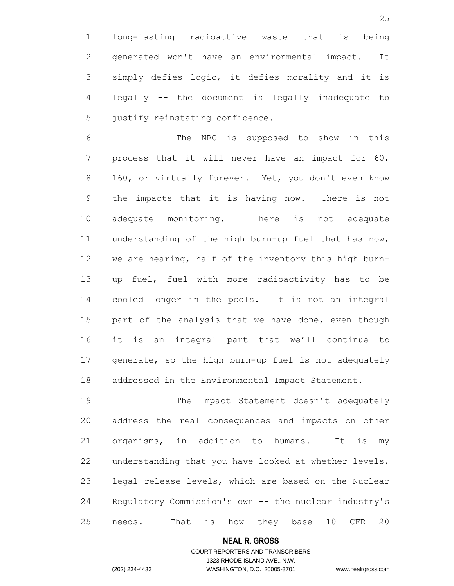1 long-lasting radioactive waste that is being 2 generated won't have an environmental impact. It  $3$  simply defies logic, it defies morality and it is  $4$  legally  $-$  the document is legally inadequate to  $5$  justify reinstating confidence.

6 6 The NRC is supposed to show in this  $7$  process that it will never have an impact for 60, 8 160, or virtually forever. Yet, you don't even know 9 the impacts that it is having now. There is not 10 adequate monitoring. There is not adequate 11 understanding of the high burn-up fuel that has now, 12 we are hearing, half of the inventory this high burn-13| up fuel, fuel with more radioactivity has to be 14 cooled longer in the pools. It is not an integral 15 part of the analysis that we have done, even though 16 it is an integral part that we'll continue to 17 generate, so the high burn-up fuel is not adequately 18 addressed in the Environmental Impact Statement.

19 The Impact Statement doesn't adequately 20 address the real consequences and impacts on other 21 organisms, in addition to humans. It is my 22 understanding that you have looked at whether levels, 23 legal release levels, which are based on the Nuclear 24 Regulatory Commission's own -- the nuclear industry's 25 | needs. That is how they base 10 CFR 20

**NEAL R. GROSS**

COURT REPORTERS AND TRANSCRIBERS 1323 RHODE ISLAND AVE., N.W.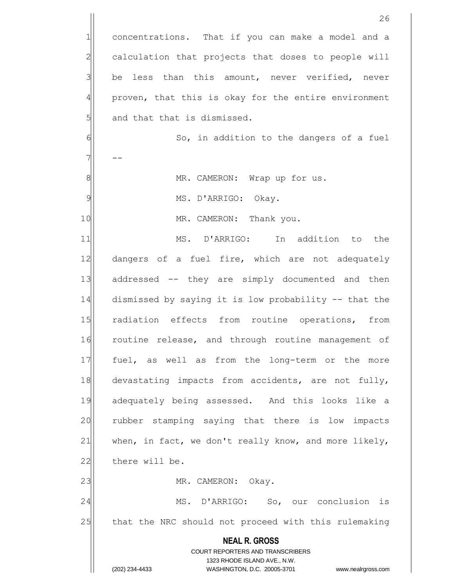**NEAL R. GROSS** COURT REPORTERS AND TRANSCRIBERS 1323 RHODE ISLAND AVE., N.W. (202) 234-4433 WASHINGTON, D.C. 20005-3701 www.nealrgross.com 26 1 concentrations. That if you can make a model and a  $2$  calculation that projects that doses to people will  $3$  be less than this amount, never verified, never 4 proven, that this is okay for the entire environment  $5$  and that that is dismissed. 6 6 So, in addition to the dangers of a fuel  $7$  --8 | MR. CAMERON: Wrap up for us. 9 MS. D'ARRIGO: Okay. 10 MR. CAMERON: Thank you. 11 MS. D'ARRIGO: In addition to the 12 dangers of a fuel fire, which are not adequately 13 addressed -- they are simply documented and then 14 dismissed by saying it is low probability -- that the 15 radiation effects from routine operations, from 16 routine release, and through routine management of 17 fuel, as well as from the long-term or the more 18 devastating impacts from accidents, are not fully, 19 adequately being assessed. And this looks like a 20 rubber stamping saying that there is low impacts 21 when, in fact, we don't really know, and more likely, 22 there will be. 23 MR. CAMERON: Okay. 24 MS. D'ARRIGO: So, our conclusion is 25 that the NRC should not proceed with this rulemaking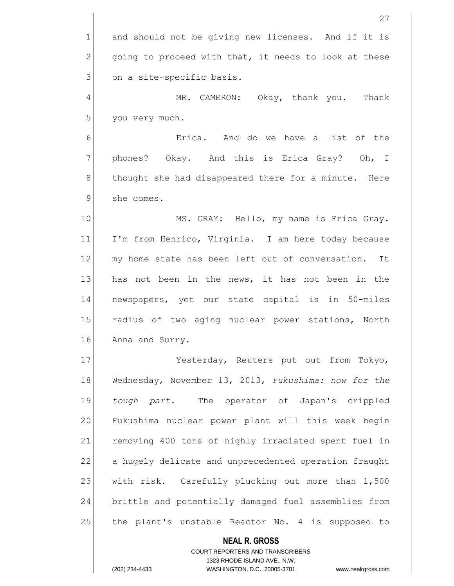1 and should not be giving new licenses. And if it is  $2$  going to proceed with that, it needs to look at these  $3$  on a site-specific basis.

4 | MR. CAMERON: Okay, thank you. Thank  $5$  you very much.

6 6 **Example 1** Exploration and do we have a list of the 7 || phones? Okay. And this is Erica Gray? Oh, I 8 thought she had disappeared there for a minute. Here 9 she comes.

10 MS. GRAY: Hello, my name is Erica Gray. 11 I'm from Henrico, Virginia. I am here today because 12 my home state has been left out of conversation. It 13 has not been in the news, it has not been in the 14 newspapers, yet our state capital is in 50-miles 15 radius of two aging nuclear power stations, North 16 Anna and Surry.

17 Yesterday, Reuters put out from Tokyo, 18 Wednesday, November 13, 2013, *Fukushima: now for the* 19 *tough part*. The operator of Japan's crippled 20 Fukushima nuclear power plant will this week begin 21 removing 400 tons of highly irradiated spent fuel in 22 a hugely delicate and unprecedented operation fraught 23 with risk. Carefully plucking out more than 1,500 24 brittle and potentially damaged fuel assemblies from 25 the plant's unstable Reactor No. 4 is supposed to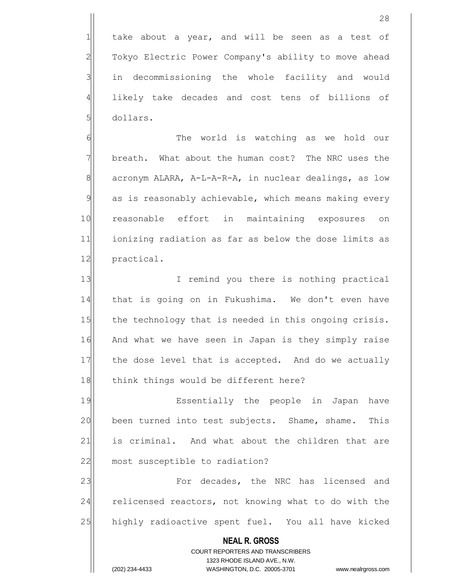$1$  take about a year, and will be seen as a test of 2 Tokyo Electric Power Company's ability to move ahead 3 in decommissioning the whole facility and would 4 likely take decades and cost tens of billions of 5 dollars.

6 6 The world is watching as we hold our 7 7 breath. What about the human cost? The NRC uses the 8 acronym ALARA, A-L-A-R-A, in nuclear dealings, as low 9 as is reasonably achievable, which means making every 10 reasonable effort in maintaining exposures on 11 ionizing radiation as far as below the dose limits as 12 practical.

13 I remind you there is nothing practical 14 that is going on in Fukushima. We don't even have 15 the technology that is needed in this ongoing crisis. 16 And what we have seen in Japan is they simply raise 17 the dose level that is accepted. And do we actually 18 think things would be different here?

19 Ressentially the people in Japan have 20 been turned into test subjects. Shame, shame. This 21 is criminal. And what about the children that are 22 most susceptible to radiation?

23 For decades, the NRC has licensed and 24 relicensed reactors, not knowing what to do with the 25 highly radioactive spent fuel. You all have kicked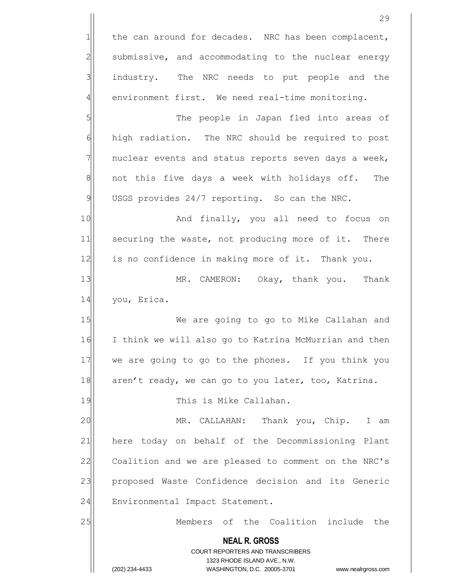**NEAL R. GROSS** COURT REPORTERS AND TRANSCRIBERS 1323 RHODE ISLAND AVE., N.W. (202) 234-4433 WASHINGTON, D.C. 20005-3701 www.nealrgross.com 29  $1$  the can around for decades. NRC has been complacent,  $2$  submissive, and accommodating to the nuclear energy 3 industry. The NRC needs to put people and the  $4$  environment first. We need real-time monitoring. 5 | S| The people in Japan fled into areas of 6 high radiation. The NRC should be required to post  $7$  nuclear events and status reports seven days a week, 8 8 8 not this five days a week with holidays off. The  $9$  USGS provides 24/7 reporting. So can the NRC. 10 and finally, you all need to focus on 11 securing the waste, not producing more of it. There 12 is no confidence in making more of it. Thank you. 13 MR. CAMERON: Okay, thank you. Thank 14 you, Erica. 15 We are going to go to Mike Callahan and 16 I think we will also go to Katrina McMurrian and then 17 we are going to go to the phones. If you think you 18 aren't ready, we can go to you later, too, Katrina. 19 and 19 This is Mike Callahan. 20 MR. CALLAHAN: Thank you, Chip. I am 21 here today on behalf of the Decommissioning Plant 22 Coalition and we are pleased to comment on the NRC's 23 proposed Waste Confidence decision and its Generic 24 Environmental Impact Statement. 25 Members of the Coalition include the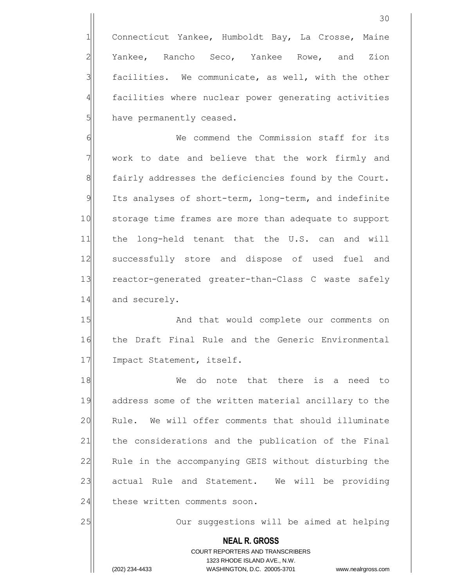1 Connecticut Yankee, Humboldt Bay, La Crosse, Maine 2 Yankee, Rancho Seco, Yankee Rowe, and Zion  $3$  facilities. We communicate, as well, with the other 4 facilities where nuclear power generating activities 5 have permanently ceased.

6 Me commend the Commission staff for its  $7$  work to date and believe that the work firmly and 8 fairly addresses the deficiencies found by the Court. 9 Its analyses of short-term, long-term, and indefinite 10 storage time frames are more than adequate to support 11 the long-held tenant that the U.S. can and will 12 successfully store and dispose of used fuel and 13 reactor-generated greater-than-Class C waste safely 14 and securely.

15 And that would complete our comments on 16 the Draft Final Rule and the Generic Environmental 17 Impact Statement, itself.

18 a 18 We do note that there is a need to 19 address some of the written material ancillary to the 20 Rule. We will offer comments that should illuminate 21 | the considerations and the publication of the Final 22 Rule in the accompanying GEIS without disturbing the 23 actual Rule and Statement. We will be providing 24 these written comments soon.

25 Our suggestions will be aimed at helping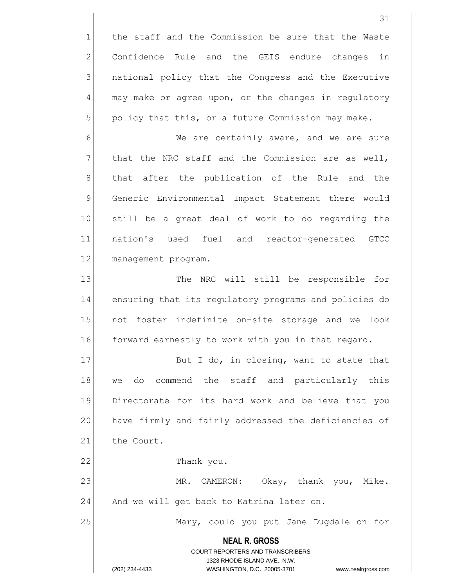1 the staff and the Commission be sure that the Waste 2 Confidence Rule and the GEIS endure changes in 3 | national policy that the Congress and the Executive  $4$  may make or agree upon, or the changes in regulatory  $5$  policy that this, or a future Commission may make.

6 6 We are certainly aware, and we are sure  $7$  that the NRC staff and the Commission are as well, 8 8 8 that after the publication of the Rule and the 9 Generic Environmental Impact Statement there would 10 still be a great deal of work to do regarding the 11 nation's used fuel and reactor-generated GTCC 12 management program.

13 The NRC will still be responsible for 14 ensuring that its regulatory programs and policies do 15 not foster indefinite on-site storage and we look 16 forward earnestly to work with you in that regard.

17 But I do, in closing, want to state that 18 we do commend the staff and particularly this 19 Directorate for its hard work and believe that you 20 have firmly and fairly addressed the deficiencies of 21 the Court.

22 a Thank you.

23 MR. CAMERON: Okay, thank you, Mike.  $24$  And we will get back to Katrina later on.

25 Mary, could you put Jane Dugdale on for

**NEAL R. GROSS** COURT REPORTERS AND TRANSCRIBERS 1323 RHODE ISLAND AVE., N.W. (202) 234-4433 WASHINGTON, D.C. 20005-3701 www.nealrgross.com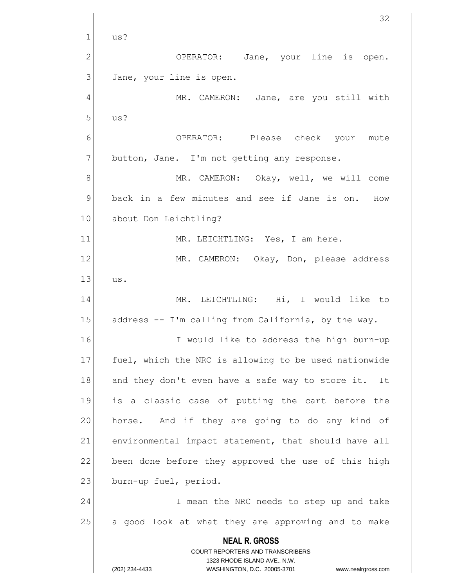**NEAL R. GROSS** COURT REPORTERS AND TRANSCRIBERS 1323 RHODE ISLAND AVE., N.W. (202) 234-4433 WASHINGTON, D.C. 20005-3701 www.nealrgross.com 32  $1$ | us? 2 OPERATOR: Jane, your line is open. 3 Jane, your line is open. 4 MR. CAMERON: Jane, are you still with  $5$  us? 6 6 OPERATOR: Please check your mute  $7$  button, Jane. I'm not getting any response. 8 MR. CAMERON: Okay, well, we will come 9 back in a few minutes and see if Jane is on. How 10 about Don Leichtling? 11 MR. LEICHTLING: Yes, I am here. 12 MR. CAMERON: Okay, Don, please address  $13$  us. 14 MR. LEICHTLING: Hi, I would like to 15 address -- I'm calling from California, by the way. 16 I would like to address the high burn-up 17 | fuel, which the NRC is allowing to be used nationwide 18 and they don't even have a safe way to store it. It 19 is a classic case of putting the cart before the 20 horse. And if they are going to do any kind of 21 environmental impact statement, that should have all 22 been done before they approved the use of this high 23 burn-up fuel, period. 24 I mean the NRC needs to step up and take 25 a good look at what they are approving and to make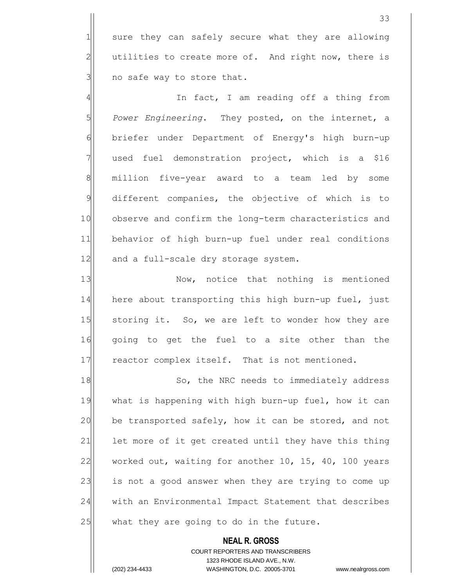1 sure they can safely secure what they are allowing  $2$  utilities to create more of. And right now, there is  $3$  no safe way to store that.

4 and In fact, I am reading off a thing from 5 **Power Engineering.** They posted, on the internet, a 6 briefer under Department of Energy's high burn-up  $7$  used fuel demonstration project, which is a \$16 8 million five-year award to a team led by some 9 different companies, the objective of which is to 10 observe and confirm the long-term characteristics and 11 behavior of high burn-up fuel under real conditions 12 and a full-scale dry storage system.

13 Now, notice that nothing is mentioned 14 here about transporting this high burn-up fuel, just 15 Storing it. So, we are left to wonder how they are 16 qoing to get the fuel to a site other than the 17 reactor complex itself. That is not mentioned.

18 So, the NRC needs to immediately address 19 what is happening with high burn-up fuel, how it can 20 be transported safely, how it can be stored, and not 21 let more of it get created until they have this thing 22 worked out, waiting for another 10, 15, 40, 100 years 23 is not a good answer when they are trying to come up 24 with an Environmental Impact Statement that describes  $25$  what they are going to do in the future.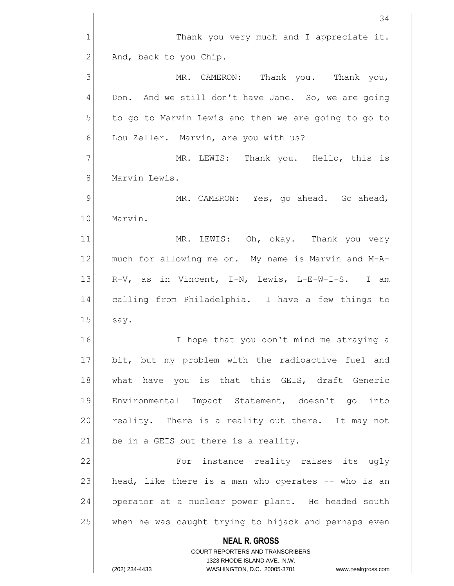|                | 34                                                                                                  |
|----------------|-----------------------------------------------------------------------------------------------------|
| 1              | Thank you very much and I appreciate it.                                                            |
| $\mathbf{2}$   | And, back to you Chip.                                                                              |
| 3              | MR. CAMERON: Thank you. Thank you,                                                                  |
| $\overline{4}$ | Don. And we still don't have Jane. So, we are going                                                 |
| 5              | to go to Marvin Lewis and then we are going to go to                                                |
| 6              | Lou Zeller. Marvin, are you with us?                                                                |
| 7              | MR. LEWIS: Thank you. Hello, this is                                                                |
| 8              | Marvin Lewis.                                                                                       |
| 9              | MR. CAMERON: Yes, go ahead. Go ahead,                                                               |
| 10             | Marvin.                                                                                             |
| 11             | MR. LEWIS: Oh, okay. Thank you very                                                                 |
| 12             | much for allowing me on. My name is Marvin and M-A-                                                 |
| 13             | R-V, as in Vincent, I-N, Lewis, L-E-W-I-S. I am                                                     |
| 14             | calling from Philadelphia. I have a few things to                                                   |
| 15             | say.                                                                                                |
| 16             | I hope that you don't mind me straying a                                                            |
| 17             | bit, but my problem with the radioactive fuel and                                                   |
| 18             | what have you is that this GEIS, draft Generic                                                      |
| 19             | Environmental Impact Statement, doesn't go into                                                     |
| 20             | reality. There is a reality out there. It may not                                                   |
| 21             | be in a GEIS but there is a reality.                                                                |
| 22             | For instance reality raises its ugly                                                                |
| 23             | head, like there is a man who operates -- who is an                                                 |
| 24             | operator at a nuclear power plant. He headed south                                                  |
| 25             | when he was caught trying to hijack and perhaps even                                                |
|                | <b>NEAL R. GROSS</b>                                                                                |
|                | COURT REPORTERS AND TRANSCRIBERS                                                                    |
|                | 1323 RHODE ISLAND AVE., N.W.<br>(202) 234-4433<br>WASHINGTON, D.C. 20005-3701<br>www.nealrgross.com |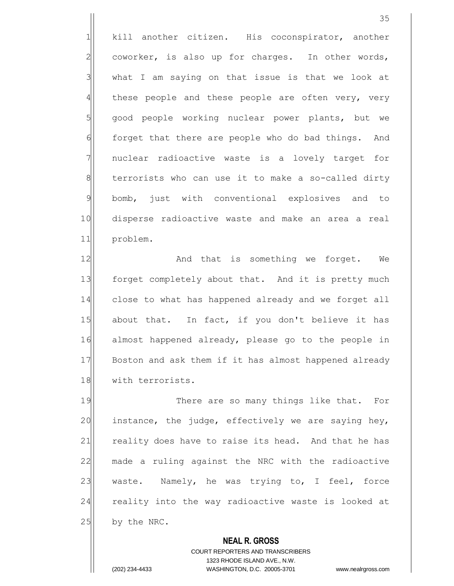1 kill another citizen. His coconspirator, another  $2$  coworker, is also up for charges. In other words,  $3$  what I am saying on that issue is that we look at 4 these people and these people are often very, very  $5$  good people working nuclear power plants, but we 6 forget that there are people who do bad things. And 7 | nuclear radioactive waste is a lovely target for 8 terrorists who can use it to make a so-called dirty 9 bomb, just with conventional explosives and to 10 disperse radioactive waste and make an area a real 11 problem.

12 and that is something we forget. We 13 forget completely about that. And it is pretty much 14 close to what has happened already and we forget all 15 about that. In fact, if you don't believe it has 16 almost happened already, please go to the people in 17 Boston and ask them if it has almost happened already 18 with terrorists.

19 There are so many things like that. For  $20$  instance, the judge, effectively we are saying hey, 21 reality does have to raise its head. And that he has 22 made a ruling against the NRC with the radioactive 23 waste. Namely, he was trying to, I feel, force 24 reality into the way radioactive waste is looked at  $25$  by the NRC.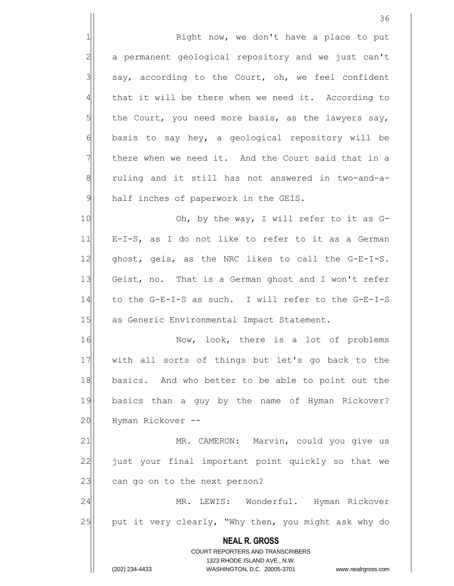1 Right now, we don't have a place to put 2 a permanent geological repository and we just can't say, according to the Court, oh, we feel confident that it will be there when we need it. According to the Court, you need more basis, as the lawyers say, basis to say hey, a geological repository will be there when we need it. And the Court said that in a 8 8 ruling and it still has not answered in two-and-a-half inches of paperwork in the GEIS.

10 Oh, by the way, I will refer to it as G-11 E-I-S, as I do not like to refer to it as a German  $12$  ghost, geis, as the NRC likes to call the G-E-I-S. 13 Geist, no. That is a German ghost and I won't refer 14 to the G-E-I-S as such. I will refer to the G-E-I-S 15 as Generic Environmental Impact Statement.

16 Now, look, there is a lot of problems 17 with all sorts of things but let's go back to the 18 basics. And who better to be able to point out the 19 basics than a guy by the name of Hyman Rickover? 20 Hyman Rickover --

21 MR. CAMERON: Marvin, could you give us 22 just your final important point quickly so that we 23 can go on to the next person?

24 MR. LEWIS: Wonderful. Hyman Rickover 25 put it very clearly, "Why then, you might ask why do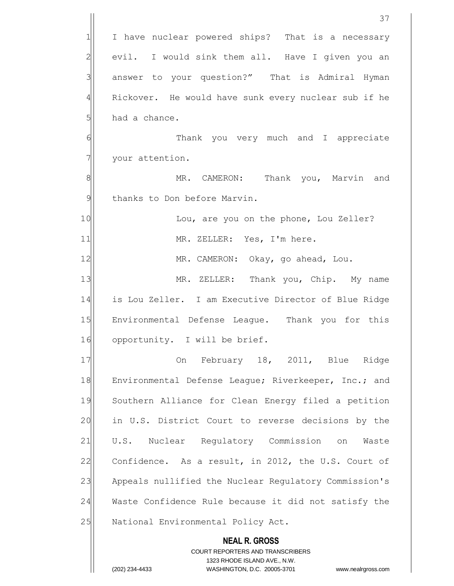|                | 37                                                                                                  |
|----------------|-----------------------------------------------------------------------------------------------------|
| $\mathbf 1$    | I have nuclear powered ships? That is a necessary                                                   |
| $\overline{2}$ | evil. I would sink them all. Have I given you an                                                    |
| 3              | answer to your question?" That is Admiral Hyman                                                     |
| 4              | Rickover. He would have sunk every nuclear sub if he                                                |
| 5              | had a chance.                                                                                       |
| 6              | Thank you very much and I appreciate                                                                |
| 7              | your attention.                                                                                     |
| 8              | MR. CAMERON: Thank you, Marvin and                                                                  |
| $\mathcal{Q}$  | thanks to Don before Marvin.                                                                        |
| 10             | Lou, are you on the phone, Lou Zeller?                                                              |
| 11             | MR. ZELLER: Yes, I'm here.                                                                          |
| 12             | MR. CAMERON: Okay, go ahead, Lou.                                                                   |
| 13             | MR. ZELLER: Thank you, Chip. My name                                                                |
| 14             | is Lou Zeller. I am Executive Director of Blue Ridge                                                |
| 15             | Environmental Defense League. Thank you for this                                                    |
| 16             | opportunity. I will be brief.                                                                       |
| 17             | On February 18, 2011, Blue Ridge                                                                    |
| 18             | Environmental Defense League; Riverkeeper, Inc.; and                                                |
| 19             | Southern Alliance for Clean Energy filed a petition                                                 |
| 20             | in U.S. District Court to reverse decisions by the                                                  |
| 21             | U.S. Nuclear Regulatory Commission on Waste                                                         |
| 22             | Confidence. As a result, in 2012, the U.S. Court of                                                 |
| 23             | Appeals nullified the Nuclear Regulatory Commission's                                               |
| 24             | Waste Confidence Rule because it did not satisfy the                                                |
| 25             | National Environmental Policy Act.                                                                  |
|                | <b>NEAL R. GROSS</b>                                                                                |
|                | COURT REPORTERS AND TRANSCRIBERS                                                                    |
|                | 1323 RHODE ISLAND AVE., N.W.<br>(202) 234-4433<br>WASHINGTON, D.C. 20005-3701<br>www.nealrgross.com |
|                |                                                                                                     |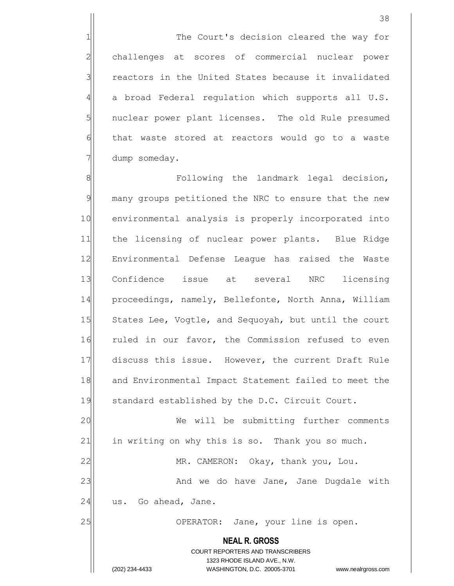1 The Court's decision cleared the way for 2 challenges at scores of commercial nuclear power 3 3 reactors in the United States because it invalidated  $4$  a broad Federal regulation which supports all U.S. 5 | nuclear power plant licenses. The old Rule presumed 6 that waste stored at reactors would go to a waste 7 dump someday.

8 8 Following the landmark legal decision, 9 many groups petitioned the NRC to ensure that the new 10 environmental analysis is properly incorporated into 11 the licensing of nuclear power plants. Blue Ridge 12 Environmental Defense League has raised the Waste 13 Confidence issue at several NRC licensing 14 proceedings, namely, Bellefonte, North Anna, William 15 States Lee, Vogtle, and Sequoyah, but until the court 16 ruled in our favor, the Commission refused to even 17 discuss this issue. However, the current Draft Rule 18 and Environmental Impact Statement failed to meet the 19 Standard established by the D.C. Circuit Court.

20 We will be submitting further comments 21 in writing on why this is so. Thank you so much. 22 MR. CAMERON: Okay, thank you, Lou.

23 And we do have Jane, Jane Dugdale with  $24$  us. Go ahead, Jane.

25 | OPERATOR: Jane, your line is open.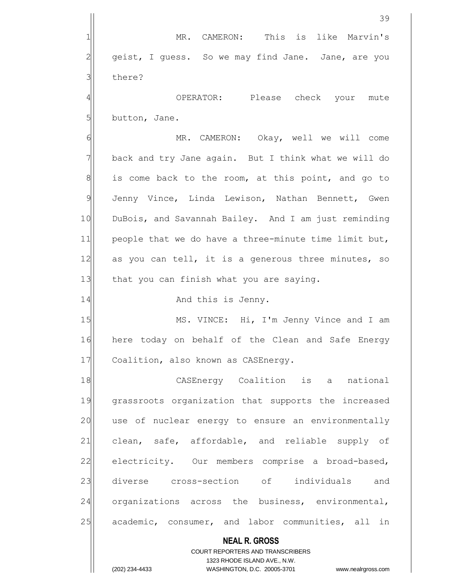**NEAL R. GROSS** COURT REPORTERS AND TRANSCRIBERS 1323 RHODE ISLAND AVE., N.W. 39 1| MR. CAMERON: This is like Marvin's  $2$  geist, I guess. So we may find Jane. Jane, are you 3 there? 4 and the CPERATOR: Please check your mute  $5$  button, Jane. 6 MR. CAMERON: Okay, well we will come 7 back and try Jane again. But I think what we will do  $8$  is come back to the room, at this point, and go to 9 Jenny Vince, Linda Lewison, Nathan Bennett, Gwen 10 DuBois, and Savannah Bailey. And I am just reminding 11 $\vert$  people that we do have a three-minute time limit but, 12 as you can tell, it is a generous three minutes, so 13 that you can finish what you are saying. 14 and this is Jenny. 15 MS. VINCE: Hi, I'm Jenny Vince and I am 16 here today on behalf of the Clean and Safe Energy 17 Coalition, also known as CASEnergy. 18 CASEnergy Coalition is a national 19 grassroots organization that supports the increased 20 use of nuclear energy to ensure an environmentally 21 clean, safe, affordable, and reliable supply of 22 electricity. Our members comprise a broad-based, 23 diverse cross-section of individuals and 24 organizations across the business, environmental, 25 academic, consumer, and labor communities, all in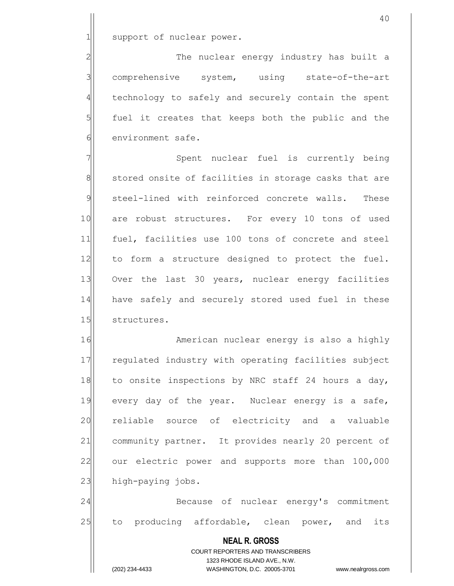1 support of nuclear power.

2 | The nuclear energy industry has built a 3 comprehensive system, using state-of-the-art  $4$  technology to safely and securely contain the spent  $5$  fuel it creates that keeps both the public and the 6 environment safe.

7 | Spent nuclear fuel is currently being 8 stored onsite of facilities in storage casks that are 9 steel-lined with reinforced concrete walls. These 10 are robust structures. For every 10 tons of used 11 fuel, facilities use 100 tons of concrete and steel 12 to form a structure designed to protect the fuel. 13 Over the last 30 years, nuclear energy facilities 14 have safely and securely stored used fuel in these 15 structures.

16 American nuclear energy is also a highly 17 regulated industry with operating facilities subject 18 to onsite inspections by NRC staff 24 hours a day, 19 every day of the year. Nuclear energy is a safe, 20 reliable source of electricity and a valuable 21| community partner. It provides nearly 20 percent of 22 our electric power and supports more than 100,000 23 high-paying jobs.

24 Because of nuclear energy's commitment 25 to producing affordable, clean power, and its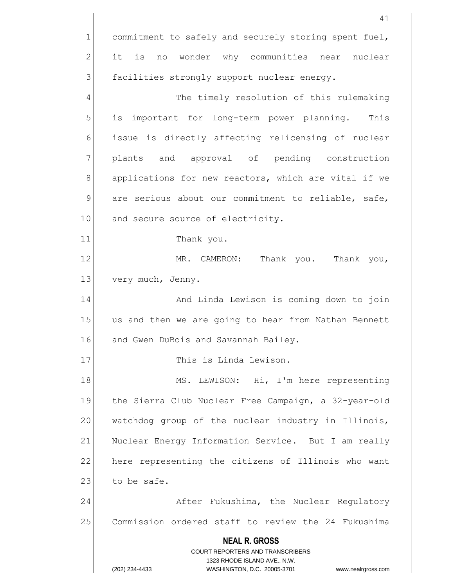|               | 41                                                                                                  |
|---------------|-----------------------------------------------------------------------------------------------------|
| 1             | commitment to safely and securely storing spent fuel,                                               |
| 2             | it is no wonder why communities near nuclear                                                        |
| 3             | facilities strongly support nuclear energy.                                                         |
| 4             | The timely resolution of this rulemaking                                                            |
| 5             | is important for long-term power planning. This                                                     |
| 6             | issue is directly affecting relicensing of nuclear                                                  |
| 7             | plants and approval of pending construction                                                         |
| 8             | applications for new reactors, which are vital if we                                                |
| $\mathcal{G}$ | are serious about our commitment to reliable, safe,                                                 |
| 10            | and secure source of electricity.                                                                   |
| 11            | Thank you.                                                                                          |
| 12            | MR. CAMERON: Thank you. Thank you,                                                                  |
| 13            | very much, Jenny.                                                                                   |
| 14            | And Linda Lewison is coming down to join                                                            |
| 15            | us and then we are going to hear from Nathan Bennett                                                |
| 16            | and Gwen DuBois and Savannah Bailey.                                                                |
| 17            | This is Linda Lewison.                                                                              |
| 18            | MS. LEWISON: Hi, I'm here representing                                                              |
| 19            | the Sierra Club Nuclear Free Campaign, a 32-year-old                                                |
| 20            | watchdog group of the nuclear industry in Illinois,                                                 |
| 21            | Nuclear Energy Information Service. But I am really                                                 |
| 22            | here representing the citizens of Illinois who want                                                 |
| 23            | to be safe.                                                                                         |
| 24            | After Fukushima, the Nuclear Regulatory                                                             |
| 25            | Commission ordered staff to review the 24 Fukushima                                                 |
|               | <b>NEAL R. GROSS</b>                                                                                |
|               | <b>COURT REPORTERS AND TRANSCRIBERS</b>                                                             |
|               | 1323 RHODE ISLAND AVE., N.W.<br>(202) 234-4433<br>WASHINGTON, D.C. 20005-3701<br>www.nealrgross.com |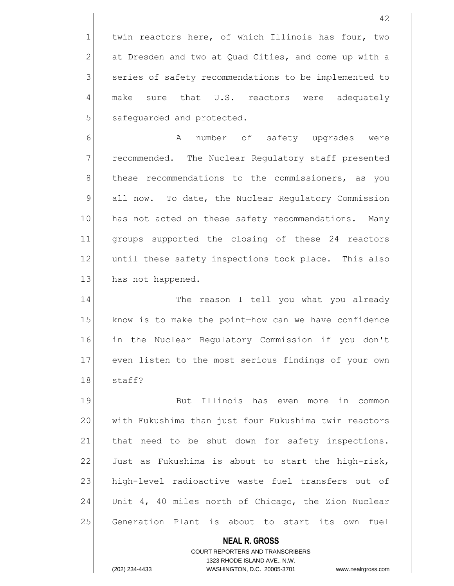1 twin reactors here, of which Illinois has four, two  $2$  at Dresden and two at Quad Cities, and come up with a 3 | series of safety recommendations to be implemented to 4 make sure that U.S. reactors were adequately 5 safeguarded and protected.

6 6 A number of safety upgrades were 7 7 recommended. The Nuclear Regulatory staff presented 8 8 these recommendations to the commissioners, as you 9 all now. To date, the Nuclear Requiatory Commission 10 has not acted on these safety recommendations. Many 11 groups supported the closing of these 24 reactors 12 until these safety inspections took place. This also 13 has not happened.

14 The reason I tell you what you already 15 know is to make the point—how can we have confidence 16 in the Nuclear Regulatory Commission if you don't 17 even listen to the most serious findings of your own 18 staff?

19 But Illinois has even more in common 20 with Fukushima than just four Fukushima twin reactors 21 | that need to be shut down for safety inspections.  $22$  Just as Fukushima is about to start the high-risk, 23 high-level radioactive waste fuel transfers out of 24 Unit 4, 40 miles north of Chicago, the Zion Nuclear 25 Generation Plant is about to start its own fuel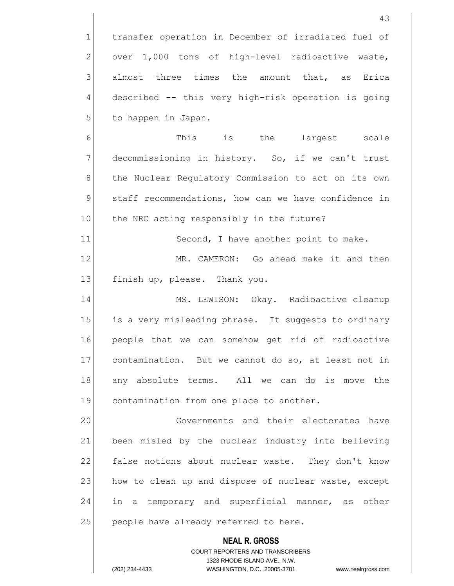1 transfer operation in December of irradiated fuel of  $2$  over 1,000 tons of high-level radioactive waste,  $3$  almost three times the amount that, as Erica 4 described -- this very high-risk operation is going 5 | to happen in Japan.

6 **1** This is the largest scale  $7$  decommissioning in history. So, if we can't trust 8 the Nuclear Regulatory Commission to act on its own 9 staff recommendations, how can we have confidence in 10 the NRC acting responsibly in the future?

11 Second, I have another point to make.

12 MR. CAMERON: Go ahead make it and then 13 finish up, please. Thank you.

14 MS. LEWISON: Okay. Radioactive cleanup 15 is a very misleading phrase. It suggests to ordinary 16 people that we can somehow get rid of radioactive 17 contamination. But we cannot do so, at least not in 18 any absolute terms. All we can do is move the 19 contamination from one place to another.

20 | Governments and their electorates have 21 been misled by the nuclear industry into believing 22 false notions about nuclear waste. They don't know 23 how to clean up and dispose of nuclear waste, except 24 in a temporary and superficial manner, as other  $25$  people have already referred to here.

> **NEAL R. GROSS** COURT REPORTERS AND TRANSCRIBERS

> > 1323 RHODE ISLAND AVE., N.W.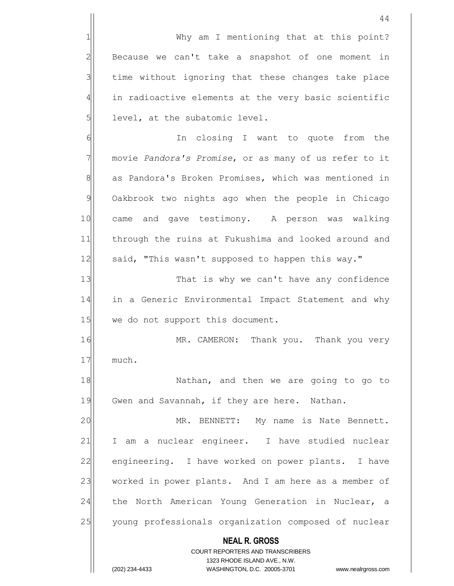1 Why am I mentioning that at this point?  $2$  Because we can't take a snapshot of one moment in  $3$  time without ignoring that these changes take place 4 in radioactive elements at the very basic scientific

6 6 In closing I want to quote from the 7 movie *Pandora's Promise*, or as many of us refer to it 8 as Pandora's Broken Promises, which was mentioned in 9 Oakbrook two nights ago when the people in Chicago 10 came and gave testimony. A person was walking 11 through the ruins at Fukushima and looked around and 12 | said, "This wasn't supposed to happen this way."

 $5$  level, at the subatomic level.

13 That is why we can't have any confidence 14 in a Generic Environmental Impact Statement and why 15 we do not support this document.

16 MR. CAMERON: Thank you. Thank you very 17 much.

18 | Nathan, and then we are going to go to 19 Gwen and Savannah, if they are here. Nathan.

20 MR. BENNETT: My name is Nate Bennett. 21 I am a nuclear engineer. I have studied nuclear 22 engineering. I have worked on power plants. I have 23 worked in power plants. And I am here as a member of 24 the North American Young Generation in Nuclear, a 25 young professionals organization composed of nuclear

## **NEAL R. GROSS**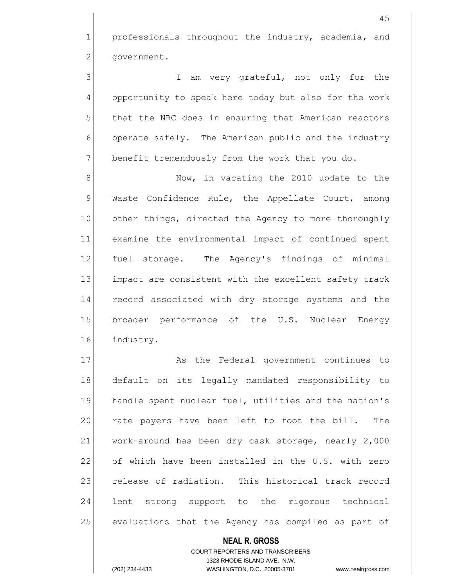1 professionals throughout the industry, academia, and 2 | qovernment.

3 3 I am very grateful, not only for the 4 opportunity to speak here today but also for the work 5 that the NRC does in ensuring that American reactors 6 operate safely. The American public and the industry  $7$  benefit tremendously from the work that you do.

8 8 Now, in vacating the 2010 update to the 9 Waste Confidence Rule, the Appellate Court, among 10 other things, directed the Agency to more thoroughly 11 examine the environmental impact of continued spent 12 | fuel storage. The Agency's findings of minimal 13 impact are consistent with the excellent safety track 14 record associated with dry storage systems and the 15 broader performance of the U.S. Nuclear Energy 16 industry.

17 As the Federal government continues to 18 default on its legally mandated responsibility to 19 handle spent nuclear fuel, utilities and the nation's 20 rate payers have been left to foot the bill. The 21 work-around has been dry cask storage, nearly 2,000 22 of which have been installed in the U.S. with zero 23 release of radiation. This historical track record 24 lent strong support to the rigorous technical 25 evaluations that the Agency has compiled as part of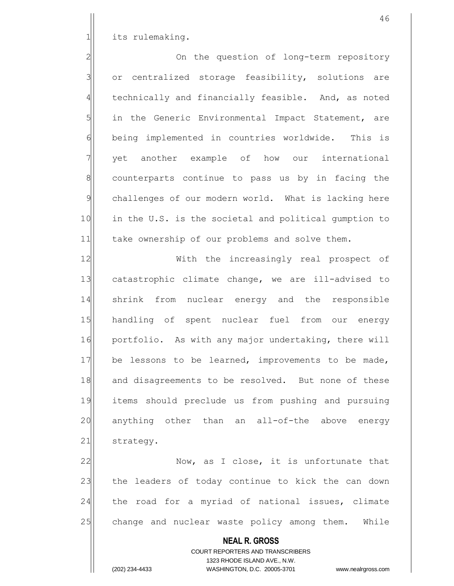1| its rulemaking.

2<sup>2</sup> 2 3 or centralized storage feasibility, solutions are 4 technically and financially feasible. And, as noted  $5$  in the Generic Environmental Impact Statement, are 6 being implemented in countries worldwide. This is 7 yet another example of how our international 8 8 8 counterparts continue to pass us by in facing the 9 challenges of our modern world. What is lacking here 10 in the U.S. is the societal and political gumption to 11 take ownership of our problems and solve them.

12 With the increasingly real prospect of 13 catastrophic climate change, we are ill-advised to 14 shrink from nuclear energy and the responsible 15 handling of spent nuclear fuel from our energy 16 portfolio. As with any major undertaking, there will 17 be lessons to be learned, improvements to be made, 18 and disagreements to be resolved. But none of these 19 items should preclude us from pushing and pursuing 20 anything other than an all-of-the above energy 21 strategy.

22 Now, as I close, it is unfortunate that 23 the leaders of today continue to kick the can down 24 the road for a myriad of national issues, climate 25 change and nuclear waste policy among them. While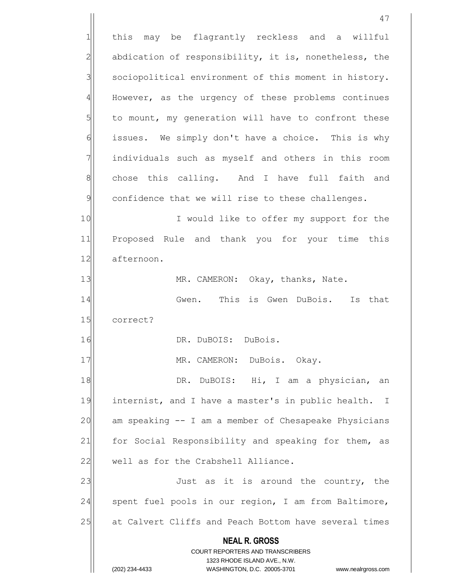**NEAL R. GROSS** COURT REPORTERS AND TRANSCRIBERS 1323 RHODE ISLAND AVE., N.W. (202) 234-4433 WASHINGTON, D.C. 20005-3701 www.nealrgross.com 47 1 this may be flagrantly reckless and a willful  $2$  abdication of responsibility, it is, nonetheless, the 3 | sociopolitical environment of this moment in history.  $4$  However, as the urgency of these problems continues  $5$  to mount, my generation will have to confront these 6 issues. We simply don't have a choice. This is why  $7$  individuals such as myself and others in this room 8 8| chose this calling. And I have full faith and  $9$  confidence that we will rise to these challenges. 10 I would like to offer my support for the 11 Proposed Rule and thank you for your time this 12 afternoon. 13 MR. CAMERON: Okay, thanks, Nate. 14 Gwen. This is Gwen DuBois. Is that 15 correct? 16 DR. DuBOIS: DuBois. 17 | MR. CAMERON: DuBois. Okay. 18 DR. DuBOIS: Hi, I am a physician, an 19 internist, and I have a master's in public health. I  $20$  am speaking  $-$  I am a member of Chesapeake Physicians 21 for Social Responsibility and speaking for them, as 22 well as for the Crabshell Alliance. 23 Just as it is around the country, the 24 | spent fuel pools in our region, I am from Baltimore, 25 at Calvert Cliffs and Peach Bottom have several times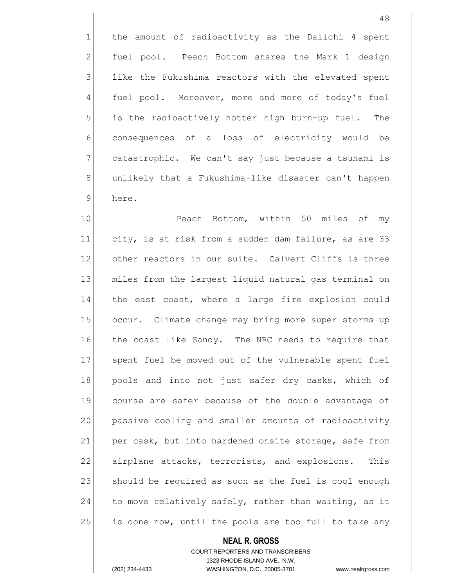1 the amount of radioactivity as the Daiichi 4 spent 2 fuel pool. Peach Bottom shares the Mark 1 design  $3$  like the Fukushima reactors with the elevated spent 4 fuel pool. Moreover, more and more of today's fuel  $5$  is the radioactively hotter high burn-up fuel. The 6 consequences of a loss of electricity would be  $7$  catastrophic. We can't say just because a tsunami is 8 8 unlikely that a Fukushima-like disaster can't happen 9 here.

10 Peach Bottom, within 50 miles of my 11 city, is at risk from a sudden dam failure, as are 33 12 other reactors in our suite. Calvert Cliffs is three 13 miles from the largest liquid natural gas terminal on 14 the east coast, where a large fire explosion could 15 occur. Climate change may bring more super storms up 16 the coast like Sandy. The NRC needs to require that 17 spent fuel be moved out of the vulnerable spent fuel 18 pools and into not just safer dry casks, which of 19 course are safer because of the double advantage of 20 passive cooling and smaller amounts of radioactivity 21 per cask, but into hardened onsite storage, safe from 22 airplane attacks, terrorists, and explosions. This 23 should be required as soon as the fuel is cool enough  $24$  to move relatively safely, rather than waiting, as it 25 is done now, until the pools are too full to take any

## **NEAL R. GROSS**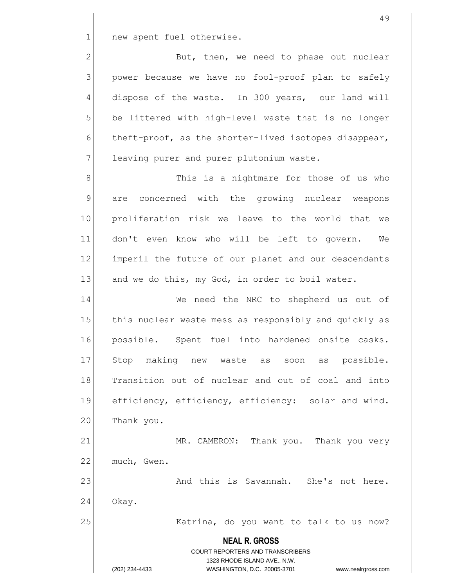1 new spent fuel otherwise.

2 But, then, we need to phase out nuclear 3 | power because we have no fool-proof plan to safely 4 dispose of the waste. In 300 years, our land will  $5$  be littered with high-level waste that is no longer  $6$  theft-proof, as the shorter-lived isotopes disappear, 7 | leaving purer and purer plutonium waste.

8 8 Nis is a nightmare for those of us who 9 are concerned with the growing nuclear weapons 10 proliferation risk we leave to the world that we 11 don't even know who will be left to govern. We 12 imperil the future of our planet and our descendants 13 and we do this, my God, in order to boil water.

14 We need the NRC to shepherd us out of 15 this nuclear waste mess as responsibly and quickly as 16 possible. Spent fuel into hardened onsite casks. 17 Stop making new waste as soon as possible. 18 Transition out of nuclear and out of coal and into 19 efficiency, efficiency, efficiency: solar and wind. 20 Thank you.

21 MR. CAMERON: Thank you. Thank you very 22 much, Gwen.

24 Okay.

23 and this is Savannah. She's not here.

25 Katrina, do you want to talk to us now?

**NEAL R. GROSS** COURT REPORTERS AND TRANSCRIBERS 1323 RHODE ISLAND AVE., N.W. (202) 234-4433 WASHINGTON, D.C. 20005-3701 www.nealrgross.com

49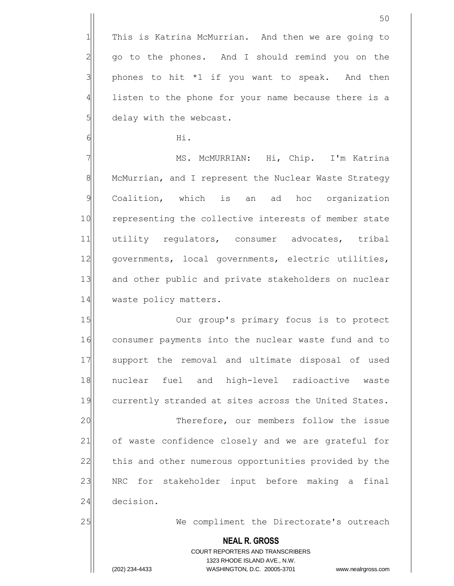1 This is Katrina McMurrian. And then we are going to  $2$  go to the phones. And I should remind you on the  $3$  phones to hit \*1 if you want to speak. And then 4 listen to the phone for your name because there is a 5 delay with the webcast.

 $\overline{6}$  Hi.

7 MS. McMURRIAN: Hi, Chip. I'm Katrina 8 McMurrian, and I represent the Nuclear Waste Strategy 9 Coalition, which is an ad hoc organization 10 representing the collective interests of member state 11 utility regulators, consumer advocates, tribal 12 | governments, local governments, electric utilities, 13 and other public and private stakeholders on nuclear 14 waste policy matters.

15 Our group's primary focus is to protect 16 consumer payments into the nuclear waste fund and to 17 Support the removal and ultimate disposal of used 18 nuclear fuel and high-level radioactive waste 19 currently stranded at sites across the United States.

20 Therefore, our members follow the issue 21 of waste confidence closely and we are grateful for 22 this and other numerous opportunities provided by the 23 | NRC for stakeholder input before making a final 24 decision.

25 We compliment the Directorate's outreach

**NEAL R. GROSS** COURT REPORTERS AND TRANSCRIBERS 1323 RHODE ISLAND AVE., N.W. (202) 234-4433 WASHINGTON, D.C. 20005-3701 www.nealrgross.com

50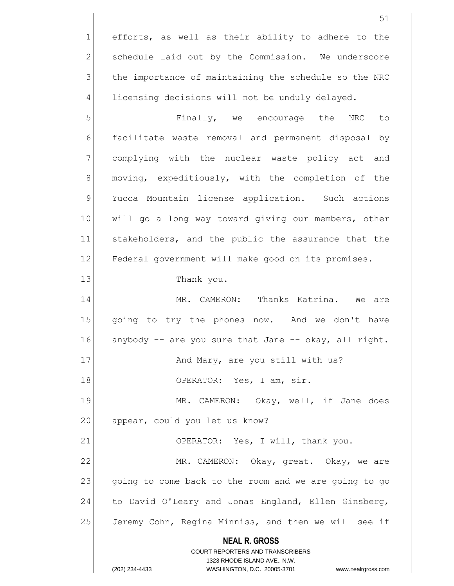1 efforts, as well as their ability to adhere to the schedule laid out by the Commission. We underscore the importance of maintaining the schedule so the NRC licensing decisions will not be unduly delayed.

5 | S| Finally, we encourage the NRC to  $6$  facilitate waste removal and permanent disposal by 7 complying with the nuclear waste policy act and 8 moving, expeditiously, with the completion of the 9 Yucca Mountain license application. Such actions 10 will go a long way toward giving our members, other 11 stakeholders, and the public the assurance that the 12 Federal government will make good on its promises.

13 Thank you.

14 MR. CAMERON: Thanks Katrina. We are 15 qoing to try the phones now. And we don't have 16 anybody  $-$  are you sure that Jane  $-$  okay, all right. 17 | And Mary, are you still with us? 18 OPERATOR: Yes, I am, sir. 19 MR. CAMERON: Okay, well, if Jane does 20 appear, could you let us know? 21 OPERATOR: Yes, I will, thank you. 22 MR. CAMERON: Okay, great. Okay, we are 23 going to come back to the room and we are going to go 24 to David O'Leary and Jonas England, Ellen Ginsberg,

25 Jeremy Cohn, Regina Minniss, and then we will see if

**NEAL R. GROSS**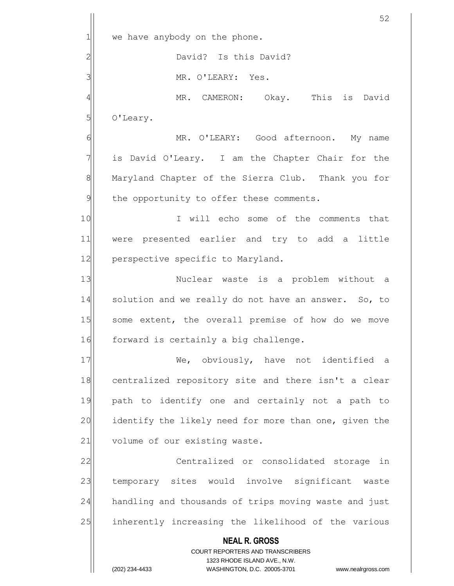**NEAL R. GROSS** COURT REPORTERS AND TRANSCRIBERS 1323 RHODE ISLAND AVE., N.W. 52  $1$  we have anybody on the phone. 2<sup>2</sup> David? Is this David? 3 MR. O'LEARY: Yes. 4 MR. CAMERON: Okay. This is David 5 O'Leary. 6 MR. O'LEARY: Good afternoon. My name  $7$  is David O'Leary. I am the Chapter Chair for the 8 Maryland Chapter of the Sierra Club. Thank you for  $9$  the opportunity to offer these comments. 10 I will echo some of the comments that 11 were presented earlier and try to add a little 12 perspective specific to Maryland. 13 | Nuclear waste is a problem without a 14 solution and we really do not have an answer. So, to 15 some extent, the overall premise of how do we move 16 forward is certainly a big challenge. 17 We, obviously, have not identified a 18 centralized repository site and there isn't a clear 19 path to identify one and certainly not a path to 20 identify the likely need for more than one, given the 21 volume of our existing waste. 22 Centralized or consolidated storage in 23 temporary sites would involve significant waste 24 handling and thousands of trips moving waste and just 25 inherently increasing the likelihood of the various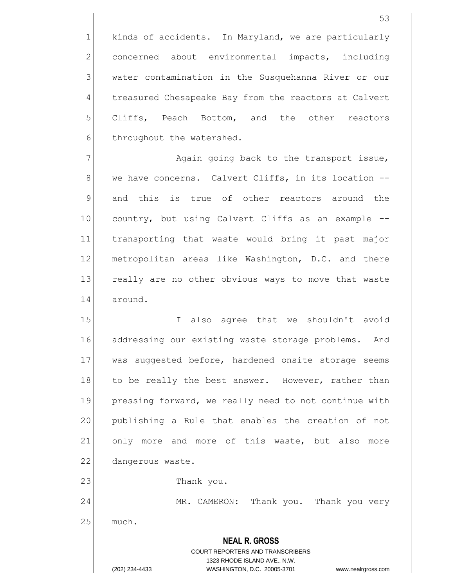1 kinds of accidents. In Maryland, we are particularly 2 concerned about environmental impacts, including 3 | water contamination in the Susquehanna River or our 4 treasured Chesapeake Bay from the reactors at Calvert  $5$  Cliffs, Peach Bottom, and the other reactors  $6$  throughout the watershed.

 $7$   $\sim$  Again going back to the transport issue, 8 we have concerns. Calvert Cliffs, in its location --9 and this is true of other reactors around the 10 country, but using Calvert Cliffs as an example --11 transporting that waste would bring it past major 12 metropolitan areas like Washington, D.C. and there 13 really are no other obvious ways to move that waste 14 around.

15 I also agree that we shouldn't avoid 16 addressing our existing waste storage problems. And 17 was suggested before, hardened onsite storage seems 18 to be really the best answer. However, rather than 19 pressing forward, we really need to not continue with 20 publishing a Rule that enables the creation of not 21 only more and more of this waste, but also more 22 dangerous waste. 23 a Thank you. 24 MR. CAMERON: Thank you. Thank you very

 $25$  much.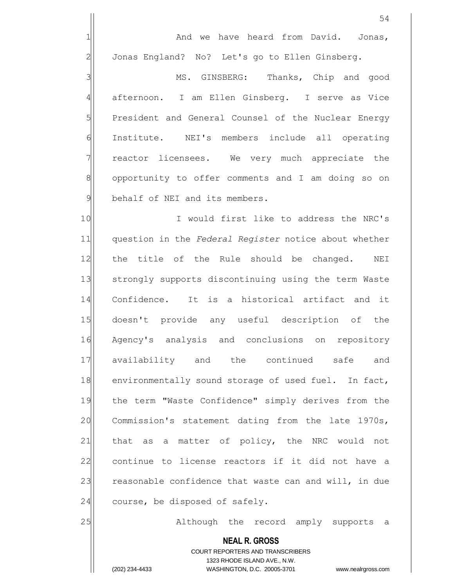1 and we have heard from David. Jonas, 2 Jonas England? No? Let's go to Ellen Ginsberg.

3 MS. GINSBERG: Thanks, Chip and good 4 afternoon. I am Ellen Ginsberg. I serve as Vice 5 President and General Counsel of the Nuclear Energy 6 Institute. NEI's members include all operating 7 | reactor licensees. We very much appreciate the 8 opportunity to offer comments and I am doing so on 9 behalf of NEI and its members.

10 I would first like to address the NRC's 11 question in the *Federal Register* notice about whether 12 the title of the Rule should be changed. NEI 13 Strongly supports discontinuing using the term Waste 14 Confidence. It is a historical artifact and it 15 doesn't provide any useful description of the 16 Agency's analysis and conclusions on repository 17 availability and the continued safe and 18 environmentally sound storage of used fuel. In fact, 19 the term "Waste Confidence" simply derives from the 20 Commission's statement dating from the late 1970s, 21 that as a matter of policy, the NRC would not 22 continue to license reactors if it did not have a 23 reasonable confidence that waste can and will, in due  $24$  course, be disposed of safely.

25 Although the record amply supports a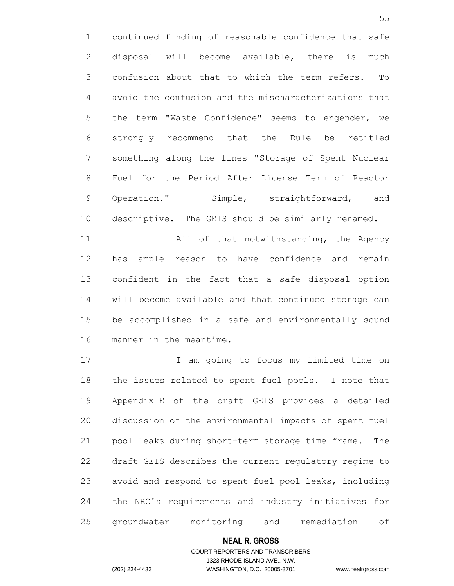1 continued finding of reasonable confidence that safe 2 disposal will become available, there is much  $3$  confusion about that to which the term refers. To 4 avoid the confusion and the mischaracterizations that  $5$  the term "Waste Confidence" seems to engender, we 6 strongly recommend that the Rule be retitled 7 | something along the lines "Storage of Spent Nuclear 8 Fuel for the Period After License Term of Reactor 9 Operation." Simple, straightforward, and 10 descriptive. The GEIS should be similarly renamed.

11 all of that notwithstanding, the Agency 12 has ample reason to have confidence and remain 13 confident in the fact that a safe disposal option 14 will become available and that continued storage can 15 be accomplished in a safe and environmentally sound 16 manner in the meantime.

17 I am going to focus my limited time on 18 the issues related to spent fuel pools. I note that 19 Appendix E of the draft GEIS provides a detailed 20 discussion of the environmental impacts of spent fuel 21 pool leaks during short-term storage time frame. The 22 draft GEIS describes the current regulatory regime to 23 avoid and respond to spent fuel pool leaks, including 24 the NRC's requirements and industry initiatives for 25 groundwater monitoring and remediation of

> COURT REPORTERS AND TRANSCRIBERS 1323 RHODE ISLAND AVE., N.W.

**NEAL R. GROSS**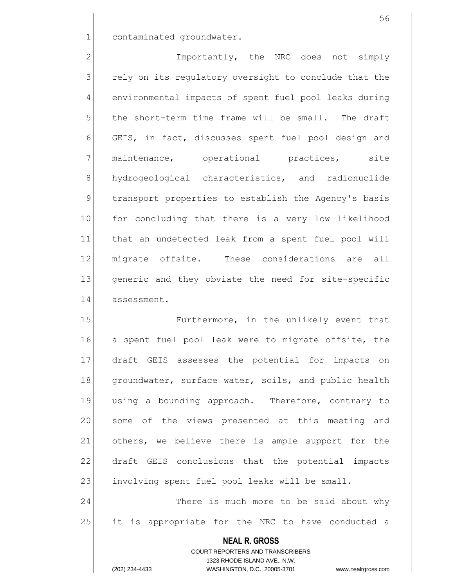1| contaminated groundwater.

2 Importantly, the NRC does not simply  $3$  rely on its regulatory oversight to conclude that the 4 environmental impacts of spent fuel pool leaks during  $5$  the short-term time frame will be small. The draft 6 GEIS, in fact, discusses spent fuel pool design and 7 maintenance, operational practices, site 8 hydrogeological characteristics, and radionuclide 9 transport properties to establish the Agency's basis 10 for concluding that there is a very low likelihood 11 that an undetected leak from a spent fuel pool will 12 migrate offsite. These considerations are all 13 generic and they obviate the need for site-specific 14 assessment.

15 **Furthermore,** in the unlikely event that 16 a spent fuel pool leak were to migrate offsite, the 17 draft GEIS assesses the potential for impacts on 18 groundwater, surface water, soils, and public health 19 using a bounding approach. Therefore, contrary to 20 some of the views presented at this meeting and 21 others, we believe there is ample support for the 22 draft GEIS conclusions that the potential impacts 23 involving spent fuel pool leaks will be small. 24 There is much more to be said about why

25 it is appropriate for the NRC to have conducted a

**NEAL R. GROSS** COURT REPORTERS AND TRANSCRIBERS 1323 RHODE ISLAND AVE., N.W.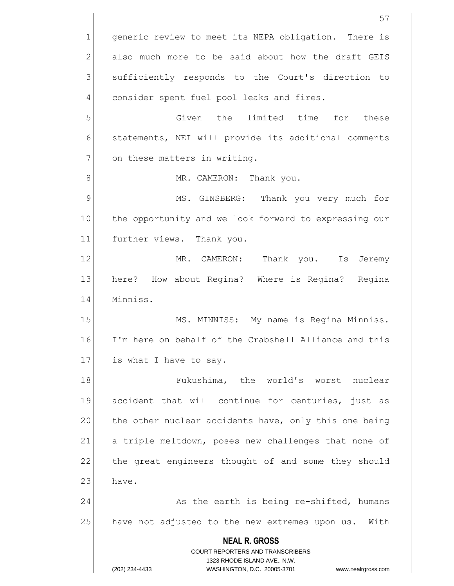**NEAL R. GROSS** COURT REPORTERS AND TRANSCRIBERS 1323 RHODE ISLAND AVE., N.W. (202) 234-4433 WASHINGTON, D.C. 20005-3701 www.nealrgross.com 57 1 generic review to meet its NEPA obligation. There is 2 also much more to be said about how the draft GEIS 3 | sufficiently responds to the Court's direction to  $4$  consider spent fuel pool leaks and fires. 5 SI Given the limited time for these 6 statements, NEI will provide its additional comments  $7$  on these matters in writing. 8 | MR. CAMERON: Thank you. 9 MS. GINSBERG: Thank you very much for 10 the opportunity and we look forward to expressing our 11 further views. Thank you. 12 MR. CAMERON: Thank you. Is Jeremy 13 here? How about Regina? Where is Regina? Regina 14 Minniss. 15 MS. MINNISS: My name is Regina Minniss. 16 I'm here on behalf of the Crabshell Alliance and this 17 is what I have to say. 18 **I** Fukushima, the world's worst nuclear 19 accident that will continue for centuries, just as 20 the other nuclear accidents have, only this one being 21 a triple meltdown, poses new challenges that none of 22 the great engineers thought of and some they should  $23$  have. 24 As the earth is being re-shifted, humans 25 have not adjusted to the new extremes upon us. With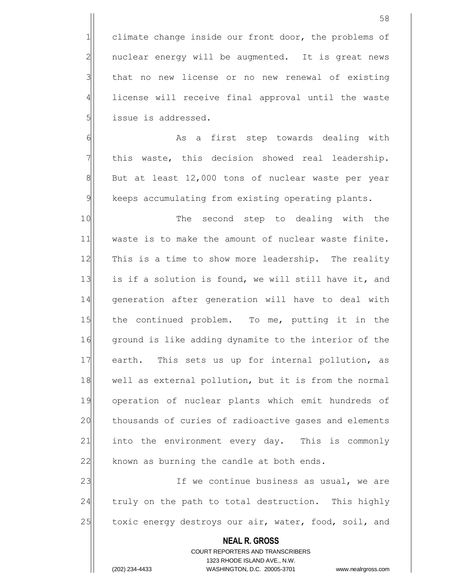1 climate change inside our front door, the problems of  $2$  nuclear energy will be augmented. It is great news 3 | that no new license or no new renewal of existing 4 license will receive final approval until the waste 5 | issue is addressed.

6 6 As a first step towards dealing with  $7$  this waste, this decision showed real leadership.  $8$  But at least 12,000 tons of nuclear waste per year 9 keeps accumulating from existing operating plants.

10 The second step to dealing with the 11 waste is to make the amount of nuclear waste finite. 12 This is a time to show more leadership. The reality 13 is if a solution is found, we will still have it, and 14 generation after generation will have to deal with 15 the continued problem. To me, putting it in the 16 ground is like adding dynamite to the interior of the 17 earth. This sets us up for internal pollution, as 18 well as external pollution, but it is from the normal 19 operation of nuclear plants which emit hundreds of 20 thousands of curies of radioactive gases and elements 21 into the environment every day. This is commonly  $22$  known as burning the candle at both ends.

23 If we continue business as usual, we are 24 | truly on the path to total destruction. This highly 25 toxic energy destroys our air, water, food, soil, and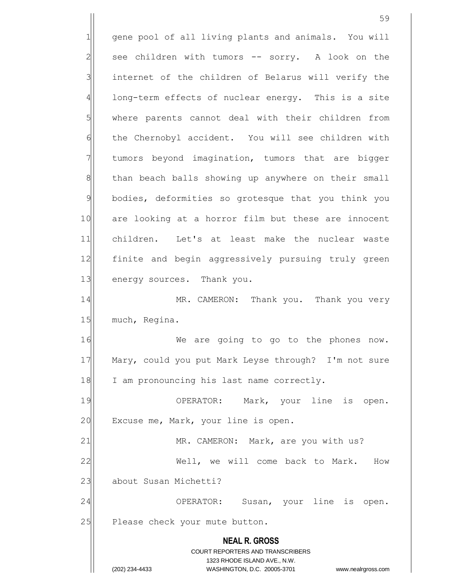**NEAL R. GROSS** COURT REPORTERS AND TRANSCRIBERS 1323 RHODE ISLAND AVE., N.W. (202) 234-4433 WASHINGTON, D.C. 20005-3701 www.nealrgross.com 1 gene pool of all living plants and animals. You will  $2$  see children with tumors  $-$  sorry. A look on the 3 3 internet of the children of Belarus will verify the 4 long-term effects of nuclear energy. This is a site 5 where parents cannot deal with their children from 6 6 fernobyl accident. You will see children with 7 Tumors beyond imagination, tumors that are bigger 8 than beach balls showing up anywhere on their small 9 bodies, deformities so grotesque that you think you 10 are looking at a horror film but these are innocent 11 children. Let's at least make the nuclear waste 12 finite and begin aggressively pursuing truly green 13 energy sources. Thank you. 14 MR. CAMERON: Thank you. Thank you very 15 much, Regina. 16 Me are going to go to the phones now. 17 Mary, could you put Mark Leyse through? I'm not sure 18 I am pronouncing his last name correctly. 19 OPERATOR: Mark, your line is open. 20 Excuse me, Mark, your line is open. 21 MR. CAMERON: Mark, are you with us? 22 Well, we will come back to Mark. How 23 | about Susan Michetti? 24 OPERATOR: Susan, your line is open. 25 Please check your mute button.

59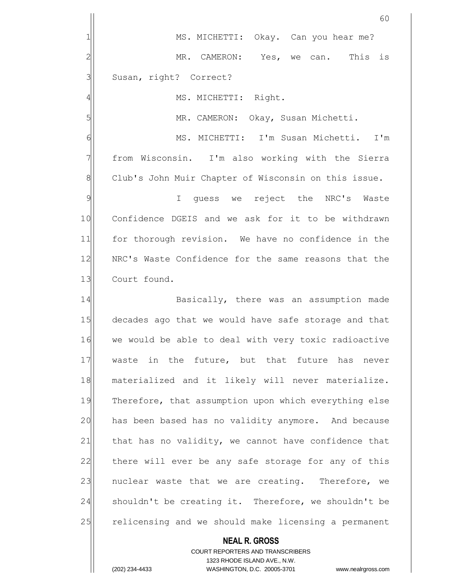|                | 60                                                    |
|----------------|-------------------------------------------------------|
| 1              | MS. MICHETTI: Okay. Can you hear me?                  |
| $\overline{2}$ | MR. CAMERON: Yes, we can. This is                     |
| 3              | Susan, right? Correct?                                |
| 4              | MS. MICHETTI: Right.                                  |
| 5              | MR. CAMERON: Okay, Susan Michetti.                    |
| 6              | MS. MICHETTI: I'm Susan Michetti. I'm                 |
| 7              | from Wisconsin. I'm also working with the Sierra      |
| 8              | Club's John Muir Chapter of Wisconsin on this issue.  |
| 9              | I quess we reject the NRC's Waste                     |
| 10             | Confidence DGEIS and we ask for it to be withdrawn    |
| 11             | for thorough revision. We have no confidence in the   |
| 12             | NRC's Waste Confidence for the same reasons that the  |
| 13             | Court found.                                          |
| 14             | Basically, there was an assumption made               |
| 15             | decades ago that we would have safe storage and that  |
| 16             | we would be able to deal with very toxic radioactive  |
| 17             | waste in the future, but that future has never        |
| 18             | materialized and it likely will never materialize.    |
| 19             | Therefore, that assumption upon which everything else |
| 20             | has been based has no validity anymore. And because   |
| 21             | that has no validity, we cannot have confidence that  |
| 22             | there will ever be any safe storage for any of this   |
| 23             | nuclear waste that we are creating. Therefore, we     |
| 24             | shouldn't be creating it. Therefore, we shouldn't be  |
| 25             | relicensing and we should make licensing a permanent  |
|                | <b>NEAL R. GROSS</b>                                  |

COURT REPORTERS AND TRANSCRIBERS 1323 RHODE ISLAND AVE., N.W.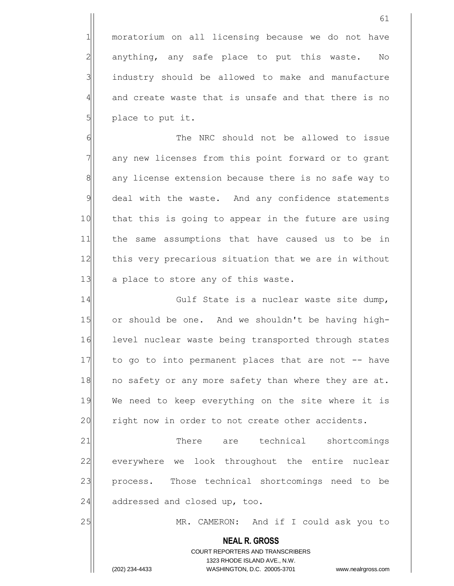1 moratorium on all licensing because we do not have  $2$  anything, any safe place to put this waste. No  $3$  industry should be allowed to make and manufacture 4 and create waste that is unsafe and that there is no  $5$  place to put it.

6 6 The NRC should not be allowed to issue 7 any new licenses from this point forward or to grant 8 any license extension because there is no safe way to 9 deal with the waste. And any confidence statements 10 that this is going to appear in the future are using 11 the same assumptions that have caused us to be in 12 this very precarious situation that we are in without 13 a place to store any of this waste.

14 Gulf State is a nuclear waste site dump, 15 or should be one. And we shouldn't be having high-16 level nuclear waste being transported through states 17 to go to into permanent places that are not -- have 18 no safety or any more safety than where they are at. 19 We need to keep everything on the site where it is 20 right now in order to not create other accidents.

21 There are technical shortcomings 22 everywhere we look throughout the entire nuclear 23 process. Those technical shortcomings need to be  $24$  addressed and closed up, too.

25 MR. CAMERON: And if I could ask you to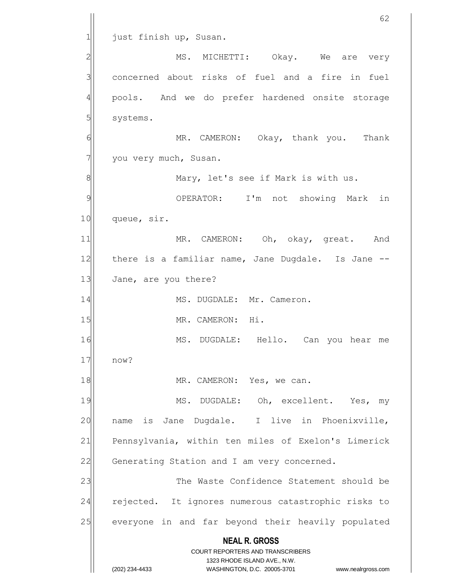**NEAL R. GROSS** COURT REPORTERS AND TRANSCRIBERS 1323 RHODE ISLAND AVE., N.W. (202) 234-4433 WASHINGTON, D.C. 20005-3701 www.nealrgross.com 62 1 just finish up, Susan. 2 MS. MICHETTI: Okay. We are very 3 concerned about risks of fuel and a fire in fuel 4 pools. And we do prefer hardened onsite storage 5 systems. 6 MR. CAMERON: Okay, thank you. Thank  $7$  you very much, Susan. 8 8 Mary, let's see if Mark is with us. 9| OPERATOR: I'm not showing Mark in 10 queue, sir. 11 MR. CAMERON: Oh, okay, great. And 12 there is a familiar name, Jane Dugdale. Is Jane --13 Jane, are you there? 14 MS. DUGDALE: Mr. Cameron. 15 MR. CAMERON: Hi. 16 MS. DUGDALE: Hello. Can you hear me 17 now? 18 MR. CAMERON: Yes, we can. 19 MS. DUGDALE: Oh, excellent. Yes, my 20 name is Jane Dugdale. I live in Phoenixville, 21 Pennsylvania, within ten miles of Exelon's Limerick 22 Generating Station and I am very concerned. 23 The Waste Confidence Statement should be 24 rejected. It ignores numerous catastrophic risks to 25 everyone in and far beyond their heavily populated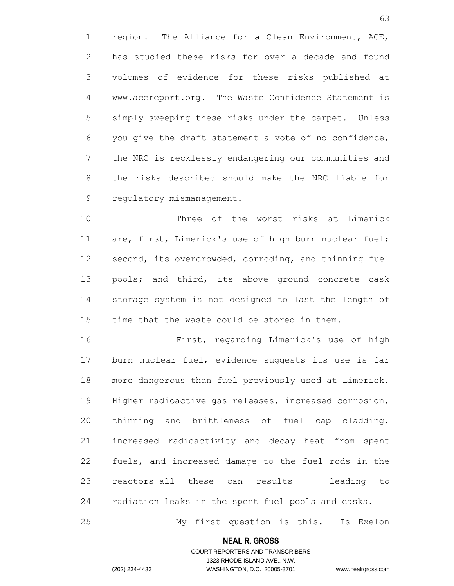$1$  region. The Alliance for a Clean Environment, ACE,  $2$  has studied these risks for over a decade and found 3 volumes of evidence for these risks published at 4 www.acereport.org. The Waste Confidence Statement is 5 | simply sweeping these risks under the carpet. Unless  $6$  you give the draft statement a vote of no confidence, 7 The NRC is recklessly endangering our communities and 8 the risks described should make the NRC liable for 9 regulatory mismanagement.

10 Three of the worst risks at Limerick 11 are, first, Limerick's use of high burn nuclear fuel; 12 second, its overcrowded, corroding, and thinning fuel 13 pools; and third, its above ground concrete cask 14 storage system is not designed to last the length of 15 time that the waste could be stored in them.

16 First, regarding Limerick's use of high 17 burn nuclear fuel, evidence suggests its use is far 18 more dangerous than fuel previously used at Limerick. 19 Higher radioactive gas releases, increased corrosion, 20 | thinning and brittleness of fuel cap cladding, 21 | increased radioactivity and decay heat from spent 22 fuels, and increased damage to the fuel rods in the 23 reactors—all these can results — leading to 24 radiation leaks in the spent fuel pools and casks.

25 My first question is this. Is Exelon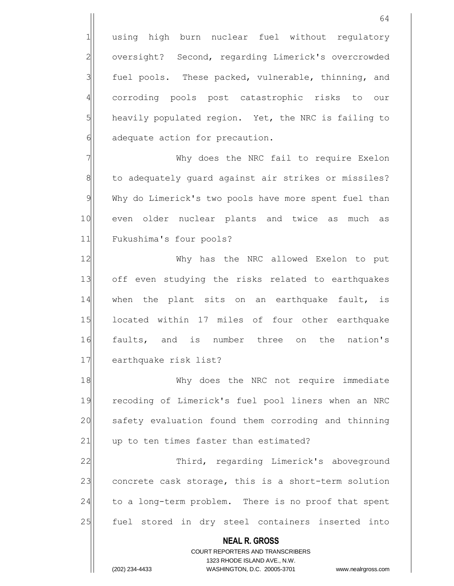1 using high burn nuclear fuel without regulatory 2 oversight? Second, regarding Limerick's overcrowded fuel pools. These packed, vulnerable, thinning, and corroding pools post catastrophic risks to our heavily populated region. Yet, the NRC is failing to adequate action for precaution.

7 Why does the NRC fail to require Exelon 8 to adequately quard against air strikes or missiles? 9 Why do Limerick's two pools have more spent fuel than 10 even older nuclear plants and twice as much as 11 Fukushima's four pools?

12 Why has the NRC allowed Exelon to put 13 off even studying the risks related to earthquakes 14 when the plant sits on an earthquake fault, is 15 located within 17 miles of four other earthquake 16 faults, and is number three on the nation's 17 earthquake risk list?

18 Why does the NRC not require immediate 19 recoding of Limerick's fuel pool liners when an NRC 20 safety evaluation found them corroding and thinning 21 up to ten times faster than estimated?

22 Third, regarding Limerick's aboveground 23 concrete cask storage, this is a short-term solution 24 to a long-term problem. There is no proof that spent 25 fuel stored in dry steel containers inserted into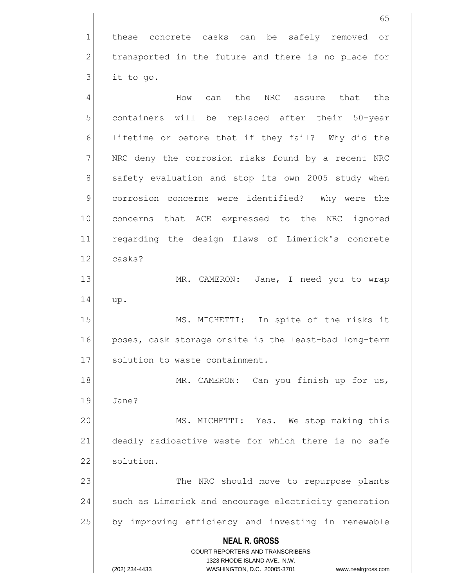1 these concrete casks can be safely removed or  $2$  transported in the future and there is no place for  $3$  it to go.

**NEAL R. GROSS** COURT REPORTERS AND TRANSCRIBERS 1323 RHODE ISLAND AVE., N.W. (202) 234-4433 WASHINGTON, D.C. 20005-3701 www.nealrgross.com 4 AM How can the NRC assure that the 5 5 5 containers will be replaced after their 50-year 6 1ifetime or before that if they fail? Why did the  $7$  NRC deny the corrosion risks found by a recent NRC 8 safety evaluation and stop its own 2005 study when 9 corrosion concerns were identified? Why were the 10 concerns that ACE expressed to the NRC ignored 11 regarding the design flaws of Limerick's concrete 12 casks? 13 MR. CAMERON: Jane, I need you to wrap 14 up. 15 MS. MICHETTI: In spite of the risks it 16 poses, cask storage onsite is the least-bad long-term 17 solution to waste containment. 18 MR. CAMERON: Can you finish up for us, 19 Jane? 20 MS. MICHETTI: Yes. We stop making this 21 deadly radioactive waste for which there is no safe 22 solution. 23 The NRC should move to repurpose plants 24 such as Limerick and encourage electricity generation 25 by improving efficiency and investing in renewable

65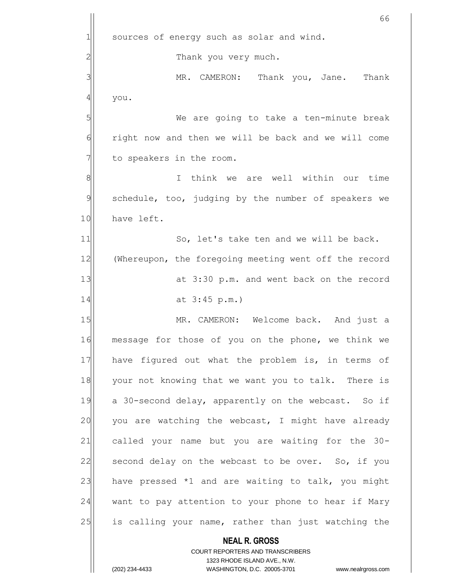**NEAL R. GROSS** COURT REPORTERS AND TRANSCRIBERS 1323 RHODE ISLAND AVE., N.W. 66  $1$  sources of energy such as solar and wind. 2<sup>1</sup> Thank you very much. 3 MR. CAMERON: Thank you, Jane. Thank 4 you. 5 | We are going to take a ten-minute break 6 6 right now and then we will be back and we will come  $7$  to speakers in the room. 8 8 I think we are well within our time 9 schedule, too, judging by the number of speakers we 10 have left. 11 So, let's take ten and we will be back. 12 (Whereupon, the foregoing meeting went off the record 13 at 3:30 p.m. and went back on the record 14 at 3:45 p.m.) 15 MR. CAMERON: Welcome back. And just a 16 message for those of you on the phone, we think we 17 have figured out what the problem is, in terms of 18 your not knowing that we want you to talk. There is 19 a 30-second delay, apparently on the webcast. So if  $20$  you are watching the webcast, I might have already 21 called your name but you are waiting for the 30-22 second delay on the webcast to be over. So, if you 23 have pressed  $*1$  and are waiting to talk, you might 24 want to pay attention to your phone to hear if Mary 25 is calling your name, rather than just watching the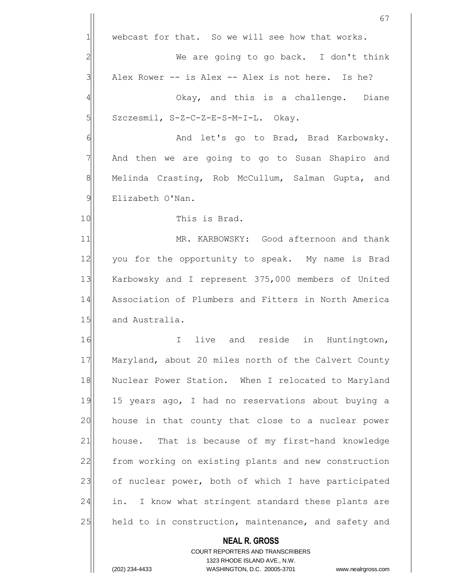**NEAL R. GROSS** COURT REPORTERS AND TRANSCRIBERS 67  $1$  webcast for that. So we will see how that works. 2 We are going to go back. I don't think  $3$  Alex Rower -- is Alex -- Alex is not here. Is he? 4 and this is a challenge. Diane  $5$  Szczesmil, S-Z-C-Z-E-S-M-I-L. Okay. 6 **And let's go to Brad, Brad Karbowsky.**  $7$  And then we are going to go to Susan Shapiro and 8 Melinda Crasting, Rob McCullum, Salman Gupta, and 9 Elizabeth O'Nan. 10 This is Brad. 11 MR. KARBOWSKY: Good afternoon and thank 12 you for the opportunity to speak. My name is Brad 13 Karbowsky and I represent 375,000 members of United 14 Association of Plumbers and Fitters in North America 15 and Australia. 16 I live and reside in Huntingtown, 17 Maryland, about 20 miles north of the Calvert County 18 Nuclear Power Station. When I relocated to Maryland 19 15 years ago, I had no reservations about buying a 20 house in that county that close to a nuclear power 21 house. That is because of my first-hand knowledge 22 from working on existing plants and new construction 23 of nuclear power, both of which I have participated 24 in. I know what stringent standard these plants are 25 held to in construction, maintenance, and safety and

1323 RHODE ISLAND AVE., N.W.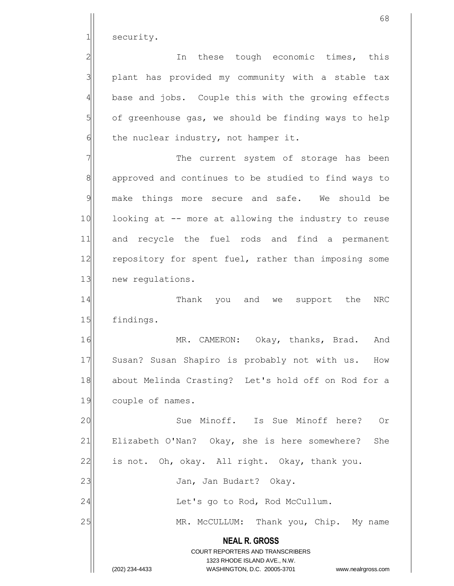1 security.

2 and these tough economic times, this 3 | plant has provided my community with a stable tax 4 base and jobs. Couple this with the growing effects  $5$  of greenhouse gas, we should be finding ways to help  $6$  the nuclear industry, not hamper it.

7 The current system of storage has been 8 approved and continues to be studied to find ways to 9 make things more secure and safe. We should be 10 looking at -- more at allowing the industry to reuse 11 and recycle the fuel rods and find a permanent 12 repository for spent fuel, rather than imposing some 13 new regulations.

14 Thank you and we support the NRC 15 findings.

16 MR. CAMERON: Okay, thanks, Brad. And 17 Susan? Susan Shapiro is probably not with us. How 18 about Melinda Crasting? Let's hold off on Rod for a 19 couple of names.

**NEAL R. GROSS** COURT REPORTERS AND TRANSCRIBERS 1323 RHODE ISLAND AVE., N.W. 20 Sue Minoff. Is Sue Minoff here? Or 21 Elizabeth O'Nan? Okay, she is here somewhere? She 22 is not. Oh, okay. All right. Okay, thank you. 23 | Jan, Jan Budart? Okay. 24 | Let's go to Rod, Rod McCullum. 25 MR. McCULLUM: Thank you, Chip. My name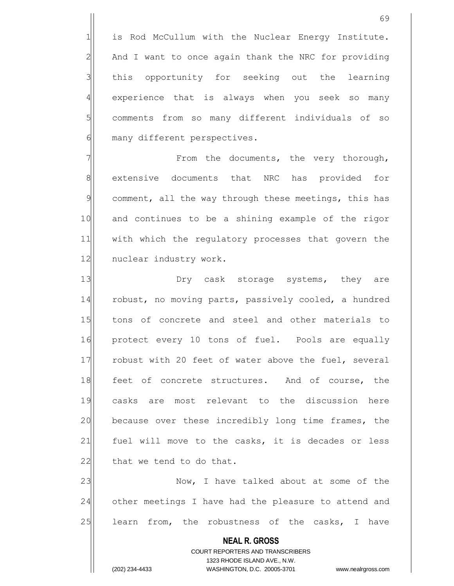1 is Rod McCullum with the Nuclear Energy Institute.  $2$  And I want to once again thank the NRC for providing 3 this opportunity for seeking out the learning 4 experience that is always when you seek so many 5 comments from so many different individuals of so 6 many different perspectives.

7 The very thorough, The very thorough, 8 extensive documents that NRC has provided for 9 comment, all the way through these meetings, this has 10 and continues to be a shining example of the rigor 11 with which the regulatory processes that govern the 12 nuclear industry work.

13 13 Dry cask storage systems, they are 14 robust, no moving parts, passively cooled, a hundred 15 tons of concrete and steel and other materials to 16 protect every 10 tons of fuel. Pools are equally 17 robust with 20 feet of water above the fuel, several 18 feet of concrete structures. And of course, the 19 casks are most relevant to the discussion here 20 because over these incredibly long time frames, the 21 fuel will move to the casks, it is decades or less 22 that we tend to do that.

23 Now, I have talked about at some of the 24 other meetings I have had the pleasure to attend and  $25$  learn from, the robustness of the casks, I have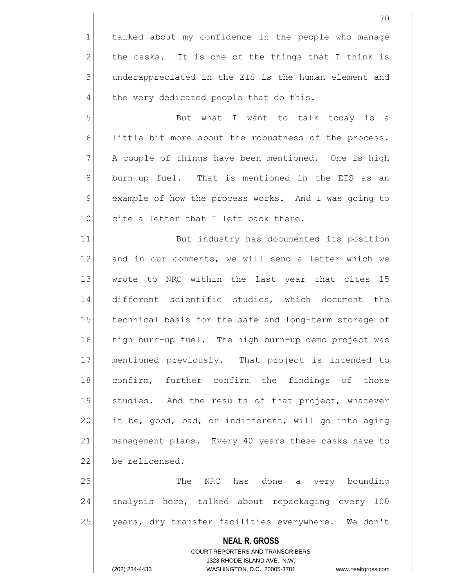1 talked about my confidence in the people who manage  $2$  the casks. It is one of the things that I think is 3 3 underappreciated in the EIS is the human element and  $4$  the very dedicated people that do this.

5 | Sut what I want to talk today is a 6 little bit more about the robustness of the process. 7 | A couple of things have been mentioned. One is high  $8$  burn-up fuel. That is mentioned in the EIS as an 9 example of how the process works. And I was going to 10 cite a letter that I left back there.

11 But industry has documented its position 12 and in our comments, we will send a letter which we 13 wrote to NRC within the last year that cites 15 14 different scientific studies, which document the 15 technical basis for the safe and long-term storage of 16 high burn-up fuel. The high burn-up demo project was 17 mentioned previously. That project is intended to 18 confirm, further confirm the findings of those 19 studies. And the results of that project, whatever 20 it be, good, bad, or indifferent, will go into aging 21 management plans. Every 40 years these casks have to 22 be relicensed.

23 The NRC has done a very bounding 24 analysis here, talked about repackaging every 100 25 years, dry transfer facilities everywhere. We don't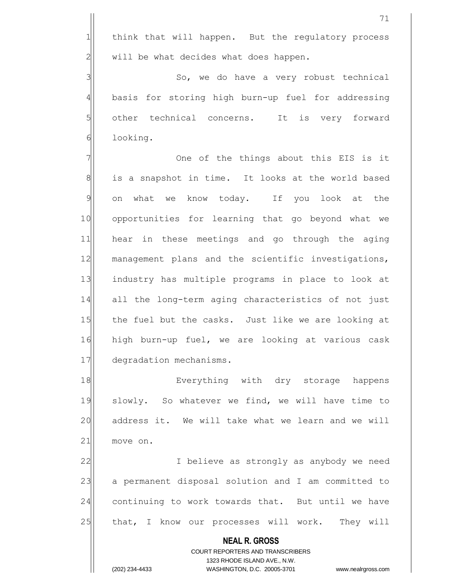1 think that will happen. But the regulatory process  $2$  will be what decides what does happen.

3 | So, we do have a very robust technical 4 basis for storing high burn-up fuel for addressing 5 other technical concerns. It is very forward 6 looking.

7 | One of the things about this EIS is it 8 is a snapshot in time. It looks at the world based 9 on what we know today. If you look at the 10 opportunities for learning that go beyond what we 11 hear in these meetings and go through the aging 12 management plans and the scientific investigations, 13 industry has multiple programs in place to look at 14 all the long-term aging characteristics of not just 15 the fuel but the casks. Just like we are looking at 16 high burn-up fuel, we are looking at various cask 17 degradation mechanisms.

18 Everything with dry storage happens 19 slowly. So whatever we find, we will have time to 20 address it. We will take what we learn and we will 21 move on.

22 I believe as strongly as anybody we need 23 a permanent disposal solution and I am committed to 24 continuing to work towards that. But until we have 25 that, I know our processes will work. They will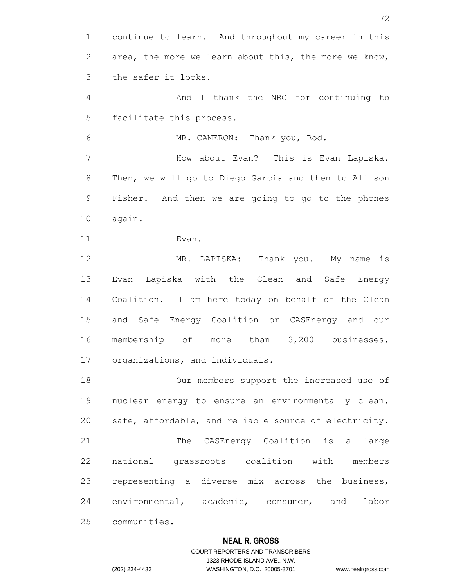**NEAL R. GROSS** COURT REPORTERS AND TRANSCRIBERS 1323 RHODE ISLAND AVE., N.W. 72 1 continue to learn. And throughout my career in this  $2$  area, the more we learn about this, the more we know,  $3$  the safer it looks. 4 | And I thank the NRC for continuing to 5 facilitate this process. 6 | MR. CAMERON: Thank you, Rod. 7 How about Evan? This is Evan Lapiska. 8 Then, we will go to Diego Garcia and then to Allison 9 Fisher. And then we are going to go to the phones 10 again. 11 Evan. 12 MR. LAPISKA: Thank you. My name is 13 Evan Lapiska with the Clean and Safe Energy 14 Coalition. I am here today on behalf of the Clean 15 and Safe Energy Coalition or CASEnergy and our 16 membership of more than 3,200 businesses, 17 organizations, and individuals. 18 Our members support the increased use of 19 nuclear energy to ensure an environmentally clean, 20 safe, affordable, and reliable source of electricity. 21 The CASEnergy Coalition is a large 22 national grassroots coalition with members 23 representing a diverse mix across the business, 24 environmental, academic, consumer, and labor 25 communities.

<sup>(202) 234-4433</sup> WASHINGTON, D.C. 20005-3701 www.nealrgross.com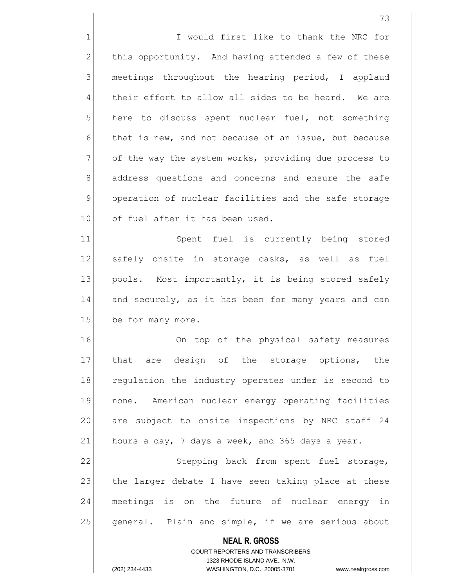1 1 I would first like to thank the NRC for 2 this opportunity. And having attended a few of these  $3$  meetings throughout the hearing period, I applaud  $4$  their effort to allow all sides to be heard. We are  $5$  here to discuss spent nuclear fuel, not something  $6$  that is new, and not because of an issue, but because 7 of the way the system works, providing due process to 8 address questions and concerns and ensure the safe 9 operation of nuclear facilities and the safe storage 10 of fuel after it has been used. 11 Spent fuel is currently being stored

12 safely onsite in storage casks, as well as fuel 13 pools. Most importantly, it is being stored safely 14 and securely, as it has been for many years and can 15 be for many more.

16 On top of the physical safety measures 17 that are design of the storage options, the 18 regulation the industry operates under is second to 19 | none. American nuclear energy operating facilities 20 are subject to onsite inspections by NRC staff 24 21 hours a day, 7 days a week, and 365 days a year.

22 Stepping back from spent fuel storage, 23 the larger debate I have seen taking place at these 24 meetings is on the future of nuclear energy in 25 general. Plain and simple, if we are serious about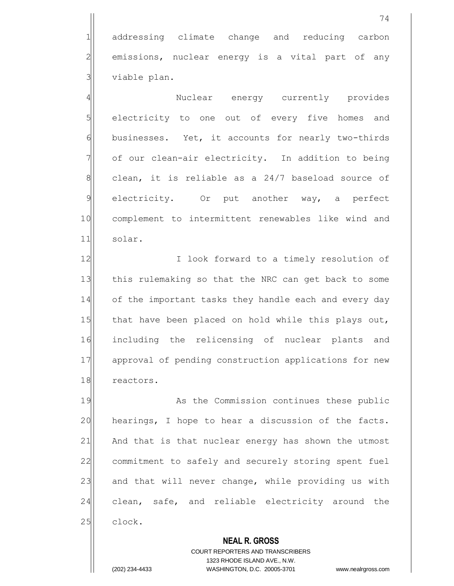1 addressing climate change and reducing carbon  $2$  emissions, nuclear energy is a vital part of any  $3$  viable plan.

4 And Suclear energy currently provides  $5$  electricity to one out of every five homes and 6 businesses. Yet, it accounts for nearly two-thirds  $7$  of our clean-air electricity. In addition to being  $8$  clean, it is reliable as a 24/7 baseload source of 9 electricity. Or put another way, a perfect 10 complement to intermittent renewables like wind and 11 solar.

12 I look forward to a timely resolution of 13 this rulemaking so that the NRC can get back to some 14 of the important tasks they handle each and every day 15 that have been placed on hold while this plays out, 16 including the relicensing of nuclear plants and 17 approval of pending construction applications for new 18 reactors.

19 As the Commission continues these public 20 hearings, I hope to hear a discussion of the facts. 21 And that is that nuclear energy has shown the utmost 22 commitment to safely and securely storing spent fuel  $23$  and that will never change, while providing us with 24 clean, safe, and reliable electricity around the 25 clock.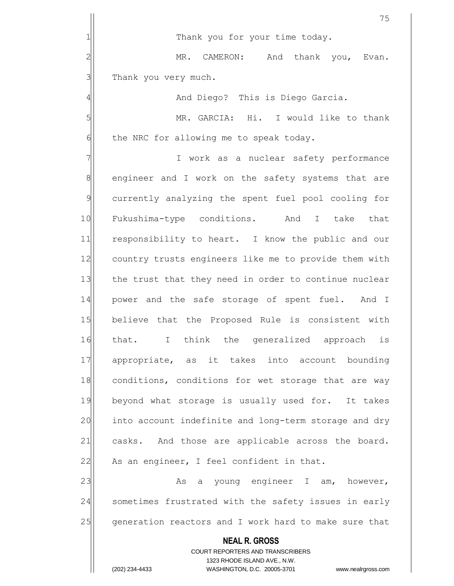**NEAL R. GROSS** COURT REPORTERS AND TRANSCRIBERS 1323 RHODE ISLAND AVE., N.W. 75 1| Thank you for your time today. 2 MR. CAMERON: And thank you, Evan.  $3$  Thank you very much. 4 and Diego? This is Diego Garcia. 5 MR. GARCIA: Hi. I would like to thank  $6$  the NRC for allowing me to speak today. 7 | T work as a nuclear safety performance 8 8 8 engineer and I work on the safety systems that are 9 currently analyzing the spent fuel pool cooling for 10 Fukushima-type conditions. And I take that 11 responsibility to heart. I know the public and our 12 country trusts engineers like me to provide them with 13 the trust that they need in order to continue nuclear 14 power and the safe storage of spent fuel. And I 15 believe that the Proposed Rule is consistent with 16 that. I think the generalized approach is 17 appropriate, as it takes into account bounding 18 conditions, conditions for wet storage that are way 19 beyond what storage is usually used for. It takes 20 into account indefinite and long-term storage and dry 21 casks. And those are applicable across the board.  $22$  As an engineer, I feel confident in that. 23 As a young engineer I am, however, 24 Sometimes frustrated with the safety issues in early 25 generation reactors and I work hard to make sure that

(202) 234-4433 WASHINGTON, D.C. 20005-3701 www.nealrgross.com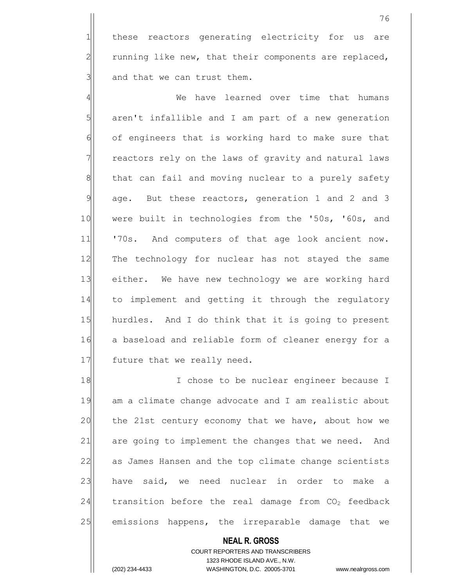1 these reactors generating electricity for us are  $2$  running like new, that their components are replaced,  $3$  and that we can trust them.

4 We have learned over time that humans  $5$  aren't infallible and I am part of a new generation 6 of engineers that is working hard to make sure that 7 The reactors rely on the laws of gravity and natural laws 8 that can fail and moving nuclear to a purely safety  $9$  age. But these reactors, generation 1 and 2 and 3 10 were built in technologies from the '50s, '60s, and 11 '70s. And computers of that age look ancient now. 12 The technology for nuclear has not stayed the same 13 either. We have new technology we are working hard 14 to implement and getting it through the regulatory 15 hurdles. And I do think that it is going to present 16 a baseload and reliable form of cleaner energy for a 17 future that we really need.

18 I chose to be nuclear engineer because I 19 am a climate change advocate and I am realistic about 20 the 21st century economy that we have, about how we 21 are going to implement the changes that we need. And 22 as James Hansen and the top climate change scientists 23 have said, we need nuclear in order to make a 24 transition before the real damage from  $CO<sub>2</sub>$  feedback 25 emissions happens, the irreparable damage that we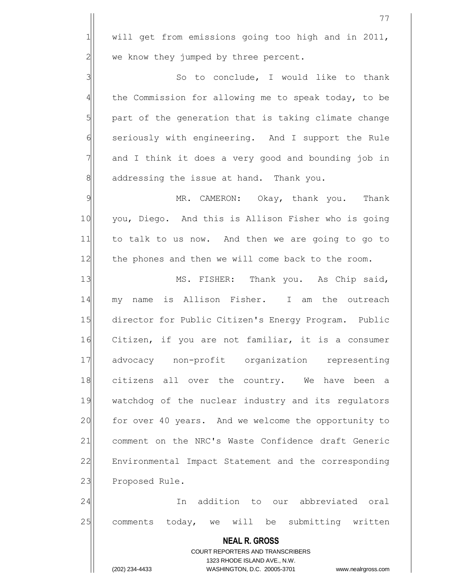|                | 77                                                                                                  |
|----------------|-----------------------------------------------------------------------------------------------------|
| $\mathbf{1}$   | will get from emissions going too high and in 2011,                                                 |
| $\overline{c}$ | we know they jumped by three percent.                                                               |
| 3              | So to conclude, I would like to thank                                                               |
| $\overline{4}$ | the Commission for allowing me to speak today, to be                                                |
| 5              | part of the generation that is taking climate change                                                |
| 6              | seriously with engineering. And I support the Rule                                                  |
| 7              | and I think it does a very good and bounding job in                                                 |
| 8              | addressing the issue at hand. Thank you.                                                            |
| 9              | MR. CAMERON: Okay, thank you. Thank                                                                 |
| 10             | you, Diego. And this is Allison Fisher who is going                                                 |
| 11             | to talk to us now. And then we are going to go to                                                   |
| 12             | the phones and then we will come back to the room.                                                  |
| 13             | MS. FISHER: Thank you. As Chip said,                                                                |
| 14             | my name is Allison Fisher. I am the outreach                                                        |
| 15             | director for Public Citizen's Energy Program. Public                                                |
| 16             | Citizen, if you are not familiar, it is a consumer                                                  |
| 17             | advocacy non-profit organization representing                                                       |
| 18             | citizens all over the country. We have been a                                                       |
| 19             | watchdog of the nuclear industry and its regulators                                                 |
| 20             | for over 40 years. And we welcome the opportunity to                                                |
| 21             | comment on the NRC's Waste Confidence draft Generic                                                 |
| 22             | Environmental Impact Statement and the corresponding                                                |
| 23             | Proposed Rule.                                                                                      |
| 24             | In addition to our abbreviated oral                                                                 |
| 25             | comments today, we will be submitting written                                                       |
|                | <b>NEAL R. GROSS</b>                                                                                |
|                | COURT REPORTERS AND TRANSCRIBERS                                                                    |
|                | 1323 RHODE ISLAND AVE., N.W.<br>(202) 234-4433<br>WASHINGTON, D.C. 20005-3701<br>www.nealrgross.com |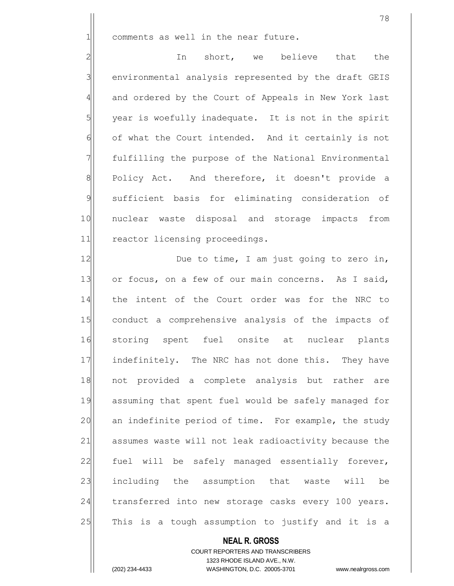$1$  comments as well in the near future.

2 In short, we believe that the 3 environmental analysis represented by the draft GEIS 4 and ordered by the Court of Appeals in New York last  $5$  year is woefully inadequate. It is not in the spirit  $6$  of what the Court intended. And it certainly is not 7 | fulfilling the purpose of the National Environmental 8 Policy Act. And therefore, it doesn't provide a 9 sufficient basis for eliminating consideration of 10 nuclear waste disposal and storage impacts from 11 reactor licensing proceedings.

12 Due to time, I am just going to zero in, 13 or focus, on a few of our main concerns. As I said, 14 the intent of the Court order was for the NRC to 15 conduct a comprehensive analysis of the impacts of 16 storing spent fuel onsite at nuclear plants 17 | indefinitely. The NRC has not done this. They have 18 not provided a complete analysis but rather are 19 assuming that spent fuel would be safely managed for 20 an indefinite period of time. For example, the study 21 assumes waste will not leak radioactivity because the 22 fuel will be safely managed essentially forever, 23 including the assumption that waste will be 24 transferred into new storage casks every 100 years. 25 This is a tough assumption to justify and it is a

#### **NEAL R. GROSS**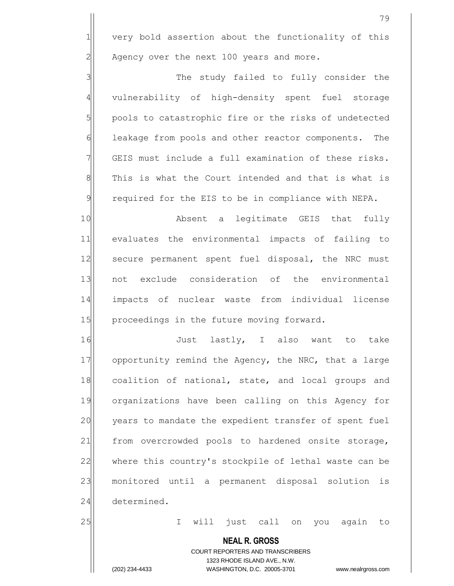$1$  very bold assertion about the functionality of this  $2$  Agency over the next 100 years and more.

3 3 3 4 vulnerability of high-density spent fuel storage 5 pools to catastrophic fire or the risks of undetected 6 6 leakage from pools and other reactor components. The 7 GEIS must include a full examination of these risks. 8 8 This is what the Court intended and that is what is 9 required for the EIS to be in compliance with NEPA.

10 Absent a legitimate GEIS that fully 11 evaluates the environmental impacts of failing to 12 secure permanent spent fuel disposal, the NRC must 13 not exclude consideration of the environmental 14 impacts of nuclear waste from individual license 15 | proceedings in the future moving forward.

16 16 Just lastly, I also want to take 17 opportunity remind the Agency, the NRC, that a large 18 coalition of national, state, and local groups and 19 organizations have been calling on this Agency for 20 years to mandate the expedient transfer of spent fuel 21 from overcrowded pools to hardened onsite storage, 22 where this country's stockpile of lethal waste can be 23 monitored until a permanent disposal solution is 24 determined.

25 and 25 I will just call on you again to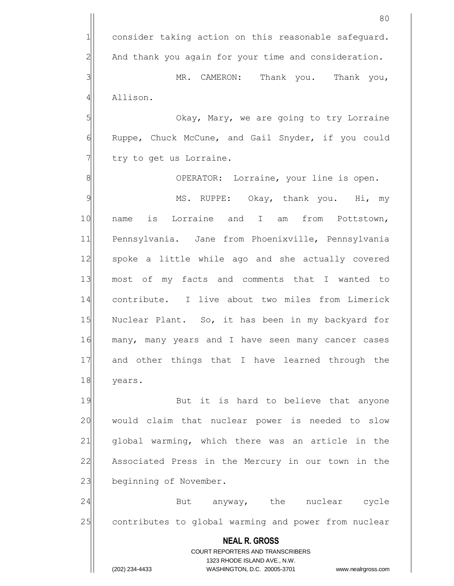**NEAL R. GROSS** COURT REPORTERS AND TRANSCRIBERS 1323 RHODE ISLAND AVE., N.W. (202) 234-4433 WASHINGTON, D.C. 20005-3701 www.nealrgross.com 80  $1$  consider taking action on this reasonable safeguard.  $2$  And thank you again for your time and consideration. 3 MR. CAMERON: Thank you. Thank you, 4 Allison. 5 S 6 Ruppe, Chuck McCune, and Gail Snyder, if you could  $7$  try to get us Lorraine. 8 8 OPERATOR: Lorraine, your line is open. 9 MS. RUPPE: Okay, thank you. Hi, my 10 name is Lorraine and I am from Pottstown, 11 Pennsylvania. Jane from Phoenixville, Pennsylvania 12 spoke a little while ago and she actually covered 13 most of my facts and comments that I wanted to 14 contribute. I live about two miles from Limerick 15 Nuclear Plant. So, it has been in my backyard for 16 many, many years and I have seen many cancer cases 17 and other things that I have learned through the 18 years. 19 But it is hard to believe that anyone 20 would claim that nuclear power is needed to slow 21 | global warming, which there was an article in the 22 Associated Press in the Mercury in our town in the 23 beginning of November. 24 But anyway, the nuclear cycle 25 contributes to global warming and power from nuclear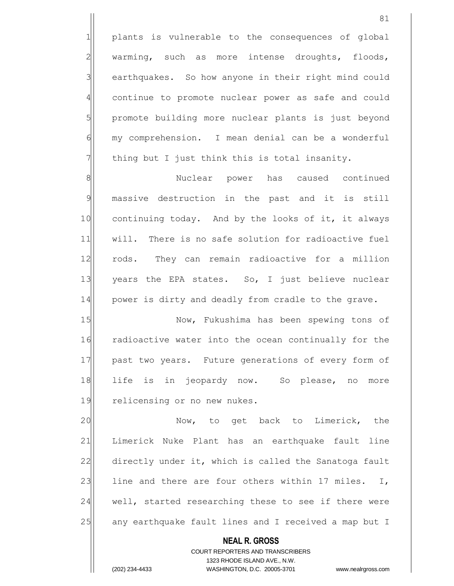1 plants is vulnerable to the consequences of global  $2$  warming, such as more intense droughts, floods, 3 earthquakes. So how anyone in their right mind could 4 continue to promote nuclear power as safe and could 5 promote building more nuclear plants is just beyond  $6$  my comprehension. I mean denial can be a wonderful  $7$  thing but I just think this is total insanity.

8 | Nuclear power has caused continued 9 massive destruction in the past and it is still 10 continuing today. And by the looks of it, it always 11 | will. There is no safe solution for radioactive fuel 12 rods. They can remain radioactive for a million 13 years the EPA states. So, I just believe nuclear 14 power is dirty and deadly from cradle to the grave.

15 Now, Fukushima has been spewing tons of 16 radioactive water into the ocean continually for the 17 past two years. Future generations of every form of 18 life is in jeopardy now. So please, no more 19 relicensing or no new nukes.

20 | Now, to get back to Limerick, the 21 Limerick Nuke Plant has an earthquake fault line 22 directly under it, which is called the Sanatoga fault 23 line and there are four others within 17 miles. I, 24 well, started researching these to see if there were 25 any earthquake fault lines and I received a map but I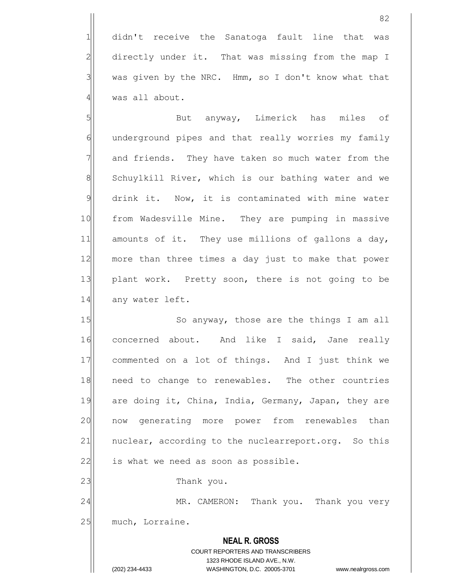1 didn't receive the Sanatoga fault line that was 2 directly under it. That was missing from the map I  $3$  was given by the NRC. Hmm, so I don't know what that  $4$  was all about.

5 | Solut anyway, Limerick has miles of  $6$  underground pipes and that really worries my family 7 and friends. They have taken so much water from the 8 Schuylkill River, which is our bathing water and we 9 drink it. Now, it is contaminated with mine water 10 from Wadesville Mine. They are pumping in massive 11 amounts of it. They use millions of gallons a day, 12 more than three times a day just to make that power 13 plant work. Pretty soon, there is not going to be 14 any water left.

15 So anyway, those are the things I am all 16 concerned about. And like I said, Jane really 17 commented on a lot of things. And I just think we 18 need to change to renewables. The other countries 19 are doing it, China, India, Germany, Japan, they are 20 now generating more power from renewables than 21 | nuclear, according to the nuclearreport.org. So this  $22$  is what we need as soon as possible. 23 a Thank you.

24 MR. CAMERON: Thank you. Thank you very

25 much, Lorraine.

# **NEAL R. GROSS** COURT REPORTERS AND TRANSCRIBERS 1323 RHODE ISLAND AVE., N.W.

(202) 234-4433 WASHINGTON, D.C. 20005-3701 www.nealrgross.com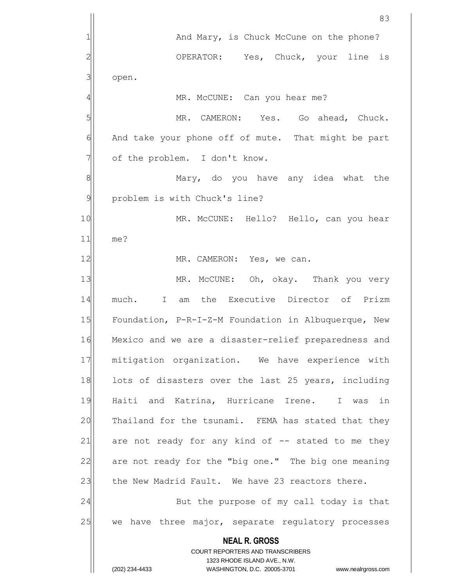**NEAL R. GROSS** COURT REPORTERS AND TRANSCRIBERS 1323 RHODE ISLAND AVE., N.W. (202) 234-4433 WASHINGTON, D.C. 20005-3701 www.nealrgross.com 1 and Mary, is Chuck McCune on the phone? 2 OPERATOR: Yes, Chuck, your line is  $3$  open. 4 | MR. McCUNE: Can you hear me? 5 MR. CAMERON: Yes. Go ahead, Chuck. 6 And take your phone off of mute. That might be part 7 | of the problem. I don't know. 8 Mary, do you have any idea what the 9 problem is with Chuck's line? 10 MR. McCUNE: Hello? Hello, can you hear 11 me? 12 MR. CAMERON: Yes, we can. 13 MR. McCUNE: Oh, okay. Thank you very 14 much. I am the Executive Director of Prizm 15 Foundation, P-R-I-Z-M Foundation in Albuquerque, New 16 Mexico and we are a disaster-relief preparedness and 17 mitigation organization. We have experience with 18 lots of disasters over the last 25 years, including 19 Haiti and Katrina, Hurricane Irene. I was in 20 Thailand for the tsunami. FEMA has stated that they 21 are not ready for any kind of  $-$  stated to me they 22 are not ready for the "big one." The big one meaning 23 the New Madrid Fault. We have 23 reactors there. 24 But the purpose of my call today is that 25 we have three major, separate regulatory processes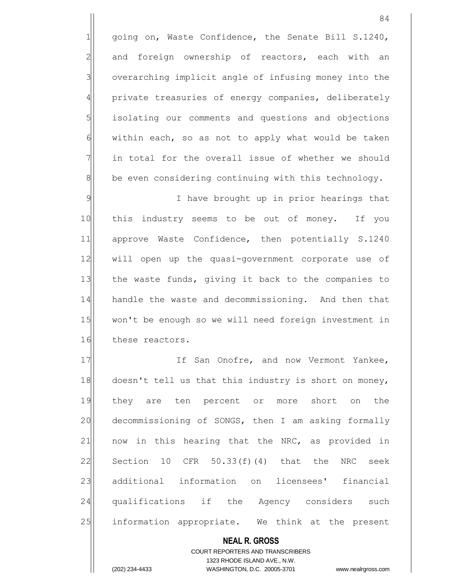going on, Waste Confidence, the Senate Bill S.1240, 2 and foreign ownership of reactors, each with an 3 overarching implicit angle of infusing money into the 4 private treasuries of energy companies, deliberately isolating our comments and questions and objections within each, so as not to apply what would be taken in total for the overall issue of whether we should be even considering continuing with this technology.

9 9 I have brought up in prior hearings that 10 this industry seems to be out of money. If you 11 approve Waste Confidence, then potentially S.1240 12 | will open up the quasi-government corporate use of 13 the waste funds, giving it back to the companies to 14 handle the waste and decommissioning. And then that 15 won't be enough so we will need foreign investment in 16 these reactors.

17 If San Onofre, and now Vermont Yankee, 18 doesn't tell us that this industry is short on money, 19 they are ten percent or more short on the 20 decommissioning of SONGS, then I am asking formally  $21$  now in this hearing that the NRC, as provided in 22 Section 10 CFR  $50.33(f)(4)$  that the NRC seek 23 additional information on licensees' financial 24 qualifications if the Agency considers such 25 information appropriate. We think at the present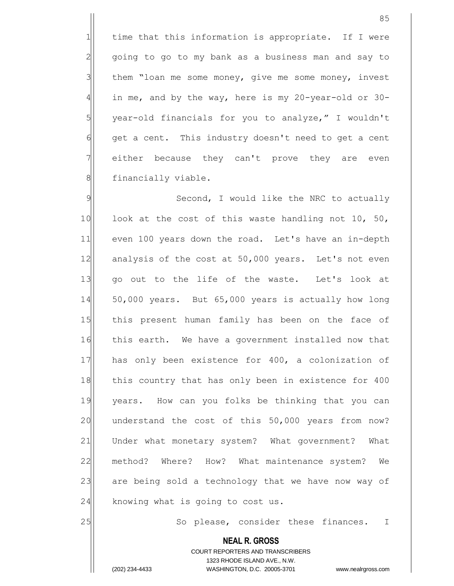time that this information is appropriate. If I were going to go to my bank as a business man and say to them "loan me some money, give me some money, invest in me, and by the way, here is my 20-year-old or 30- year-old financials for you to analyze," I wouldn't 6 get a cent. This industry doesn't need to get a cent 7 either because they can't prove they are even 8 | financially viable.

9 Second, I would like the NRC to actually 10 look at the cost of this waste handling not 10, 50, 11 even 100 years down the road. Let's have an in-depth 12 analysis of the cost at 50,000 years. Let's not even 13 qo out to the life of the waste. Let's look at 14 50,000 years. But 65,000 years is actually how long 15 this present human family has been on the face of 16 this earth. We have a government installed now that 17 has only been existence for 400, a colonization of 18 this country that has only been in existence for 400 19 years. How can you folks be thinking that you can 20 understand the cost of this 50,000 years from now? 21 Under what monetary system? What government? What 22 method? Where? How? What maintenance system? We 23 are being sold a technology that we have now way of  $24$  knowing what is going to cost us.

25 So please, consider these finances. I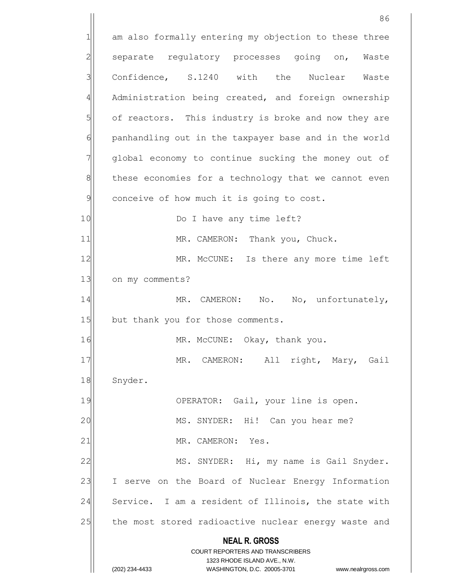**NEAL R. GROSS** COURT REPORTERS AND TRANSCRIBERS 1323 RHODE ISLAND AVE., N.W. (202) 234-4433 WASHINGTON, D.C. 20005-3701 www.nealrgross.com 86 1 am also formally entering my objection to these three 2 separate regulatory processes going on, Waste 3 Confidence, S.1240 with the Nuclear Waste 4 Administration being created, and foreign ownership 5 of reactors. This industry is broke and now they are 6 | panhandling out in the taxpayer base and in the world 7 | global economy to continue sucking the money out of  $8$  these economies for a technology that we cannot even  $9$  conceive of how much it is going to cost. 10 Do I have any time left? 11 MR. CAMERON: Thank you, Chuck. 12 MR. McCUNE: Is there any more time left 13 on my comments? 14 MR. CAMERON: No. No, unfortunately, 15 but thank you for those comments. 16 MR. McCUNE: Okay, thank you. 17 MR. CAMERON: All right, Mary, Gail 18 Snyder. 19 OPERATOR: Gail, your line is open. 20 | MS. SNYDER: Hi! Can you hear me? 21 MR. CAMERON: Yes. 22 MS. SNYDER: Hi, my name is Gail Snyder. 23 I serve on the Board of Nuclear Energy Information 24 Service. I am a resident of Illinois, the state with 25 the most stored radioactive nuclear energy waste and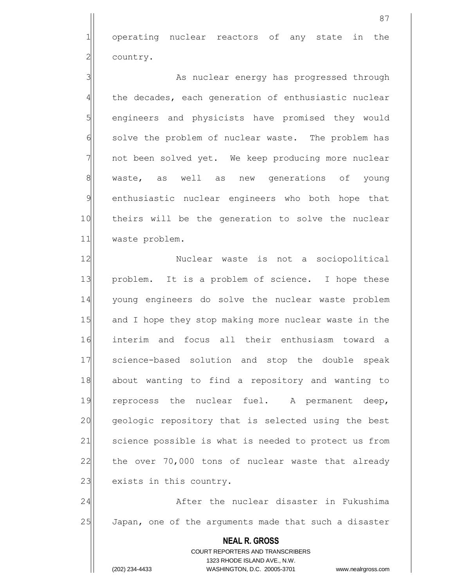1 operating nuclear reactors of any state in the 2 country.

3 As nuclear energy has progressed through 4 the decades, each generation of enthusiastic nuclear 5 | shares and physicists have promised they would 6 solve the problem of nuclear waste. The problem has 7 | not been solved yet. We keep producing more nuclear 8 waste, as well as new generations of young 9 enthusiastic nuclear engineers who both hope that 10 theirs will be the generation to solve the nuclear 11 waste problem.

12 | Nuclear waste is not a sociopolitical 13 problem. It is a problem of science. I hope these 14 young engineers do solve the nuclear waste problem 15 and I hope they stop making more nuclear waste in the 16 interim and focus all their enthusiasm toward a 17 science-based solution and stop the double speak 18 about wanting to find a repository and wanting to 19 reprocess the nuclear fuel. A permanent deep, 20 geologic repository that is selected using the best 21 Science possible is what is needed to protect us from 22 the over  $70,000$  tons of nuclear waste that already 23 exists in this country.

24 After the nuclear disaster in Fukushima 25 Japan, one of the arguments made that such a disaster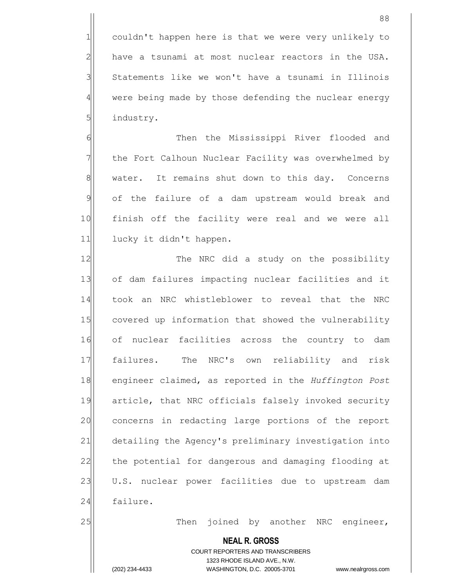88

 $2$  have a tsunami at most nuclear reactors in the USA. 3 Statements like we won't have a tsunami in Illinois 4 were being made by those defending the nuclear energy 5 5 industry.

6 6 Then the Mississippi River flooded and 7 The Fort Calhoun Nuclear Facility was overwhelmed by 8 water. It remains shut down to this day. Concerns 9 of the failure of a dam upstream would break and 10 finish off the facility were real and we were all 11 lucky it didn't happen.

12 The NRC did a study on the possibility 13 of dam failures impacting nuclear facilities and it 14 took an NRC whistleblower to reveal that the NRC 15 covered up information that showed the vulnerability 16 of nuclear facilities across the country to dam 17 failures. The NRC's own reliability and risk 18 engineer claimed, as reported in the *Huffington Post*  19 article, that NRC officials falsely invoked security 20 concerns in redacting large portions of the report 21 detailing the Agency's preliminary investigation into 22 the potential for dangerous and damaging flooding at 23 U.S. nuclear power facilities due to upstream dam 24 failure.

25 Then joined by another NRC engineer,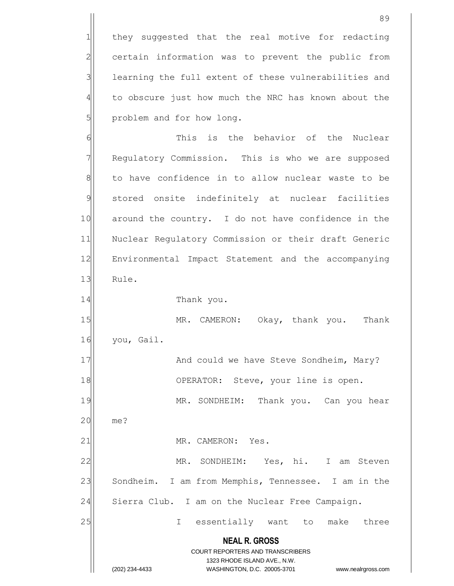**NEAL R. GROSS** COURT REPORTERS AND TRANSCRIBERS 1323 RHODE ISLAND AVE., N.W. (202) 234-4433 WASHINGTON, D.C. 20005-3701 www.nealrgross.com 1 they suggested that the real motive for redacting 2 certain information was to prevent the public from 3 learning the full extent of these vulnerabilities and 4 to obscure just how much the NRC has known about the 5 problem and for how long. 6 6 This is the behavior of the Nuclear 7 Regulatory Commission. This is who we are supposed 8 to have confidence in to allow nuclear waste to be 9 stored onsite indefinitely at nuclear facilities 10 around the country. I do not have confidence in the 11 Nuclear Regulatory Commission or their draft Generic 12 Environmental Impact Statement and the accompanying 13 Rule. 14 Thank you. 15 MR. CAMERON: Okay, thank you. Thank 16 you, Gail. 17 And could we have Steve Sondheim, Mary? 18 OPERATOR: Steve, your line is open. 19 MR. SONDHEIM: Thank you. Can you hear 20 me? 21 MR. CAMERON: Yes. 22 MR. SONDHEIM: Yes, hi. I am Steven 23 Sondheim. I am from Memphis, Tennessee. I am in the 24 Sierra Club. I am on the Nuclear Free Campaign. 25 I essentially want to make three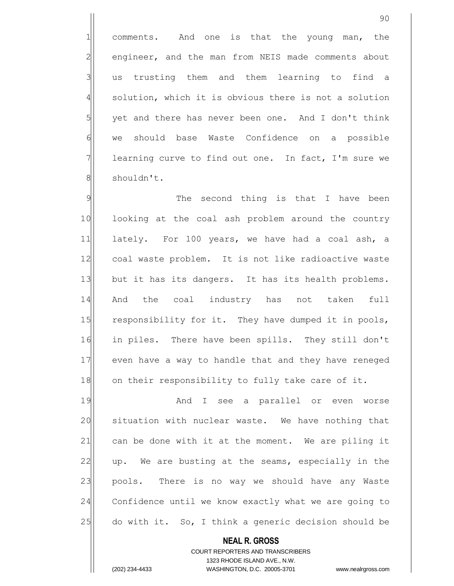1 comments. And one is that the young man, the 2 engineer, and the man from NEIS made comments about 3 all us trusting them and them learning to find a 4 solution, which it is obvious there is not a solution  $5$  yet and there has never been one. And I don't think 6 we should base Waste Confidence on a possible  $7$  learning curve to find out one. In fact, I'm sure we 8 shouldn't.

9 9 The second thing is that I have been 10 looking at the coal ash problem around the country 11 lately. For 100 years, we have had a coal ash, a 12 coal waste problem. It is not like radioactive waste 13 but it has its dangers. It has its health problems. 14 And the coal industry has not taken full 15 responsibility for it. They have dumped it in pools, 16 in piles. There have been spills. They still don't 17 even have a way to handle that and they have reneged 18 on their responsibility to fully take care of it.

19 and I see a parallel or even worse 20 situation with nuclear waste. We have nothing that  $21$  can be done with it at the moment. We are piling it 22 up. We are busting at the seams, especially in the 23 pools. There is no way we should have any Waste 24 Confidence until we know exactly what we are going to 25 do with it. So, I think a generic decision should be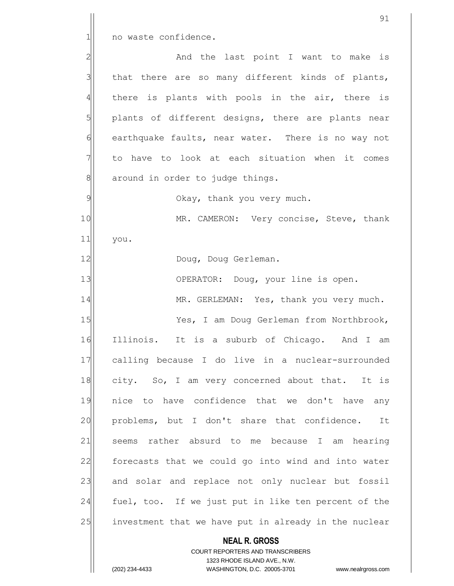1 no waste confidence.

2 and the last point I want to make is that there are so many different kinds of plants, there is plants with pools in the air, there is plants of different designs, there are plants near 6 earthquake faults, near water. There is no way not to have to look at each situation when it comes around in order to judge things.

9 Okay, thank you very much.

10 MR. CAMERON: Very concise, Steve, thank 11 you.

12 Doug, Doug Gerleman.

13 OPERATOR: Doug, your line is open.

14 MR. GERLEMAN: Yes, thank you very much.

15 Yes, I am Doug Gerleman from Northbrook, 16 Illinois. It is a suburb of Chicago. And I am 17 calling because I do live in a nuclear-surrounded 18 city. So, I am very concerned about that. It is 19 nice to have confidence that we don't have any 20 problems, but I don't share that confidence. It 21 seems rather absurd to me because I am hearing 22 forecasts that we could go into wind and into water 23 and solar and replace not only nuclear but fossil 24 fuel, too. If we just put in like ten percent of the 25 investment that we have put in already in the nuclear

**NEAL R. GROSS**

COURT REPORTERS AND TRANSCRIBERS 1323 RHODE ISLAND AVE., N.W. (202) 234-4433 WASHINGTON, D.C. 20005-3701 www.nealrgross.com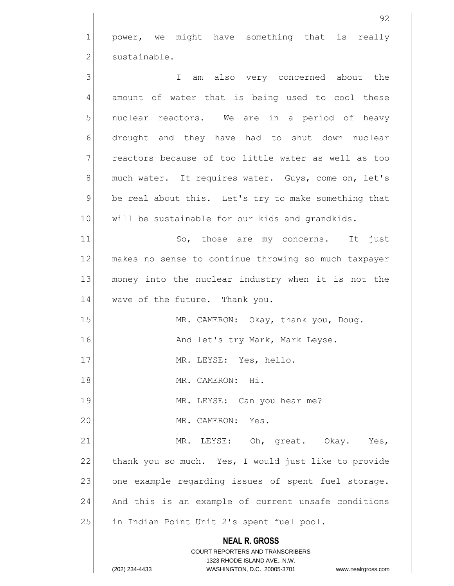1 power, we might have something that is really 2 | sustainable.

**NEAL R. GROSS** COURT REPORTERS AND TRANSCRIBERS 1323 RHODE ISLAND AVE., N.W. (202) 234-4433 WASHINGTON, D.C. 20005-3701 www.nealrgross.com 3 3 3 4 amount of water that is being used to cool these 5 | nuclear reactors. We are in a period of heavy 6 drought and they have had to shut down nuclear 7 The reactors because of too little water as well as too 8 much water. It requires water. Guys, come on, let's 9 be real about this. Let's try to make something that 10 will be sustainable for our kids and grandkids. 11 So, those are my concerns. It just 12 makes no sense to continue throwing so much taxpayer 13 money into the nuclear industry when it is not the 14 wave of the future. Thank you. 15 MR. CAMERON: Okay, thank you, Doug. 16 And let's try Mark, Mark Leyse. 17 MR. LEYSE: Yes, hello. 18 MR. CAMERON: Hi. 19 MR. LEYSE: Can you hear me? 20 | MR. CAMERON: Yes. 21 MR. LEYSE: Oh, great. Okay. Yes, 22 thank you so much. Yes, I would just like to provide 23 one example regarding issues of spent fuel storage. 24 And this is an example of current unsafe conditions 25 | in Indian Point Unit 2's spent fuel pool.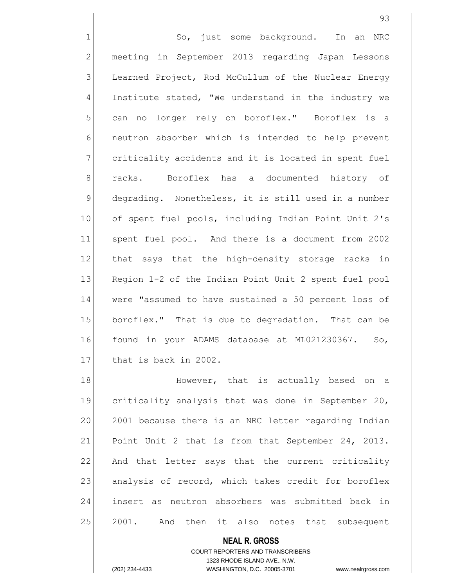1 So, just some background. In an NRC 2 meeting in September 2013 regarding Japan Lessons 3 Learned Project, Rod McCullum of the Nuclear Energy  $4$  Institute stated, "We understand in the industry we 5 can no longer rely on boroflex." Boroflex is a 6 **neutron** absorber which is intended to help prevent  $7$  criticality accidents and it is located in spent fuel 8 racks. Boroflex has a documented history of 9 degrading. Nonetheless, it is still used in a number 10 of spent fuel pools, including Indian Point Unit 2's 11 spent fuel pool. And there is a document from 2002 12 that says that the high-density storage racks in 13 Region 1-2 of the Indian Point Unit 2 spent fuel pool 14 were "assumed to have sustained a 50 percent loss of 15 boroflex." That is due to degradation. That can be 16 found in your ADAMS database at ML021230367. So, 17 that is back in 2002.

18 || However, that is actually based on a 19 criticality analysis that was done in September 20, 20 2001 because there is an NRC letter regarding Indian 21 Point Unit 2 that is from that September 24, 2013. 22 And that letter says that the current criticality 23 analysis of record, which takes credit for boroflex 24 insert as neutron absorbers was submitted back in 25 2001. And then it also notes that subsequent

> **NEAL R. GROSS** COURT REPORTERS AND TRANSCRIBERS 1323 RHODE ISLAND AVE., N.W. (202) 234-4433 WASHINGTON, D.C. 20005-3701 www.nealrgross.com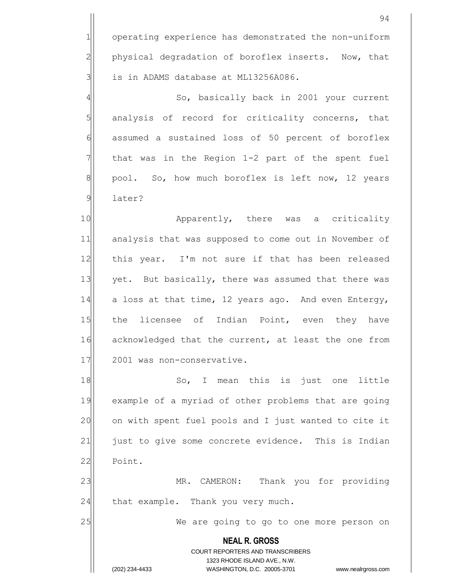**NEAL R. GROSS** COURT REPORTERS AND TRANSCRIBERS 1323 RHODE ISLAND AVE., N.W. (202) 234-4433 WASHINGTON, D.C. 20005-3701 www.nealrgross.com 94 1 operating experience has demonstrated the non-uniform  $2$  physical degradation of boroflex inserts. Now, that 3 | is in ADAMS database at ML13256A086. 4 So, basically back in 2001 your current  $5$  analysis of record for criticality concerns, that 6 6 6 6 assumed a sustained loss of 50 percent of boroflex  $7$  that was in the Region 1-2 part of the spent fuel  $8$  pool. So, how much boroflex is left now, 12 years 9 later? 10 Apparently, there was a criticality 11 analysis that was supposed to come out in November of 12 | this year. I'm not sure if that has been released 13 yet. But basically, there was assumed that there was 14 a loss at that time, 12 years ago. And even Entergy, 15 the licensee of Indian Point, even they have 16 acknowledged that the current, at least the one from 17 2001 was non-conservative. 18 So, I mean this is just one little 19 example of a myriad of other problems that are going 20 on with spent fuel pools and I just wanted to cite it 21 | just to give some concrete evidence. This is Indian 22 Point. 23 MR. CAMERON: Thank you for providing  $24$  that example. Thank you very much. 25 We are going to go to one more person on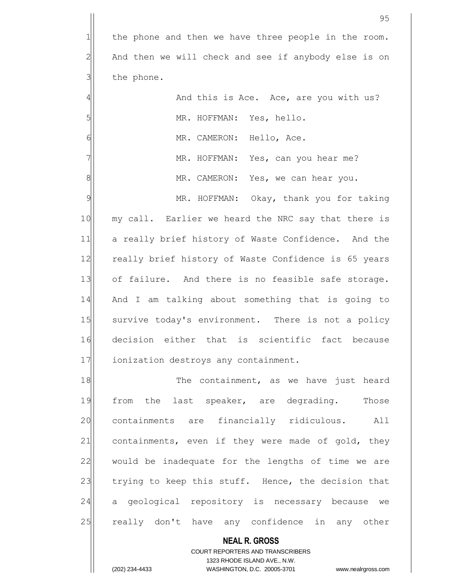|                | 95                                                       |
|----------------|----------------------------------------------------------|
| $\mathbf 1$    | the phone and then we have three people in the room.     |
| $\overline{2}$ | And then we will check and see if anybody else is on     |
| 3              | the phone.                                               |
| 4              | And this is Ace. Ace, are you with us?                   |
| 5              | MR. HOFFMAN: Yes, hello.                                 |
| 6              | MR. CAMERON: Hello, Ace.                                 |
| 7              | MR. HOFFMAN: Yes, can you hear me?                       |
| 8              | MR. CAMERON: Yes, we can hear you.                       |
| $\mathcal{Q}$  | MR. HOFFMAN: Okay, thank you for taking                  |
| 10             | my call. Earlier we heard the NRC say that there is      |
| 11             | a really brief history of Waste Confidence. And the      |
| 12             | really brief history of Waste Confidence is 65 years     |
| 13             | of failure. And there is no feasible safe storage.       |
| 14             | And I am talking about something that is going to        |
| 15             | survive today's environment. There is not a policy       |
| 16             | decision either that is scientific fact because          |
| 17             | ionization destroys any containment.                     |
| 18             | The containment, as we have just heard                   |
| 19             | the last speaker, are degrading. Those<br>from           |
| 20             | containments are financially ridiculous.<br>All          |
| 21             | containments, even if they were made of gold, they       |
| 22             | would be inadequate for the lengths of time we are       |
| 23             | trying to keep this stuff. Hence, the decision that      |
| 24             | geological repository is necessary because we<br>a       |
| 25             | really don't have any confidence in any other            |
|                | <b>NEAL R. GROSS</b><br>COURT REPORTERS AND TRANSCRIBERS |

1323 RHODE ISLAND AVE., N.W.

 $\prod$ 

(202) 234-4433 WASHINGTON, D.C. 20005-3701 www.nealrgross.com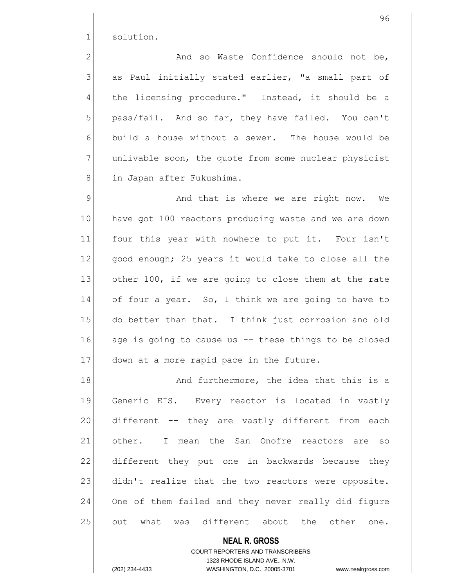1 solution.

2 And so Waste Confidence should not be,  $3$  as Paul initially stated earlier, "a small part of  $4$  the licensing procedure." Instead, it should be a 5 pass/fail. And so far, they have failed. You can't  $6$  build a house without a sewer. The house would be 7 | unlivable soon, the quote from some nuclear physicist 8 | in Japan after Fukushima.

9 9 And that is where we are right now. We 10 have got 100 reactors producing waste and we are down 11 four this year with nowhere to put it. Four isn't 12 good enough; 25 years it would take to close all the 13 other 100, if we are going to close them at the rate 14 of four a year. So, I think we are going to have to 15 do better than that. I think just corrosion and old 16 age is going to cause us -- these things to be closed 17 down at a more rapid pace in the future.

18 and furthermore, the idea that this is a 19 Generic EIS. Every reactor is located in vastly 20 different -- they are vastly different from each 21 other. I mean the San Onofre reactors are so 22 different they put one in backwards because they 23 didn't realize that the two reactors were opposite. 24 One of them failed and they never really did figure 25 out what was different about the other one.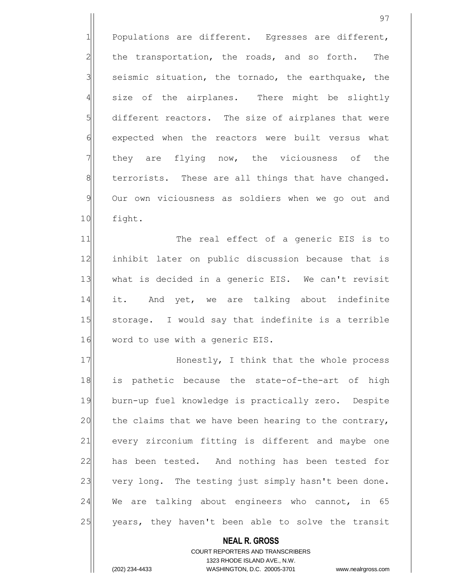$1$  Populations are different. Egresses are different,  $2$  the transportation, the roads, and so forth. The  $3$  seismic situation, the tornado, the earthquake, the  $4$  size of the airplanes. There might be slightly  $5$  different reactors. The size of airplanes that were 6 6 expected when the reactors were built versus what 7 They are flying now, the viciousness of the  $8$  terrorists. These are all things that have changed. 9 Our own viciousness as soldiers when we go out and 10 fight.

11 The real effect of a generic EIS is to 12 inhibit later on public discussion because that is 13 what is decided in a generic EIS. We can't revisit 14 it. And yet, we are talking about indefinite 15 Storage. I would say that indefinite is a terrible 16 word to use with a generic EIS.

17 Honestly, I think that the whole process 18 is pathetic because the state-of-the-art of high 19 burn-up fuel knowledge is practically zero. Despite  $20$  the claims that we have been hearing to the contrary, 21 every zirconium fitting is different and maybe one 22 has been tested. And nothing has been tested for 23 very long. The testing just simply hasn't been done.  $24$  We are talking about engineers who cannot, in 65 25 years, they haven't been able to solve the transit

> **NEAL R. GROSS** COURT REPORTERS AND TRANSCRIBERS 1323 RHODE ISLAND AVE., N.W. (202) 234-4433 WASHINGTON, D.C. 20005-3701 www.nealrgross.com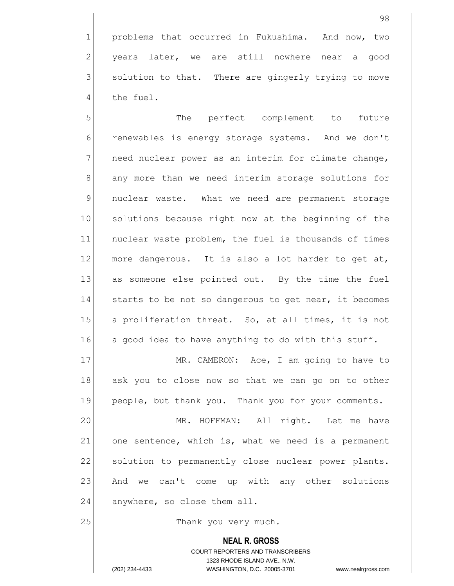1 problems that occurred in Fukushima. And now, two years later, we are still nowhere near a good solution to that. There are gingerly trying to move the fuel.

5 | Solution of the perfect complement to future 6 renewables is energy storage systems. And we don't  $7$  need nuclear power as an interim for climate change, 8 any more than we need interim storage solutions for 9 nuclear waste. What we need are permanent storage 10 solutions because right now at the beginning of the 11 | nuclear waste problem, the fuel is thousands of times 12 more dangerous. It is also a lot harder to get at, 13 as someone else pointed out. By the time the fuel 14 starts to be not so dangerous to get near, it becomes 15 a proliferation threat. So, at all times, it is not 16 a good idea to have anything to do with this stuff.

17 MR. CAMERON: Ace, I am going to have to 18 ask you to close now so that we can go on to other 19 people, but thank you. Thank you for your comments.

20 MR. HOFFMAN: All right. Let me have  $21$  one sentence, which is, what we need is a permanent 22 | solution to permanently close nuclear power plants. 23 And we can't come up with any other solutions  $24$  anywhere, so close them all.

25 a 25 Thank you very much.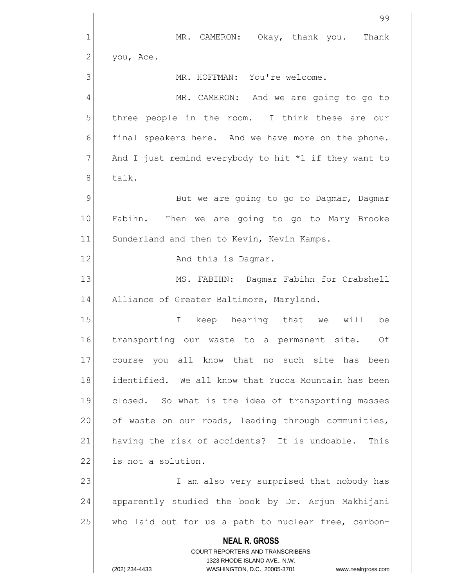**NEAL R. GROSS** COURT REPORTERS AND TRANSCRIBERS 1323 RHODE ISLAND AVE., N.W. 99 1 MR. CAMERON: Okay, thank you. Thank  $2$  you, Ace. 3 | MR. HOFFMAN: You're welcome. 4 MR. CAMERON: And we are going to go to  $5$  three people in the room. I think these are our 6 final speakers here. And we have more on the phone.  $7$  And I just remind everybody to hit \*1 if they want to 8 balk. 9 But we are going to go to Dagmar, Dagmar 10 Fabihn. Then we are going to go to Mary Brooke 11 Sunderland and then to Kevin, Kevin Kamps. 12 and this is Dagmar. 13 || MS. FABIHN: Dagmar Fabihn for Crabshell 14 Alliance of Greater Baltimore, Maryland. 15 I keep hearing that we will be 16 transporting our waste to a permanent site. Of 17| course you all know that no such site has been 18 identified. We all know that Yucca Mountain has been 19 closed. So what is the idea of transporting masses 20 of waste on our roads, leading through communities, 21 having the risk of accidents? It is undoable. This 22 is not a solution. 23 I am also very surprised that nobody has 24 apparently studied the book by Dr. Arjun Makhijani 25 who laid out for us a path to nuclear free, carbon-

(202) 234-4433 WASHINGTON, D.C. 20005-3701 www.nealrgross.com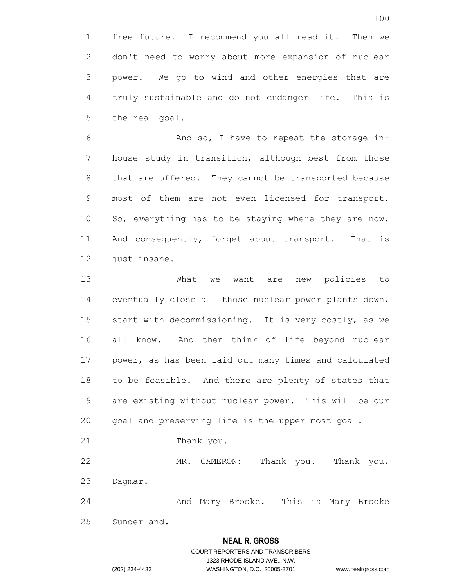$1$  free future. I recommend you all read it. Then we 2 don't need to worry about more expansion of nuclear  $3$  power. We go to wind and other energies that are 4 truly sustainable and do not endanger life. This is  $5$  the real goal.

6 6 And so, I have to repeat the storage in- $7$  house study in transition, although best from those 8 that are offered. They cannot be transported because 9 most of them are not even licensed for transport. 10 So, everything has to be staying where they are now. 11 And consequently, forget about transport. That is 12 just insane.

13 What we want are new policies to 14 eventually close all those nuclear power plants down, 15 Start with decommissioning. It is very costly, as we 16 all know. And then think of life beyond nuclear 17 | power, as has been laid out many times and calculated 18 to be feasible. And there are plenty of states that 19 are existing without nuclear power. This will be our  $20$  goal and preserving life is the upper most goal. 21 Thank you. 22 MR. CAMERON: Thank you. Thank you,

23 Dagmar.

24 And Mary Brooke. This is Mary Brooke 25 Sunderland.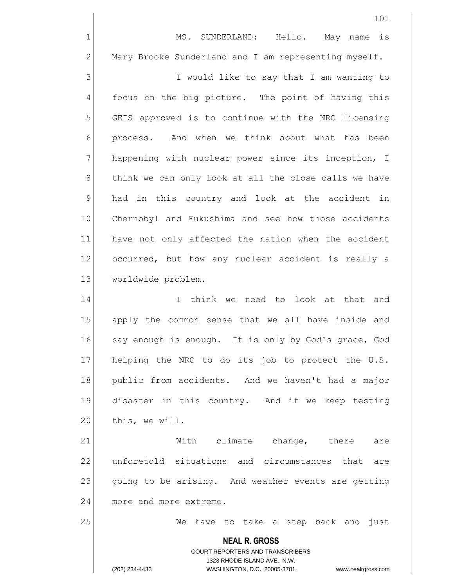1 MS. SUNDERLAND: Hello. May name is  $2$  Mary Brooke Sunderland and I am representing myself.

3 | I would like to say that I am wanting to 4 focus on the big picture. The point of having this  $5$  GEIS approved is to continue with the NRC licensing 6 | process. And when we think about what has been 7 | happening with nuclear power since its inception, I 8 think we can only look at all the close calls we have 9 had in this country and look at the accident in 10 Chernobyl and Fukushima and see how those accidents 11 have not only affected the nation when the accident 12 occurred, but how any nuclear accident is really a 13 worldwide problem.

14 I I think we need to look at that and 15 apply the common sense that we all have inside and 16 say enough is enough. It is only by God's grace, God 17 helping the NRC to do its job to protect the U.S. 18 public from accidents. And we haven't had a major 19 disaster in this country. And if we keep testing 20 this, we will.

21 With climate change, there are 22 anforetold situations and circumstances that are 23 going to be arising. And weather events are getting 24 more and more extreme.

25 We have to take a step back and just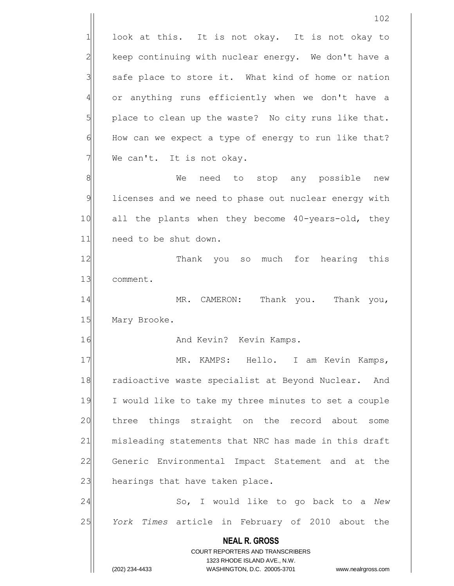look at this. It is not okay. It is not okay to keep continuing with nuclear energy. We don't have a safe place to store it. What kind of home or nation or anything runs efficiently when we don't have a place to clean up the waste? No city runs like that. How can we expect a type of energy to run like that? We can't. It is not okay.

8 8 Me need to stop any possible new 9 licenses and we need to phase out nuclear energy with 10 all the plants when they become 40-years-old, they 11 need to be shut down.

12 Thank you so much for hearing this 13 comment.

14 MR. CAMERON: Thank you. Thank you, 15 Mary Brooke.

16 and Kevin? Kevin Kamps.

17 | MR. KAMPS: Hello. I am Kevin Kamps, 18 radioactive waste specialist at Beyond Nuclear. And 19 I would like to take my three minutes to set a couple 20 three things straight on the record about some 21 misleading statements that NRC has made in this draft 22 Generic Environmental Impact Statement and at the 23 hearings that have taken place.

24 So, I would like to go back to a *New* 25 *York Times* article in February of 2010 about the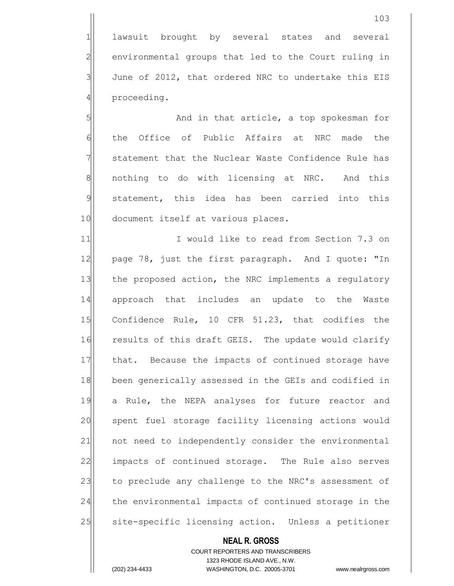1 lawsuit brought by several states and several 2 environmental groups that led to the Court ruling in  $3$  June of 2012, that ordered NRC to undertake this EIS 4 proceeding.

5 | S| And in that article, a top spokesman for 6 the Office of Public Affairs at NRC made the 7 Statement that the Nuclear Waste Confidence Rule has 8 | nothing to do with licensing at NRC. And this 9 statement, this idea has been carried into this 10 document itself at various places.

11 11 I would like to read from Section 7.3 on 12 page 78, just the first paragraph. And I quote: "In 13 the proposed action, the NRC implements a regulatory 14 approach that includes an update to the Waste 15 Confidence Rule, 10 CFR 51.23, that codifies the 16 results of this draft GEIS. The update would clarify 17 that. Because the impacts of continued storage have 18 been generically assessed in the GEIs and codified in 19 a Rule, the NEPA analyses for future reactor and 20 spent fuel storage facility licensing actions would 21 | not need to independently consider the environmental 22 impacts of continued storage. The Rule also serves 23 to preclude any challenge to the NRC's assessment of 24 the environmental impacts of continued storage in the 25 Site-specific licensing action. Unless a petitioner

#### **NEAL R. GROSS** COURT REPORTERS AND TRANSCRIBERS

1323 RHODE ISLAND AVE., N.W. (202) 234-4433 WASHINGTON, D.C. 20005-3701 www.nealrgross.com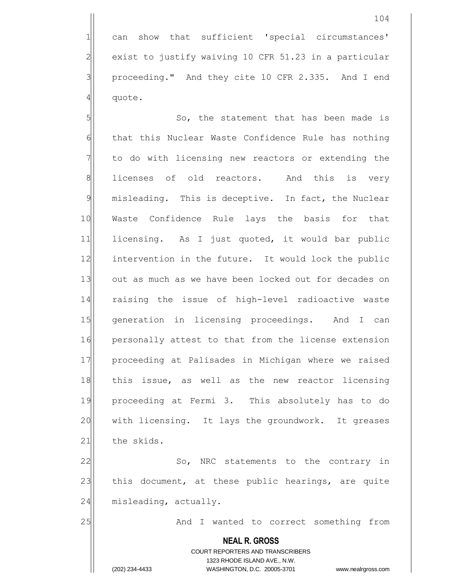1 can show that sufficient 'special circumstances'  $2$  exist to justify waiving 10 CFR 51.23 in a particular 3 | proceeding." And they cite 10 CFR 2.335. And I end  $4$  quote.

5 | So, the statement that has been made is 6 that this Nuclear Waste Confidence Rule has nothing  $7$  to do with licensing new reactors or extending the 8 licenses of old reactors. And this is very 9 misleading. This is deceptive. In fact, the Nuclear 10 Waste Confidence Rule lays the basis for that 11 licensing. As I just quoted, it would bar public 12 intervention in the future. It would lock the public 13 out as much as we have been locked out for decades on 14 raising the issue of high-level radioactive waste 15 generation in licensing proceedings. And I can 16 personally attest to that from the license extension 17 proceeding at Palisades in Michigan where we raised 18 this issue, as well as the new reactor licensing 19 proceeding at Fermi 3. This absolutely has to do 20 with licensing. It lays the groundwork. It greases 21 the skids.

22 So, NRC statements to the contrary in 23 this document, at these public hearings, are quite  $24$  misleading, actually.

25 And I wanted to correct something from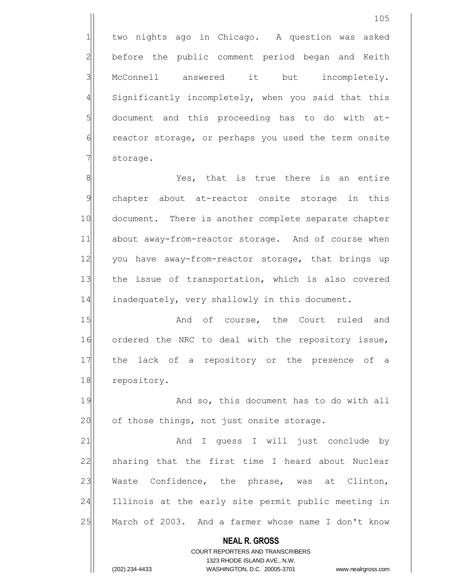1 two nights ago in Chicago. A question was asked 2 before the public comment period began and Keith 3 McConnell answered it but incompletely. 4 Significantly incompletely, when you said that this  $5$  document and this proceeding has to do with at-6 reactor storage, or perhaps you used the term onsite 7 | storage.

8 8 Mes, that is true there is an entire 9 chapter about at-reactor onsite storage in this 10 document. There is another complete separate chapter 11 about away-from-reactor storage. And of course when 12 you have away-from-reactor storage, that brings up 13 | the issue of transportation, which is also covered  $14$  inadequately, very shallowly in this document.

15 and of course, the Court ruled and 16 ordered the NRC to deal with the repository issue, 17 the lack of a repository or the presence of a 18 repository.

19 And so, this document has to do with all  $20$  of those things, not just onsite storage.

21 and I quess I will just conclude by 22 sharing that the first time I heard about Nuclear 23 Waste Confidence, the phrase, was at Clinton, 24 Illinois at the early site permit public meeting in 25 March of 2003. And a farmer whose name I don't know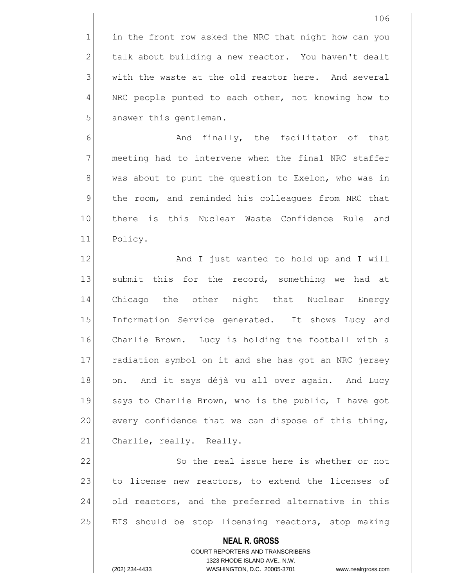1 in the front row asked the NRC that night how can you  $2$  talk about building a new reactor. You haven't dealt  $3$  with the waste at the old reactor here. And several 4 | NRC people punted to each other, not knowing how to 5 answer this gentleman.

6 || Mondu finally, the facilitator of that 7 meeting had to intervene when the final NRC staffer 8 was about to punt the question to Exelon, who was in 9 the room, and reminded his colleagues from NRC that 10 there is this Nuclear Waste Confidence Rule and 11 Policy.

12 And I just wanted to hold up and I will 13 submit this for the record, something we had at 14 Chicago the other night that Nuclear Energy 15 Information Service generated. It shows Lucy and 16 Charlie Brown. Lucy is holding the football with a 17 radiation symbol on it and she has got an NRC jersey 18 on. And it says déjà vu all over again. And Lucy 19 says to Charlie Brown, who is the public, I have got  $20$  every confidence that we can dispose of this thing, 21 Charlie, really. Really.

22 So the real issue here is whether or not 23 to license new reactors, to extend the licenses of 24 old reactors, and the preferred alternative in this 25 EIS should be stop licensing reactors, stop making